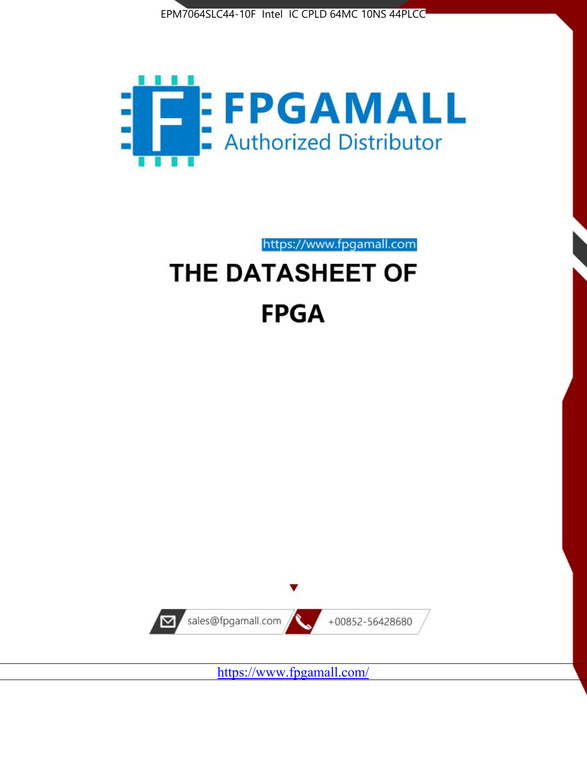



https://www.fpgamall.com

# THE DATASHEET OF **FPGA**



<https://www.fpgamall.com/>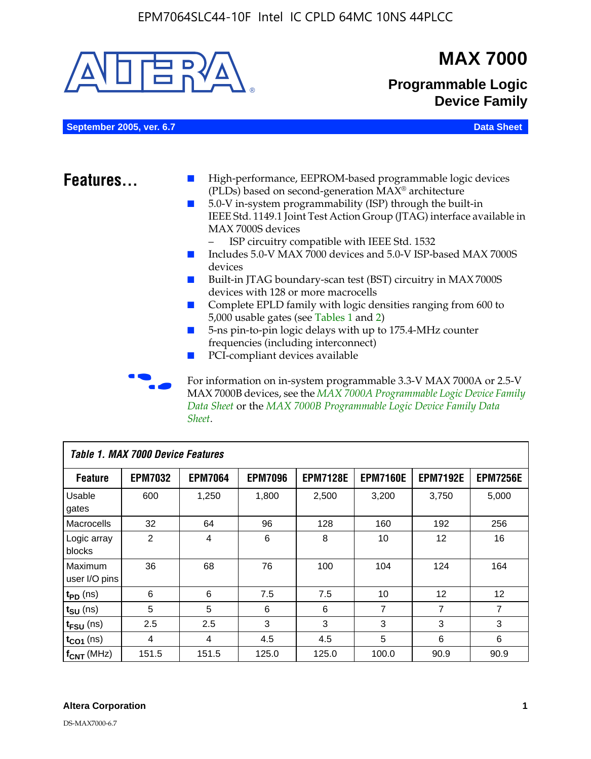

MAX 7000B devices, see the *MAX 7000A Programmable Logic Device Family Data Sheet* or the *MAX 7000B Programmable Logic Device Family Data Sheet*.

| Table 1. MAX 7000 Device Features |                |                |                |                 |                 |                 |                 |  |
|-----------------------------------|----------------|----------------|----------------|-----------------|-----------------|-----------------|-----------------|--|
| <b>Feature</b>                    | <b>EPM7032</b> | <b>EPM7064</b> | <b>EPM7096</b> | <b>EPM7128E</b> | <b>EPM7160E</b> | <b>EPM7192E</b> | <b>EPM7256E</b> |  |
| Usable<br>gates                   | 600            | 1,250          | 1,800          | 2,500           | 3,200           | 3,750           | 5,000           |  |
| Macrocells                        | 32             | 64             | 96             | 128             | 160             | 192             | 256             |  |
| Logic array<br>blocks             | 2              | $\overline{4}$ | 6              | 8               | 10              | 12              | 16              |  |
| Maximum<br>user I/O pins          | 36             | 68             | 76             | 100             | 104             | 124             | 164             |  |
| $t_{PD}$ (ns)                     | 6              | 6              | 7.5            | 7.5             | 10              | 12              | 12              |  |
| $t_{SU}$ (ns)                     | 5              | 5              | 6              | 6               | 7               | 7               | $\overline{7}$  |  |
| $t_{FSU}$ (ns)                    | 2.5            | 2.5            | 3              | 3               | 3               | 3               | 3               |  |
| $t_{CO1}$ (ns)                    | 4              | 4              | 4.5            | 4.5             | 5               | 6               | 6               |  |
| $f_{CNT}$ (MHz)                   | 151.5          | 151.5          | 125.0          | 125.0           | 100.0           | 90.9            | 90.9            |  |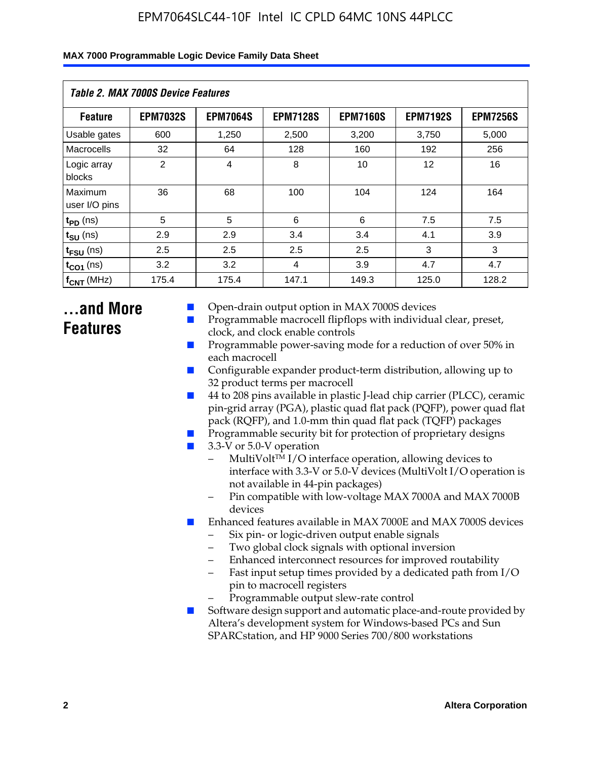| Table 2. MAX 7000S Device Features |                 |                 |                 |                 |                   |                 |  |
|------------------------------------|-----------------|-----------------|-----------------|-----------------|-------------------|-----------------|--|
| <b>Feature</b>                     | <b>EPM7032S</b> | <b>EPM7064S</b> | <b>EPM7128S</b> | <b>EPM7160S</b> | <b>EPM7192S</b>   | <b>EPM7256S</b> |  |
| Usable gates                       | 600             | 1.250           | 2,500           | 3.200           | 3.750             | 5.000           |  |
| Macrocells                         | 32              | 64              | 128             | 160             | 192               | 256             |  |
| Logic array<br>blocks              | $\overline{2}$  | $\overline{4}$  | 8               | 10              | $12 \overline{ }$ | 16              |  |
| Maximum<br>user I/O pins           | 36              | 68              | 100             | 104             | 124               | 164             |  |
| $t_{PD}$ (ns)                      | 5               | 5               | 6               | 6               | 7.5               | 7.5             |  |
| $t_{\text{SU}}$ (ns)               | 2.9             | 2.9             | 3.4             | 3.4             | 4.1               | 3.9             |  |
| $t_{\text{FSU}}$ (ns)              | 2.5             | 2.5             | 2.5             | 2.5             | 3                 | 3               |  |
| $t_{CO1}$ (ns)                     | 3.2             | 3.2             | 4               | 3.9             | 4.7               | 4.7             |  |
| $f_{\text{CNT}}$ (MHz)             | 175.4           | 175.4           | 147.1           | 149.3           | 125.0             | 128.2           |  |

# **...and More Features**

- Open-drain output option in MAX 7000S devices
- Programmable macrocell flipflops with individual clear, preset, clock, and clock enable controls
- Programmable power-saving mode for a reduction of over 50% in each macrocell
- Configurable expander product-term distribution, allowing up to 32 product terms per macrocell
- 44 to 208 pins available in plastic J-lead chip carrier (PLCC), ceramic pin-grid array (PGA), plastic quad flat pack (PQFP), power quad flat pack (RQFP), and 1.0-mm thin quad flat pack (TQFP) packages
- Programmable security bit for protection of proprietary designs
- 3.3-V or 5.0-V operation
	- MultiVolt<sup>TM</sup> I/O interface operation, allowing devices to interface with 3.3-V or 5.0-V devices (MultiVolt I/O operation is not available in 44-pin packages)
	- Pin compatible with low-voltage MAX 7000A and MAX 7000B devices
- Enhanced features available in MAX 7000E and MAX 7000S devices
	- Six pin- or logic-driven output enable signals
	- Two global clock signals with optional inversion
	- Enhanced interconnect resources for improved routability
	- Fast input setup times provided by a dedicated path from I/O pin to macrocell registers
	- Programmable output slew-rate control
- Software design support and automatic place-and-route provided by Altera's development system for Windows-based PCs and Sun SPARCstation, and HP 9000 Series 700/800 workstations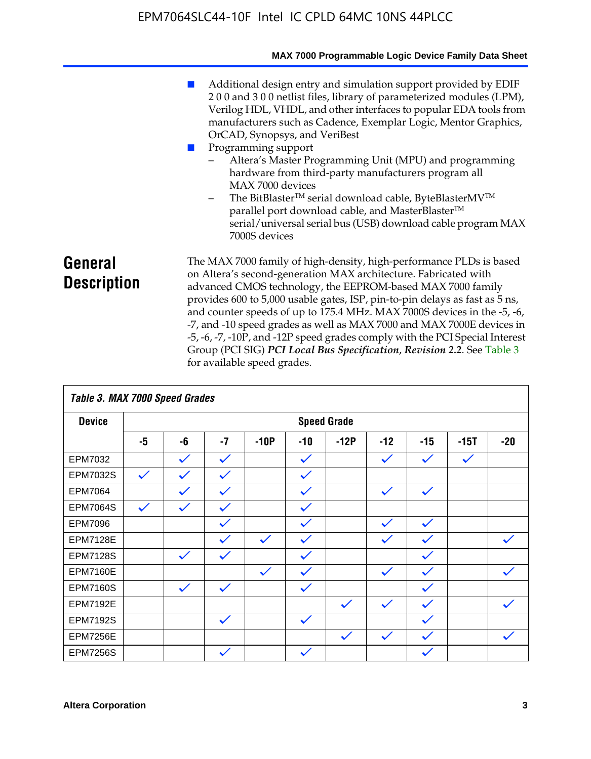|                               | MAX 7000 Programmable Logic Device Family Data Sheet                                                                                                                                                                                                                                                                                                                                                                                                                                                                                                                                                                                                                                                 |
|-------------------------------|------------------------------------------------------------------------------------------------------------------------------------------------------------------------------------------------------------------------------------------------------------------------------------------------------------------------------------------------------------------------------------------------------------------------------------------------------------------------------------------------------------------------------------------------------------------------------------------------------------------------------------------------------------------------------------------------------|
|                               | Additional design entry and simulation support provided by EDIF<br>200 and 300 netlist files, library of parameterized modules (LPM),<br>Verilog HDL, VHDL, and other interfaces to popular EDA tools from<br>manufacturers such as Cadence, Exemplar Logic, Mentor Graphics,<br>OrCAD, Synopsys, and VeriBest<br>Programming support<br>Altera's Master Programming Unit (MPU) and programming<br>hardware from third-party manufacturers program all<br>MAX 7000 devices<br>The BitBlaster™ serial download cable, ByteBlasterMV™<br>$\overline{\phantom{0}}$<br>parallel port download cable, and MasterBlaster™<br>serial/universal serial bus (USB) download cable program MAX<br>7000S devices |
| General<br><b>Description</b> | The MAX 7000 family of high-density, high-performance PLDs is based<br>on Altera's second-generation MAX architecture. Fabricated with<br>advanced CMOS technology, the EEPROM-based MAX 7000 family<br>provides 600 to 5,000 usable gates, ISP, pin-to-pin delays as fast as 5 ns,<br>and counter speeds of up to 175.4 MHz. MAX 7000S devices in the -5, -6,<br>-7, and -10 speed grades as well as MAX 7000 and MAX 7000E devices in<br>-5, -6, -7, -10P, and -12P speed grades comply with the PCI Special Interest<br>Group (PCI SIG) PCI Local Bus Specification, Revision 2.2. See Table 3                                                                                                    |

|                 | Table 3. MAX 7000 Speed Grades |              |              |              |              |                    |              |              |              |              |
|-----------------|--------------------------------|--------------|--------------|--------------|--------------|--------------------|--------------|--------------|--------------|--------------|
| <b>Device</b>   |                                |              |              |              |              | <b>Speed Grade</b> |              |              |              |              |
|                 | -5                             | -6           | $-7$         | $-10P$       | $-10$        | $-12P$             | $-12$        | $-15$        | $-15T$       | $-20$        |
| EPM7032         |                                | $\checkmark$ | $\checkmark$ |              | $\checkmark$ |                    | $\checkmark$ | $\checkmark$ | $\checkmark$ |              |
| EPM7032S        | $\checkmark$                   | $\checkmark$ | $\checkmark$ |              | $\checkmark$ |                    |              |              |              |              |
| <b>EPM7064</b>  |                                |              | $\checkmark$ |              | $\checkmark$ |                    | $\checkmark$ | $\checkmark$ |              |              |
| <b>EPM7064S</b> | $\checkmark$                   | $\checkmark$ | $\checkmark$ |              | $\checkmark$ |                    |              |              |              |              |
| EPM7096         |                                |              | $\checkmark$ |              | $\checkmark$ |                    | $\checkmark$ | $\checkmark$ |              |              |
| <b>EPM7128E</b> |                                |              | $\checkmark$ | $\checkmark$ | $\checkmark$ |                    | $\checkmark$ | $\checkmark$ |              | $\checkmark$ |
| <b>EPM7128S</b> |                                | $\checkmark$ | $\checkmark$ |              | $\checkmark$ |                    |              | $\checkmark$ |              |              |
| <b>EPM7160E</b> |                                |              |              | $\checkmark$ | $\checkmark$ |                    | $\checkmark$ | $\checkmark$ |              | $\checkmark$ |
| <b>EPM7160S</b> |                                | $\checkmark$ | $\checkmark$ |              | $\checkmark$ |                    |              | $\checkmark$ |              |              |
| <b>EPM7192E</b> |                                |              |              |              |              | $\checkmark$       | $\checkmark$ | $\checkmark$ |              |              |
| <b>EPM7192S</b> |                                |              | $\checkmark$ |              | $\checkmark$ |                    |              | $\checkmark$ |              |              |
| <b>EPM7256E</b> |                                |              |              |              |              | $\checkmark$       | $\checkmark$ | $\checkmark$ |              | $\checkmark$ |
| <b>EPM7256S</b> |                                |              | $\checkmark$ |              | $\checkmark$ |                    |              | $\checkmark$ |              |              |

for available speed grades.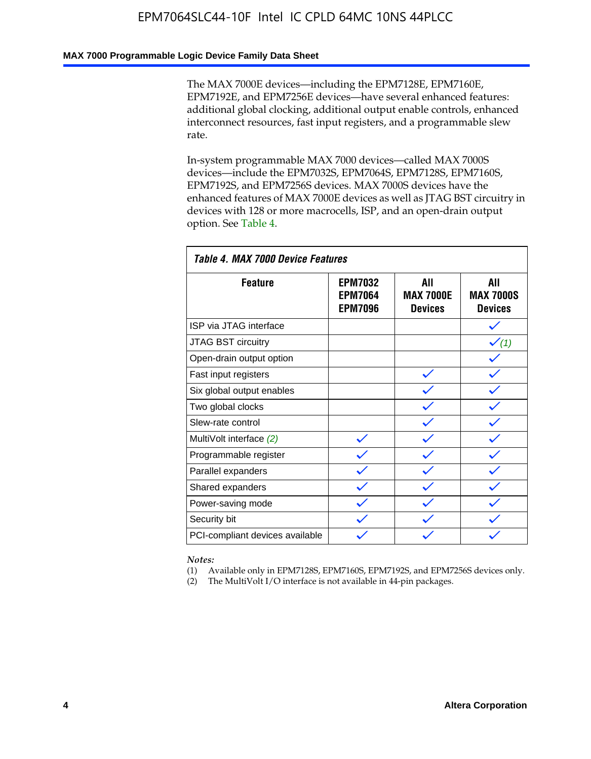### **MAX 7000 Programmable Logic Device Family Data Sheet**

The MAX 7000E devices—including the EPM7128E, EPM7160E, EPM7192E, and EPM7256E devices—have several enhanced features: additional global clocking, additional output enable controls, enhanced interconnect resources, fast input registers, and a programmable slew rate.

In-system programmable MAX 7000 devices—called MAX 7000S devices—include the EPM7032S, EPM7064S, EPM7128S, EPM7160S, EPM7192S, and EPM7256S devices. MAX 7000S devices have the enhanced features of MAX 7000E devices as well as JTAG BST circuitry in devices with 128 or more macrocells, ISP, and an open-drain output option. See Table 4.

| Table 4. MAX 7000 Device Features |                                                    |                                           |                                           |  |  |  |
|-----------------------------------|----------------------------------------------------|-------------------------------------------|-------------------------------------------|--|--|--|
| <b>Feature</b>                    | <b>EPM7032</b><br><b>EPM7064</b><br><b>EPM7096</b> | All<br><b>MAX 7000E</b><br><b>Devices</b> | All<br><b>MAX 7000S</b><br><b>Devices</b> |  |  |  |
| ISP via JTAG interface            |                                                    |                                           |                                           |  |  |  |
| JTAG BST circuitry                |                                                    |                                           | $\checkmark$ (1)                          |  |  |  |
| Open-drain output option          |                                                    |                                           |                                           |  |  |  |
| Fast input registers              |                                                    |                                           |                                           |  |  |  |
| Six global output enables         |                                                    |                                           |                                           |  |  |  |
| Two global clocks                 |                                                    |                                           |                                           |  |  |  |
| Slew-rate control                 |                                                    |                                           |                                           |  |  |  |
| MultiVolt interface (2)           |                                                    |                                           |                                           |  |  |  |
| Programmable register             |                                                    |                                           |                                           |  |  |  |
| Parallel expanders                |                                                    |                                           |                                           |  |  |  |
| Shared expanders                  |                                                    |                                           |                                           |  |  |  |
| Power-saving mode                 |                                                    |                                           |                                           |  |  |  |
| Security bit                      |                                                    |                                           |                                           |  |  |  |
| PCI-compliant devices available   |                                                    |                                           |                                           |  |  |  |

*Notes:*

(1) Available only in EPM7128S, EPM7160S, EPM7192S, and EPM7256S devices only.

(2) The MultiVolt I/O interface is not available in 44-pin packages.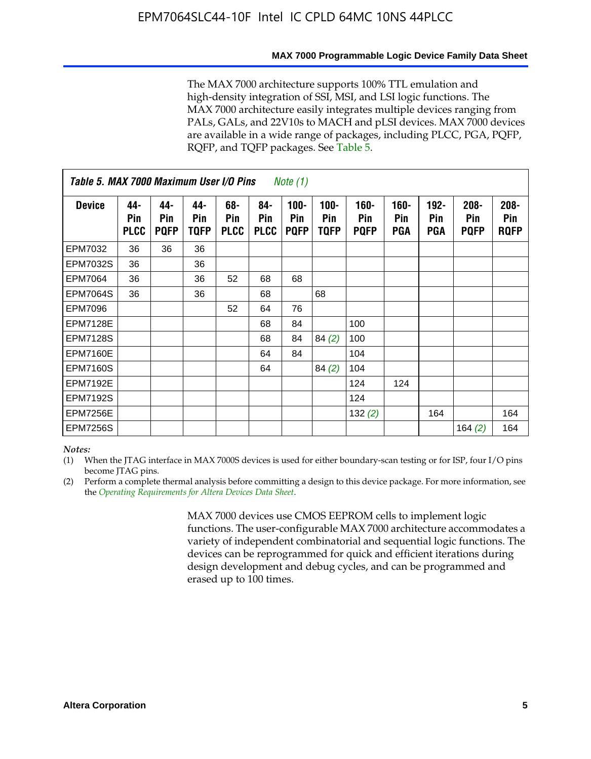#### **MAX 7000 Programmable Logic Device Family Data Sheet**

The MAX 7000 architecture supports 100% TTL emulation and high-density integration of SSI, MSI, and LSI logic functions. The MAX 7000 architecture easily integrates multiple devices ranging from PALs, GALs, and 22V10s to MACH and pLSI devices. MAX 7000 devices are available in a wide range of packages, including PLCC, PGA, PQFP, RQFP, and TQFP packages. See Table 5.

| Table 5. MAX 7000 Maximum User I/O Pins<br><i>Note</i> $(1)$ |                           |                           |                    |                           |                           |                               |                        |                            |                       |                              |                               |                               |
|--------------------------------------------------------------|---------------------------|---------------------------|--------------------|---------------------------|---------------------------|-------------------------------|------------------------|----------------------------|-----------------------|------------------------------|-------------------------------|-------------------------------|
| <b>Device</b>                                                | 44-<br>Pin<br><b>PLCC</b> | 44-<br>Pin<br><b>PQFP</b> | 44-<br>Pin<br>TQFP | 68-<br>Pin<br><b>PLCC</b> | 84-<br>Pin<br><b>PLCC</b> | $100 -$<br>Pin<br><b>PQFP</b> | $100 -$<br>Pin<br>TQFP | 160-<br>Pin<br><b>PQFP</b> | $160 -$<br>Pin<br>PGA | $192 -$<br><b>Pin</b><br>PGA | $208 -$<br>Pin<br><b>PQFP</b> | $208 -$<br>Pin<br><b>RQFP</b> |
| EPM7032                                                      | 36                        | 36                        | 36                 |                           |                           |                               |                        |                            |                       |                              |                               |                               |
| <b>EPM7032S</b>                                              | 36                        |                           | 36                 |                           |                           |                               |                        |                            |                       |                              |                               |                               |
| <b>EPM7064</b>                                               | 36                        |                           | 36                 | 52                        | 68                        | 68                            |                        |                            |                       |                              |                               |                               |
| <b>EPM7064S</b>                                              | 36                        |                           | 36                 |                           | 68                        |                               | 68                     |                            |                       |                              |                               |                               |
| <b>EPM7096</b>                                               |                           |                           |                    | 52                        | 64                        | 76                            |                        |                            |                       |                              |                               |                               |
| <b>EPM7128E</b>                                              |                           |                           |                    |                           | 68                        | 84                            |                        | 100                        |                       |                              |                               |                               |
| <b>EPM7128S</b>                                              |                           |                           |                    |                           | 68                        | 84                            | 84(2)                  | 100                        |                       |                              |                               |                               |
| EPM7160E                                                     |                           |                           |                    |                           | 64                        | 84                            |                        | 104                        |                       |                              |                               |                               |
| EPM7160S                                                     |                           |                           |                    |                           | 64                        |                               | 84(2)                  | 104                        |                       |                              |                               |                               |
| <b>EPM7192E</b>                                              |                           |                           |                    |                           |                           |                               |                        | 124                        | 124                   |                              |                               |                               |
| <b>EPM7192S</b>                                              |                           |                           |                    |                           |                           |                               |                        | 124                        |                       |                              |                               |                               |
| <b>EPM7256E</b>                                              |                           |                           |                    |                           |                           |                               |                        | 132 $(2)$                  |                       | 164                          |                               | 164                           |
| EPM7256S                                                     |                           |                           |                    |                           |                           |                               |                        |                            |                       |                              | 164 $(2)$                     | 164                           |

#### *Notes:*

(1) When the JTAG interface in MAX 7000S devices is used for either boundary-scan testing or for ISP, four I/O pins become JTAG pins.

(2) Perform a complete thermal analysis before committing a design to this device package. For more information, see the *Operating Requirements for Altera Devices Data Sheet*.

> MAX 7000 devices use CMOS EEPROM cells to implement logic functions. The user-configurable MAX 7000 architecture accommodates a variety of independent combinatorial and sequential logic functions. The devices can be reprogrammed for quick and efficient iterations during design development and debug cycles, and can be programmed and erased up to 100 times.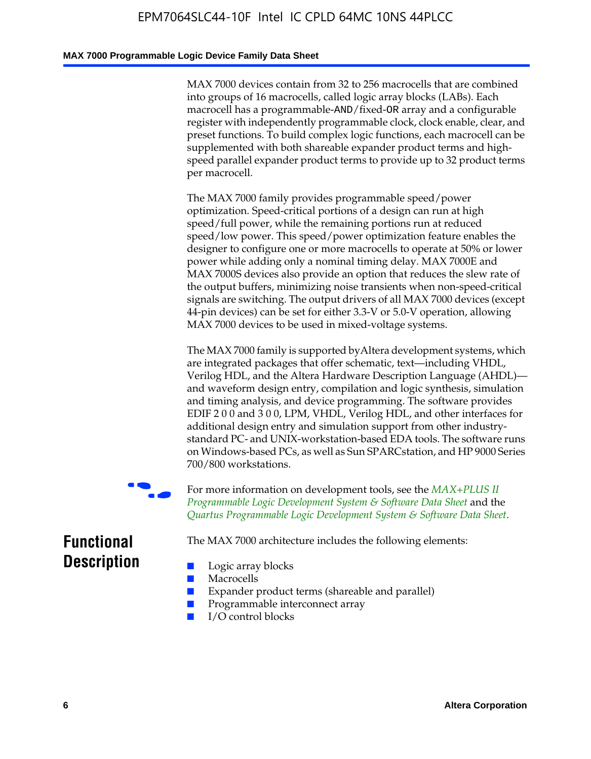### **MAX 7000 Programmable Logic Device Family Data Sheet**

MAX 7000 devices contain from 32 to 256 macrocells that are combined into groups of 16 macrocells, called logic array blocks (LABs). Each macrocell has a programmable-AND/fixed-OR array and a configurable register with independently programmable clock, clock enable, clear, and preset functions. To build complex logic functions, each macrocell can be supplemented with both shareable expander product terms and highspeed parallel expander product terms to provide up to 32 product terms per macrocell.

The MAX 7000 family provides programmable speed/power optimization. Speed-critical portions of a design can run at high speed/full power, while the remaining portions run at reduced speed/low power. This speed/power optimization feature enables the designer to configure one or more macrocells to operate at 50% or lower power while adding only a nominal timing delay. MAX 7000E and MAX 7000S devices also provide an option that reduces the slew rate of the output buffers, minimizing noise transients when non-speed-critical signals are switching. The output drivers of all MAX 7000 devices (except 44-pin devices) can be set for either 3.3-V or 5.0-V operation, allowing MAX 7000 devices to be used in mixed-voltage systems.

The MAX 7000 family is supported byAltera development systems, which are integrated packages that offer schematic, text—including VHDL, Verilog HDL, and the Altera Hardware Description Language (AHDL) and waveform design entry, compilation and logic synthesis, simulation and timing analysis, and device programming. The [software provides](http://www.altera.com/literature/ds/dsmii.pdf)  [EDIF 2 0 0 and 3 0 0, LPM, VHDL, Verilog HDL, and other in](http://www.altera.com/literature/ds/dsmii.pdf)terfaces for [additional design entry and simulation support from other industry](http://www.altera.com/literature/ds/quartus.pdf)standard PC- and UNIX-workstation-based EDA tools. The software runs on Windows-based PCs, as well as Sun SPARCstation, and HP 9000 Series 700/800 workstations.

For more information on development tools, see the **MAX+PLUS II** *Programmable Logic Development System & Software Data Sheet* and the *Quartus Programmable Logic Development System & Software Data Sheet*.

The MAX 7000 architecture includes the following elements:

# **Functional Description**

- Logic array blocks
- **Macrocells**
- Expander product terms (shareable and parallel)
- Programmable interconnect array
- I/O control blocks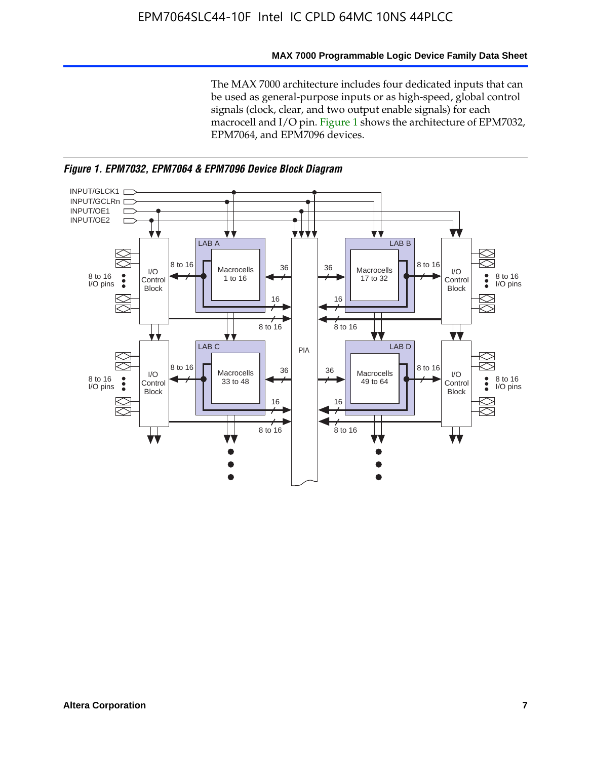#### **MAX 7000 Programmable Logic Device Family Data Sheet**

The MAX 7000 architecture includes four dedicated inputs that can be used as general-purpose inputs or as high-speed, global control signals (clock, clear, and two output enable signals) for each macrocell and I/O pin. Figure 1 shows the architecture of EPM7032, EPM7064, and EPM7096 devices.



*Figure 1. EPM7032, EPM7064 & EPM7096 Device Block Diagram*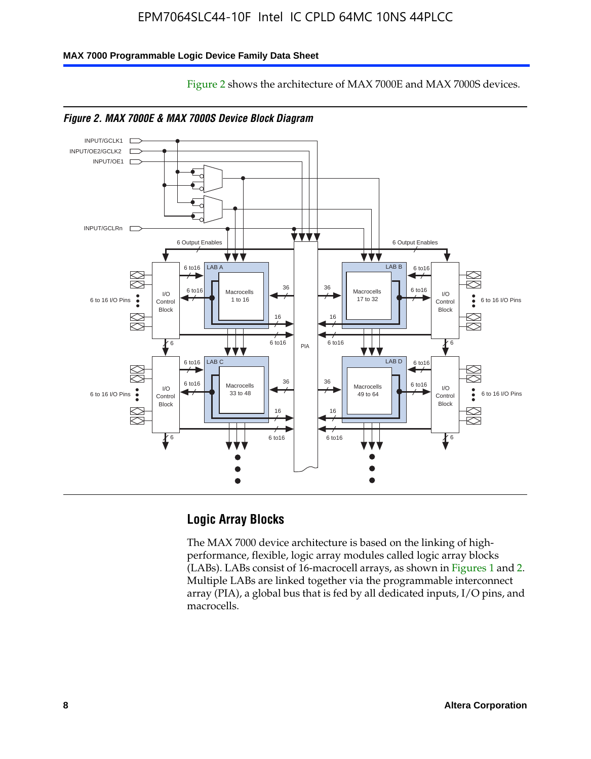Figure 2 shows the architecture of MAX 7000E and MAX 7000S devices.

### **MAX 7000 Programmable Logic Device Family Data Sheet**





*Figure 2. MAX 7000E & MAX 7000S Device Block Diagram*

# **Logic Array Blocks**

The MAX 7000 device architecture is based on the linking of highperformance, flexible, logic array modules called logic array blocks (LABs). LABs consist of 16-macrocell arrays, as shown in Figures 1 and 2. Multiple LABs are linked together via the programmable interconnect array (PIA), a global bus that is fed by all dedicated inputs, I/O pins, and macrocells.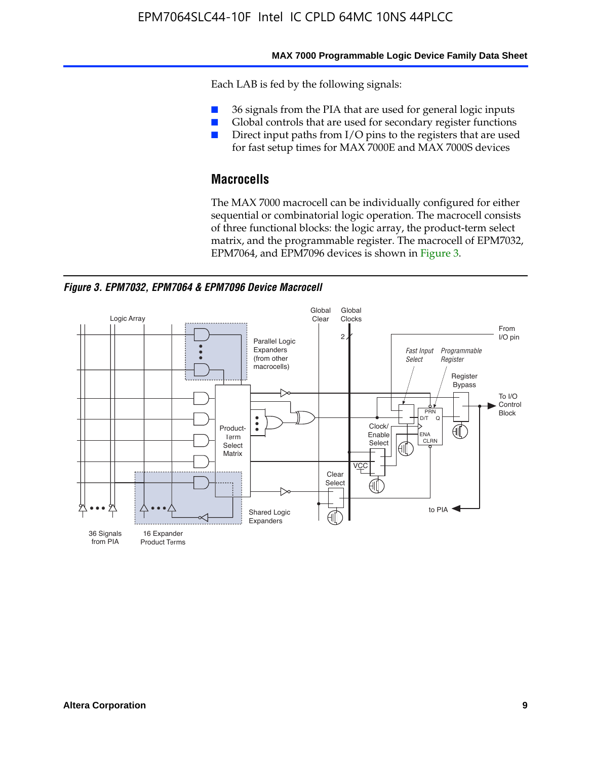#### **MAX 7000 Programmable Logic Device Family Data Sheet**

Each LAB is fed by the following signals:

- 36 signals from the PIA that are used for general logic inputs
- Global controls that are used for secondary register functions
- Direct input paths from I/O pins to the registers that are used for fast setup times for MAX 7000E and MAX 7000S devices

# **Macrocells**

The MAX 7000 macrocell can be individually configured for either sequential or combinatorial logic operation. The macrocell consists of three functional blocks: the logic array, the product-term select matrix, and the programmable register. The macrocell of EPM7032, EPM7064, and EPM7096 devices is shown in Figure 3.

*Figure 3. EPM7032, EPM7064 & EPM7096 Device Macrocell*

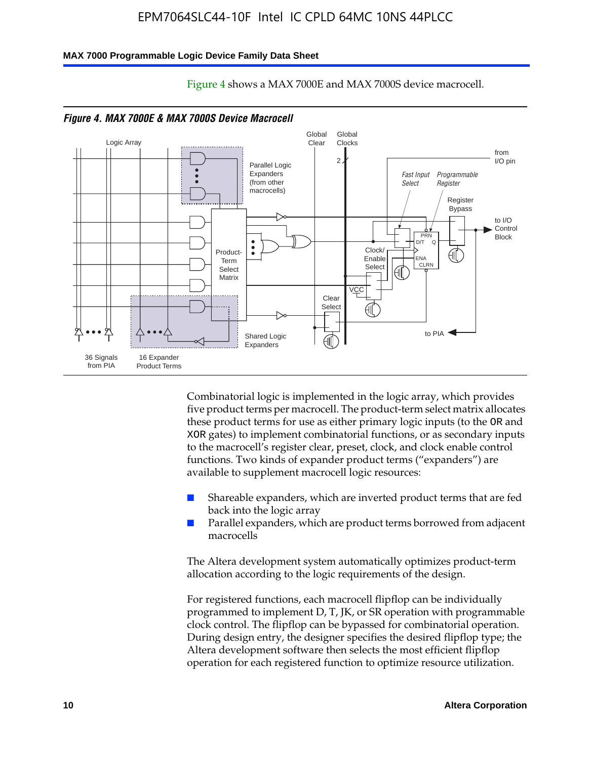#### **MAX 7000 Programmable Logic Device Family Data Sheet**



Figure 4 shows a MAX 7000E and MAX 7000S device macrocell.

*Figure 4. MAX 7000E & MAX 7000S Device Macrocell*

Combinatorial logic is implemented in the logic array, which provides five product terms per macrocell. The product-term select matrix allocates these product terms for use as either primary logic inputs (to the OR and XOR gates) to implement combinatorial functions, or as secondary inputs to the macrocell's register clear, preset, clock, and clock enable control functions. Two kinds of expander product terms ("expanders") are available to supplement macrocell logic resources:

- Shareable expanders, which are inverted product terms that are fed back into the logic array
- Parallel expanders, which are product terms borrowed from adjacent macrocells

The Altera development system automatically optimizes product-term allocation according to the logic requirements of the design.

For registered functions, each macrocell flipflop can be individually programmed to implement D, T, JK, or SR operation with programmable clock control. The flipflop can be bypassed for combinatorial operation. During design entry, the designer specifies the desired flipflop type; the Altera development software then selects the most efficient flipflop operation for each registered function to optimize resource utilization.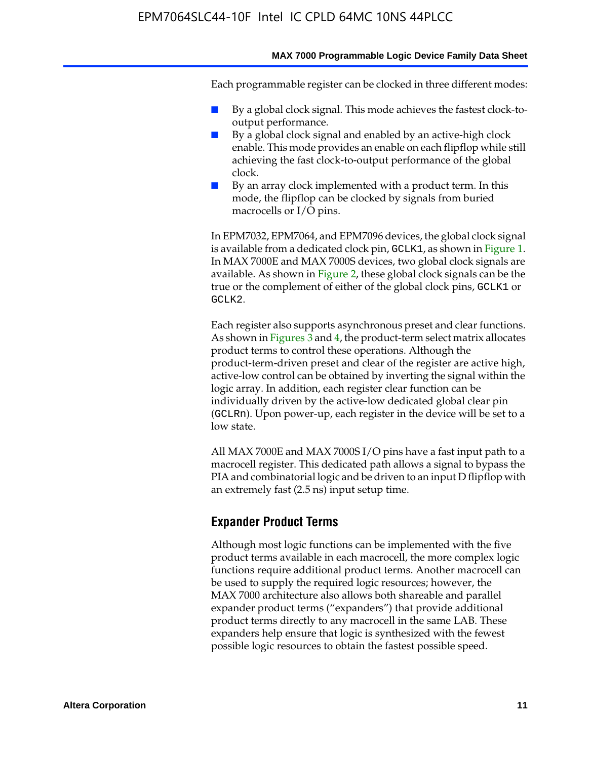#### **MAX 7000 Programmable Logic Device Family Data Sheet**

Each programmable register can be clocked in three different modes:

- By a global clock signal. This mode achieves the fastest clock-tooutput performance.
- By a global clock signal and enabled by an active-high clock enable. This mode provides an enable on each flipflop while still achieving the fast clock-to-output performance of the global clock.
- By an array clock implemented with a product term. In this mode, the flipflop can be clocked by signals from buried macrocells or I/O pins.

In EPM7032, EPM7064, and EPM7096 devices, the global clock signal is available from a dedicated clock pin, GCLK1, as shown in Figure 1. In MAX 7000E and MAX 7000S devices, two global clock signals are available. As shown in Figure 2, these global clock signals can be the true or the complement of either of the global clock pins, GCLK1 or GCLK2.

Each register also supports asynchronous preset and clear functions. As shown in Figures 3 and 4, the product-term select matrix allocates product terms to control these operations. Although the product-term-driven preset and clear of the register are active high, active-low control can be obtained by inverting the signal within the logic array. In addition, each register clear function can be individually driven by the active-low dedicated global clear pin (GCLRn). Upon power-up, each register in the device will be set to a low state.

All MAX 7000E and MAX 7000S I/O pins have a fast input path to a macrocell register. This dedicated path allows a signal to bypass the PIA and combinatorial logic and be driven to an input D flipflop with an extremely fast (2.5 ns) input setup time.

### **Expander Product Terms**

Although most logic functions can be implemented with the five product terms available in each macrocell, the more complex logic functions require additional product terms. Another macrocell can be used to supply the required logic resources; however, the MAX 7000 architecture also allows both shareable and parallel expander product terms ("expanders") that provide additional product terms directly to any macrocell in the same LAB. These expanders help ensure that logic is synthesized with the fewest possible logic resources to obtain the fastest possible speed.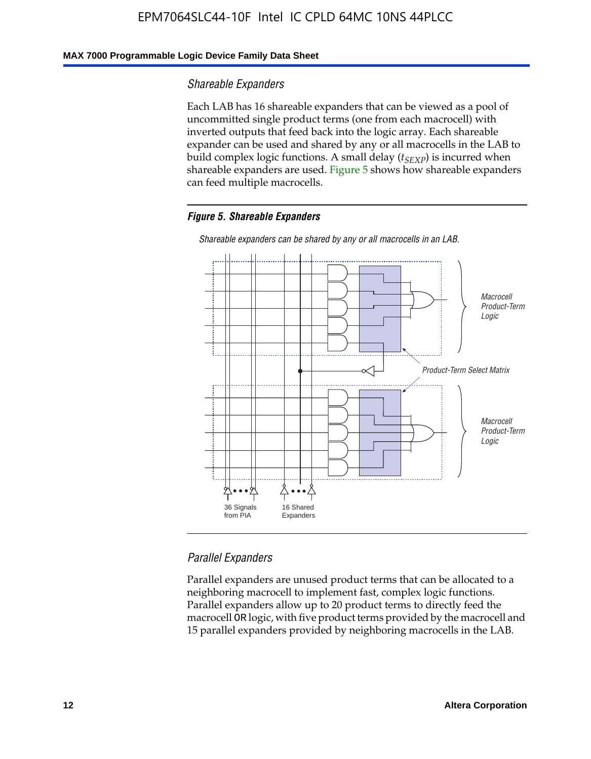### **MAX 7000 Programmable Logic Device Family Data Sheet**

### *Shareable Expanders*

Each LAB has 16 shareable expanders that can be viewed as a pool of uncommitted single product terms (one from each macrocell) with inverted outputs that feed back into the logic array. Each shareable expander can be used and shared by any or all macrocells in the LAB to build complex logic functions. A small delay ( $t_{SEXP}$ ) is incurred when shareable expanders are used. Figure 5 shows how shareable expanders can feed multiple macrocells.

#### *Figure 5. Shareable Expanders*



*Shareable expanders can be shared by any or all macrocells in an LAB.*

### *Parallel Expanders*

Parallel expanders are unused product terms that can be allocated to a neighboring macrocell to implement fast, complex logic functions. Parallel expanders allow up to 20 product terms to directly feed the macrocell OR logic, with five product terms provided by the macrocell and 15 parallel expanders provided by neighboring macrocells in the LAB.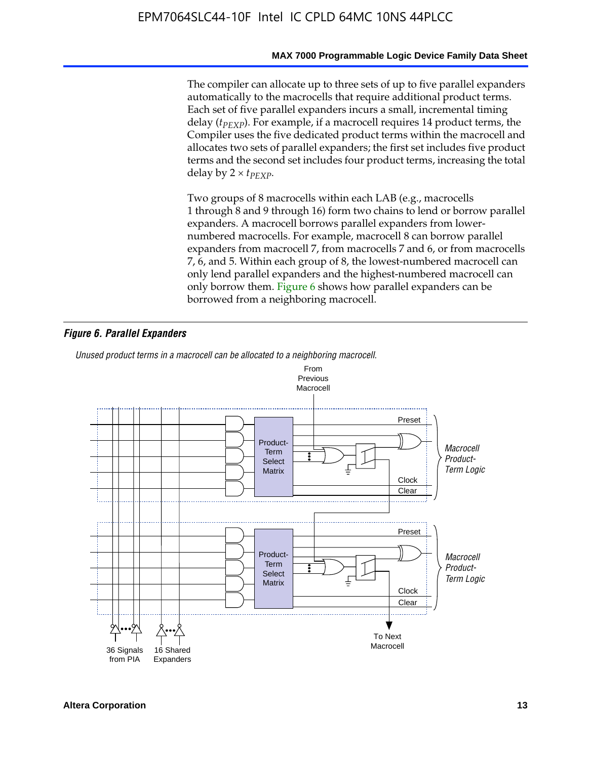#### **MAX 7000 Programmable Logic Device Family Data Sheet**

The compiler can allocate up to three sets of up to five parallel expanders automatically to the macrocells that require additional product terms. Each set of five parallel expanders incurs a small, incremental timing delay (*t<sub>PEXP</sub>*). For example, if a macrocell requires 14 product terms, the Compiler uses the five dedicated product terms within the macrocell and allocates two sets of parallel expanders; the first set includes five product terms and the second set includes four product terms, increasing the total delay by  $2 \times t_{PFXP}$ .

Two groups of 8 macrocells within each LAB (e.g., macrocells 1 through 8 and 9 through 16) form two chains to lend or borrow parallel expanders. A macrocell borrows parallel expanders from lowernumbered macrocells. For example, macrocell 8 can borrow parallel expanders from macrocell 7, from macrocells 7 and 6, or from macrocells 7, 6, and 5. Within each group of 8, the lowest-numbered macrocell can only lend parallel expanders and the highest-numbered macrocell can only borrow them. Figure 6 shows how parallel expanders can be borrowed from a neighboring macrocell.

#### *Figure 6. Parallel Expanders*

*Unused product terms in a macrocell can be allocated to a neighboring macrocell.*

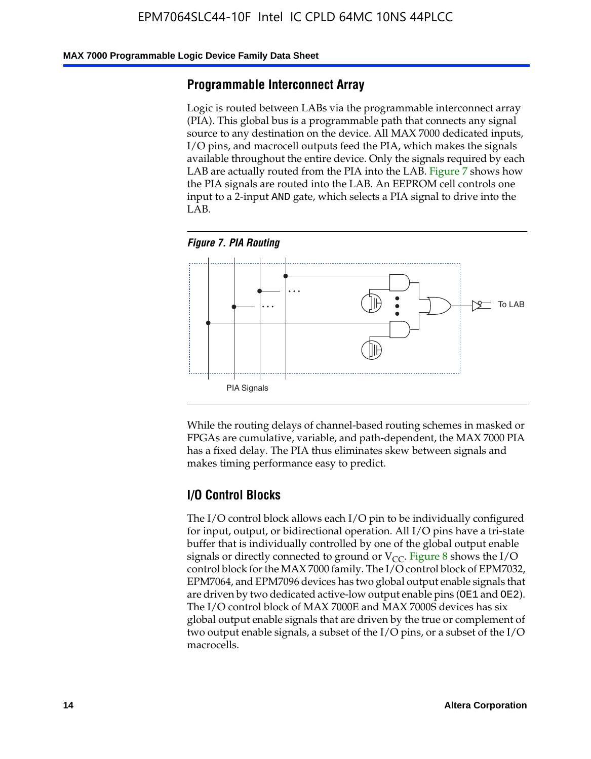#### **MAX 7000 Programmable Logic Device Family Data Sheet**

### **Programmable Interconnect Array**

Logic is routed between LABs via the programmable interconnect array (PIA). This global bus is a programmable path that connects any signal source to any destination on the device. All MAX 7000 dedicated inputs, I/O pins, and macrocell outputs feed the PIA, which makes the signals available throughout the entire device. Only the signals required by each LAB are actually routed from the PIA into the LAB. Figure 7 shows how the PIA signals are routed into the LAB. An EEPROM cell controls one input to a 2-input AND gate, which selects a PIA signal to drive into the LAB.





While the routing delays of channel-based routing schemes in masked or FPGAs are cumulative, variable, and path-dependent, the MAX 7000 PIA has a fixed delay. The PIA thus eliminates skew between signals and makes timing performance easy to predict.

### **I/O Control Blocks**

The I/O control block allows each I/O pin to be individually configured for input, output, or bidirectional operation. All I/O pins have a tri-state buffer that is individually controlled by one of the global output enable signals or directly connected to ground or  $V_{CC}$ . Figure 8 shows the I/O control block for the MAX 7000 family. The I/O control block of EPM7032, EPM7064, and EPM7096 devices has two global output enable signals that are driven by two dedicated active-low output enable pins (OE1 and OE2). The I/O control block of MAX 7000E and MAX 7000S devices has six global output enable signals that are driven by the true or complement of two output enable signals, a subset of the I/O pins, or a subset of the I/O macrocells.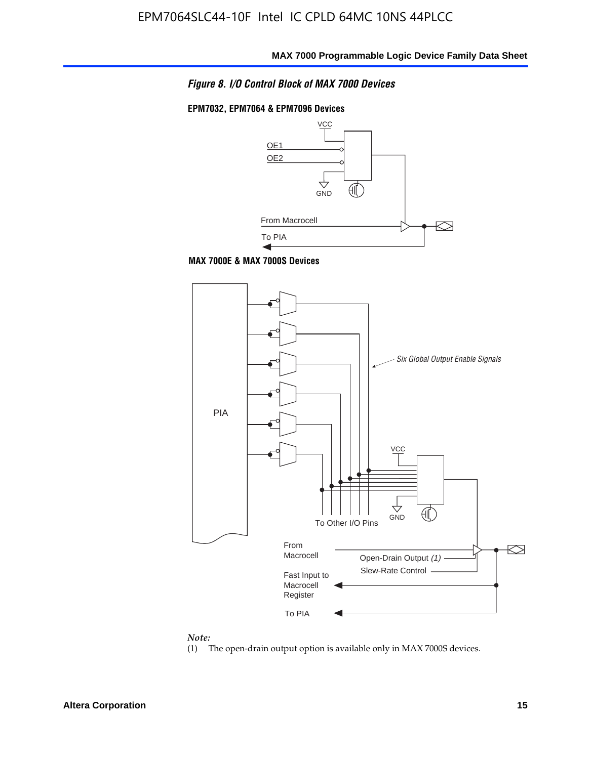

### **EPM7032, EPM7064 & EPM7096 Devices**



**MAX 7000E & MAX 7000S Devices**



#### *Note:*

(1) The open-drain output option is available only in MAX 7000S devices.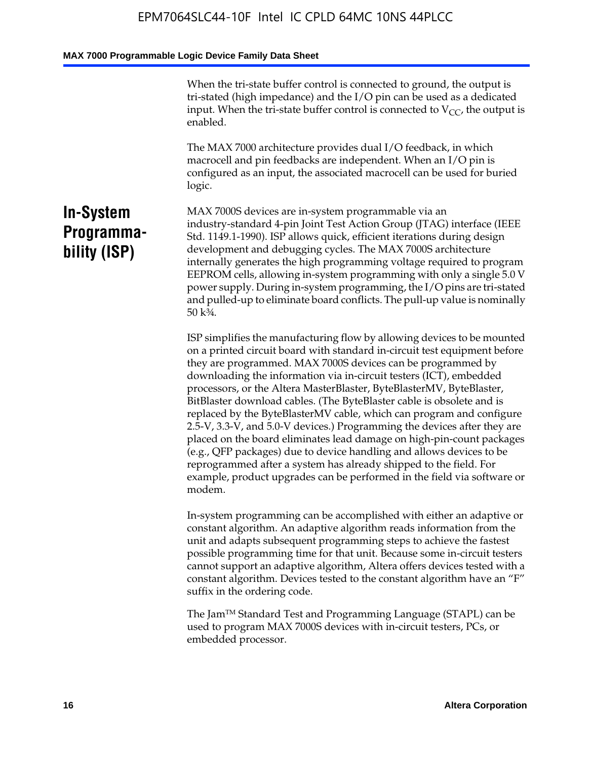When the tri-state buffer control is connected to ground, the output is tri-stated (high impedance) and the I/O pin can be used as a dedicated input. When the tri-state buffer control is connected to  $V_{CC}$ , the output is enabled.

The MAX 7000 architecture provides dual I/O feedback, in which macrocell and pin feedbacks are independent. When an I/O pin is configured as an input, the associated macrocell can be used for buried logic.

# **In-System Programmability (ISP)**

MAX 7000S devices are in-system programmable via an industry-standard 4-pin Joint Test Action Group (JTAG) interface (IEEE Std. 1149.1-1990). ISP allows quick, efficient iterations during design development and debugging cycles. The MAX 7000S architecture internally generates the high programming voltage required to program EEPROM cells, allowing in-system programming with only a single 5.0 V power supply. During in-system programming, the I/O pins are tri-stated and pulled-up to eliminate board conflicts. The pull-up value is nominally 50 k¾.

ISP simplifies the manufacturing flow by allowing devices to be mounted on a printed circuit board with standard in-circuit test equipment before they are programmed. MAX 7000S devices can be programmed by downloading the information via in-circuit testers (ICT), embedded processors, or the Altera MasterBlaster, ByteBlasterMV, ByteBlaster, BitBlaster download cables. (The ByteBlaster cable is obsolete and is replaced by the ByteBlasterMV cable, which can program and configure 2.5-V, 3.3-V, and 5.0-V devices.) Programming the devices after they are placed on the board eliminates lead damage on high-pin-count packages (e.g., QFP packages) due to device handling and allows devices to be reprogrammed after a system has already shipped to the field. For example, product upgrades can be performed in the field via software or modem.

In-system programming can be accomplished with either an adaptive or constant algorithm. An adaptive algorithm reads information from the unit and adapts subsequent programming steps to achieve the fastest possible programming time for that unit. Because some in-circuit testers cannot support an adaptive algorithm, Altera offers devices tested with a constant algorithm. Devices tested to the constant algorithm have an "F" suffix in the ordering code.

The Jam™ Standard Test and Programming Language (STAPL) can be used to program MAX 7000S devices with in-circuit testers, PCs, or embedded processor.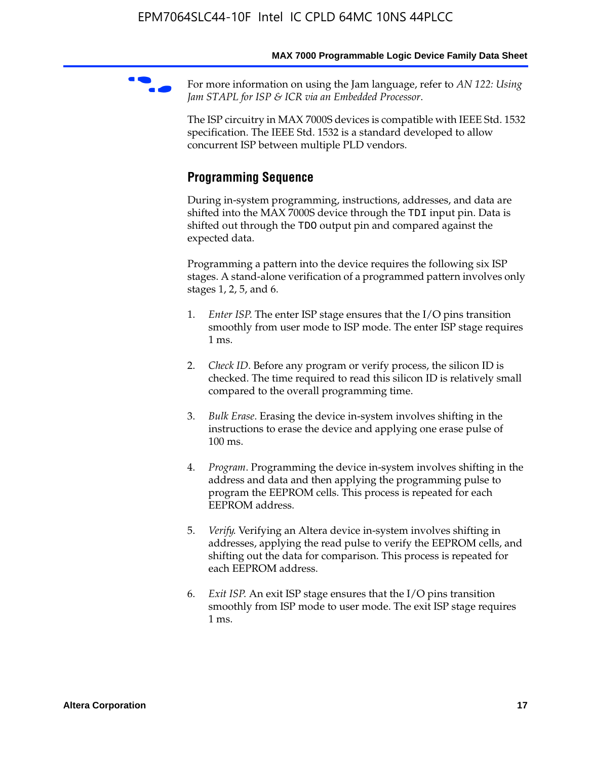For more information on using the Jam language, refer to *AN* 122: Using *Jam STAPL for ISP & ICR via an Embedded Processor*.

The ISP circuitry in MAX 7000S devices is compatible with IEEE Std. 1532 specification. The IEEE Std. 1532 is a standard developed to allow concurrent ISP between multiple PLD vendors.

# **Programming Sequence**

During in-system programming, instructions, addresses, and data are shifted into the MAX 7000S device through the TDI input pin. Data is shifted out through the TDO output pin and compared against the expected data.

Programming a pattern into the device requires the following six ISP stages. A stand-alone verification of a programmed pattern involves only stages 1, 2, 5, and 6.

- 1. *Enter ISP*. The enter ISP stage ensures that the I/O pins transition smoothly from user mode to ISP mode. The enter ISP stage requires 1 ms.
- 2. *Check ID*. Before any program or verify process, the silicon ID is checked. The time required to read this silicon ID is relatively small compared to the overall programming time.
- 3. *Bulk Erase*. Erasing the device in-system involves shifting in the instructions to erase the device and applying one erase pulse of 100 ms.
- 4. *Program*. Programming the device in-system involves shifting in the address and data and then applying the programming pulse to program the EEPROM cells. This process is repeated for each EEPROM address.
- 5. *Verify*. Verifying an Altera device in-system involves shifting in addresses, applying the read pulse to verify the EEPROM cells, and shifting out the data for comparison. This process is repeated for each EEPROM address.
- 6. *Exit ISP*. An exit ISP stage ensures that the I/O pins transition smoothly from ISP mode to user mode. The exit ISP stage requires 1 ms.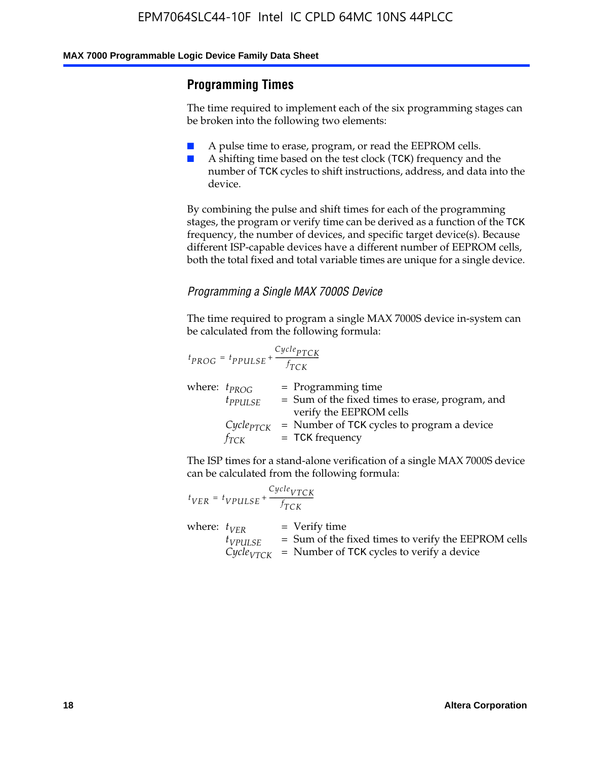# **Programming Times**

The time required to implement each of the six programming stages can be broken into the following two elements:

- A pulse time to erase, program, or read the EEPROM cells.
- A shifting time based on the test clock (TCK) frequency and the number of TCK cycles to shift instructions, address, and data into the device.

By combining the pulse and shift times for each of the programming stages, the program or verify time can be derived as a function of the TCK frequency, the number of devices, and specific target device(s). Because different ISP-capable devices have a different number of EEPROM cells, both the total fixed and total variable times are unique for a single device.

### *Programming a Single MAX 7000S Device*

The time required to program a single MAX 7000S device in-system can be calculated from the following formula:

$$
t_{PROG} = t_{PPULSE} + \frac{C_{ycle_{PTCK}}}{f_{TCK}}
$$
  
where:  $t_{PROG}$  = Programming time  
 $t_{PPULSE}$  = Sum of the fixed times to erase, program, and  
verify the EEPROM cells  
 $C_{ycle_{PTCK}}$  = Number of TCK cycles to program a device  
 $f_{TCK}$  = TCK frequency

The ISP times for a stand-alone verification of a single MAX 7000S device can be calculated from the following formula:

|                  | $t_{VER} = t_{VPULSE} + \frac{Cycle_{VTCK}}{f_{TCK}}$ |                                                                                                                                 |
|------------------|-------------------------------------------------------|---------------------------------------------------------------------------------------------------------------------------------|
| where: $t_{VFR}$ | $t_{VPULSE}$                                          | = Verify time<br>$=$ Sum of the fixed times to verify the EEPROM cells<br>$CycleVTCK$ = Number of TCK cycles to verify a device |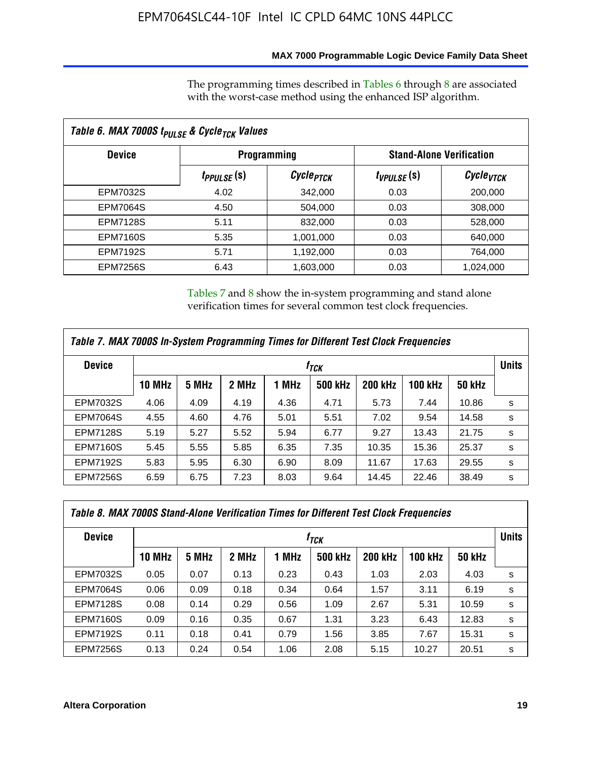### **MAX 7000 Programmable Logic Device Family Data Sheet**

The programming times described in Tables 6 through 8 are associated with the worst-case method using the enhanced ISP algorithm.

| Table 6. MAX 7000S t <sub>PULSE</sub> & Cycle <sub>TCK</sub> Values |                               |                       |                                 |                       |  |  |  |
|---------------------------------------------------------------------|-------------------------------|-----------------------|---------------------------------|-----------------------|--|--|--|
| <b>Device</b>                                                       |                               | <b>Programming</b>    | <b>Stand-Alone Verification</b> |                       |  |  |  |
|                                                                     | <i>t<sub>PPULSE</sub></i> (S) | Cycle <sub>PTCK</sub> | $t_{VPULSE}(s)$                 | Cycle <sub>VTCK</sub> |  |  |  |
| EPM7032S                                                            | 4.02                          | 342,000               | 0.03                            | 200,000               |  |  |  |
| <b>EPM7064S</b>                                                     | 4.50                          | 504.000               | 0.03                            | 308,000               |  |  |  |
| <b>EPM7128S</b>                                                     | 5.11                          | 832,000               | 0.03                            | 528,000               |  |  |  |
| <b>EPM7160S</b>                                                     | 5.35                          | 1,001,000             | 0.03                            | 640,000               |  |  |  |
| <b>EPM7192S</b>                                                     | 5.71                          | 1,192,000             | 0.03                            | 764,000               |  |  |  |
| <b>EPM7256S</b>                                                     | 6.43                          | 1,603,000             | 0.03                            | 1,024,000             |  |  |  |

Tables 7 and 8 show the in-system programming and stand alone verification times for several common test clock frequencies.

| Table 7. MAX 7000S In-System Programming Times for Different Test Clock Frequencies |                  |       |       |       |                |                |                |               |   |
|-------------------------------------------------------------------------------------|------------------|-------|-------|-------|----------------|----------------|----------------|---------------|---|
| <b>Device</b>                                                                       | † <sub>TCK</sub> |       |       |       |                |                |                |               |   |
|                                                                                     | <b>10 MHz</b>    | 5 MHz | 2 MHz | 1 MHz | <b>500 kHz</b> | <b>200 kHz</b> | <b>100 kHz</b> | <b>50 kHz</b> |   |
| <b>EPM7032S</b>                                                                     | 4.06             | 4.09  | 4.19  | 4.36  | 4.71           | 5.73           | 7.44           | 10.86         | s |
| <b>EPM7064S</b>                                                                     | 4.55             | 4.60  | 4.76  | 5.01  | 5.51           | 7.02           | 9.54           | 14.58         | s |
| <b>EPM7128S</b>                                                                     | 5.19             | 5.27  | 5.52  | 5.94  | 6.77           | 9.27           | 13.43          | 21.75         | s |
| <b>EPM7160S</b>                                                                     | 5.45             | 5.55  | 5.85  | 6.35  | 7.35           | 10.35          | 15.36          | 25.37         | s |
| <b>EPM7192S</b>                                                                     | 5.83             | 5.95  | 6.30  | 6.90  | 8.09           | 11.67          | 17.63          | 29.55         | s |
| <b>EPM7256S</b>                                                                     | 6.59             | 6.75  | 7.23  | 8.03  | 9.64           | 14.45          | 22.46          | 38.49         | s |

| Table 8. MAX 7000S Stand-Alone Verification Times for Different Test Clock Frequencies |               |                                  |       |       |                |                |                |               |   |
|----------------------------------------------------------------------------------------|---------------|----------------------------------|-------|-------|----------------|----------------|----------------|---------------|---|
| <b>Device</b>                                                                          |               | <b>Units</b><br>† <sub>TCK</sub> |       |       |                |                |                |               |   |
|                                                                                        | <b>10 MHz</b> | 5 MHz                            | 2 MHz | 1 MHz | <b>500 kHz</b> | <b>200 kHz</b> | <b>100 kHz</b> | <b>50 kHz</b> |   |
| <b>EPM7032S</b>                                                                        | 0.05          | 0.07                             | 0.13  | 0.23  | 0.43           | 1.03           | 2.03           | 4.03          | s |
| <b>EPM7064S</b>                                                                        | 0.06          | 0.09                             | 0.18  | 0.34  | 0.64           | 1.57           | 3.11           | 6.19          | s |
| <b>EPM7128S</b>                                                                        | 0.08          | 0.14                             | 0.29  | 0.56  | 1.09           | 2.67           | 5.31           | 10.59         | s |
| <b>EPM7160S</b>                                                                        | 0.09          | 0.16                             | 0.35  | 0.67  | 1.31           | 3.23           | 6.43           | 12.83         | s |
| <b>EPM7192S</b>                                                                        | 0.11          | 0.18                             | 0.41  | 0.79  | 1.56           | 3.85           | 7.67           | 15.31         | s |
| <b>EPM7256S</b>                                                                        | 0.13          | 0.24                             | 0.54  | 1.06  | 2.08           | 5.15           | 10.27          | 20.51         | s |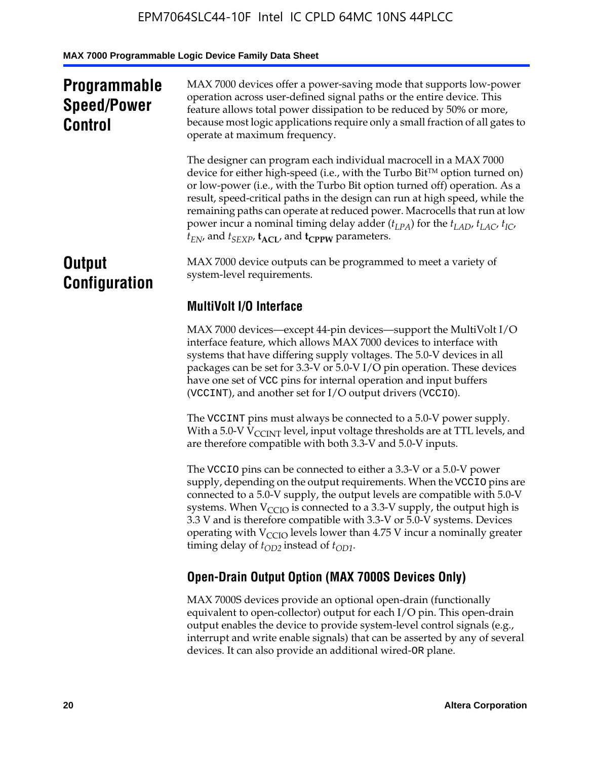# **Programmable Speed/Power Control**

MAX 7000 devices offer a power-saving mode that supports low-power operation across user-defined signal paths or the entire device. This feature allows total power dissipation to be reduced by 50% or more, because most logic applications require only a small fraction of all gates to operate at maximum frequency.

The designer can program each individual macrocell in a MAX 7000 device for either high-speed (i.e., with the Turbo  $Bit^{TM}$  option turned on) or low-power (i.e., with the Turbo Bit option turned off) operation. As a result, speed-critical paths in the design can run at high speed, while the remaining paths can operate at reduced power. Macrocells that run at low power incur a nominal timing delay adder  $(t_{LPA})$  for the  $t_{LAD}$ ,  $t_{LAC}$ ,  $t_{IC}$ ,  $t_{EN}$ , and  $t_{SEXP}$ ,  $t_{ACL}$ , and  $t_{CPPW}$  parameters.

# **Output Configuration**

MAX 7000 device outputs can be programmed to meet a variety of system-level requirements.

# **MultiVolt I/O Interface**

MAX 7000 devices—except 44-pin devices—support the MultiVolt I/O interface feature, which allows MAX 7000 devices to interface with systems that have differing supply voltages. The 5.0-V devices in all packages can be set for 3.3-V or 5.0-V I/O pin operation. These devices have one set of VCC pins for internal operation and input buffers (VCCINT), and another set for I/O output drivers (VCCIO).

The VCCINT pins must always be connected to a 5.0-V power supply. With a 5.0-V  $V_{\text{CCINT}}$  level, input voltage thresholds are at TTL levels, and are therefore compatible with both 3.3-V and 5.0-V inputs.

The VCCIO pins can be connected to either a 3.3-V or a 5.0-V power supply, depending on the output requirements. When the VCCIO pins are connected to a 5.0-V supply, the output levels are compatible with 5.0-V systems. When  $V_{\text{CGO}}$  is connected to a 3.3-V supply, the output high is 3.3 V and is therefore compatible with 3.3-V or 5.0-V systems. Devices operating with  $V_{\text{CCIO}}$  levels lower than 4.75 V incur a nominally greater timing delay of  $t_{OD2}$  instead of  $t_{OD1}$ .

# **Open-Drain Output Option (MAX 7000S Devices Only)**

MAX 7000S devices provide an optional open-drain (functionally equivalent to open-collector) output for each I/O pin. This open-drain output enables the device to provide system-level control signals (e.g., interrupt and write enable signals) that can be asserted by any of several devices. It can also provide an additional wired-OR plane.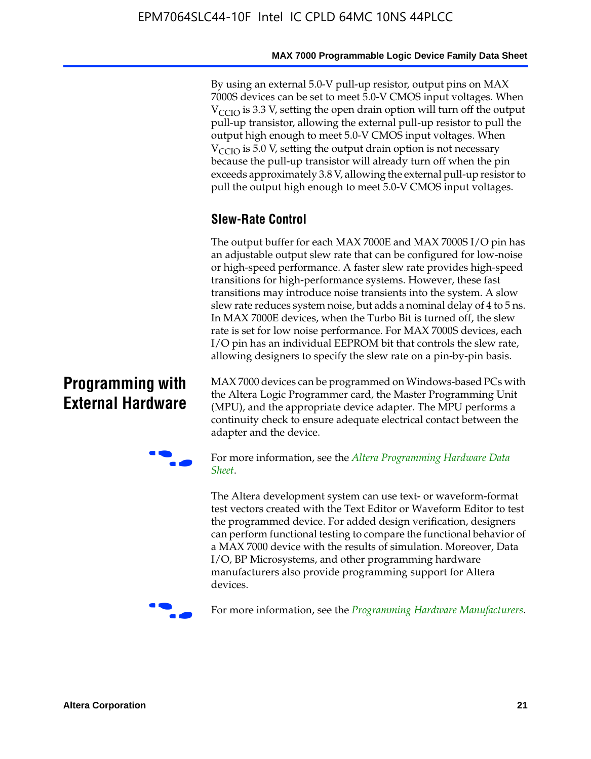By using an external 5.0-V pull-up resistor, output pins on MAX 7000S devices can be set to meet 5.0-V CMOS input voltages. When  $V_{\text{CCIO}}$  is 3.3 V, setting the open drain option will turn off the output pull-up transistor, allowing the external pull-up resistor to pull the output high enough to meet 5.0-V CMOS input voltages. When  $V_{\text{CCIO}}$  is 5.0 V, setting the output drain option is not necessary because the pull-up transistor will already turn off when the pin exceeds approximately 3.8 V, allowing the external pull-up resistor to pull the output high enough to meet 5.0-V CMOS input voltages.

# **Slew-Rate Control**

The output buffer for each MAX 7000E and MAX 7000S I/O pin has an adjustable output slew rate that can be configured for low-noise or high-speed performance. A faster slew rate provides high-speed transitions for high-performance systems. However, these fast transitions may introduce noise transients into the system. A slow slew rate reduces system noise, but adds a nominal delay of 4 to 5 ns. In MAX 7000E devices, when the Turbo Bit is turned off, the slew rate is set for low noise performance. For MAX 7000S devices, each I/O pin has an individual EEPROM bit that controls the slew rate, allowing designers to specify the slew rate on a pin-by-pin basis.

# **Programming with External Hardware**

[MAX](http://www.altera.com/literature/ds/dspghd.pdf) 7000 devices can be prog[rammed on Windows-based PCs with](http://www.altera.com/literature/ds/dspghd.pdf)  the Altera Logic Programmer card, the Master Programming Unit (MPU), and the appropriate device adapter. The MPU performs a continuity check to ensure adequate electrical contact between the adapter and the device.



For more information, see the *Altera Programming Hardware Data Sheet*.

The Altera development system can use text- or waveform-format test vectors created with the Text Editor or Waveform Editor to test the programmed device. For added design verification, designers can perform functional testing to compare the functional behavior of a MAX 7000 device with the results of simulation. Moreover, Data I/O, BP Microsystems, and other programming hardware manufacturers also provide programming support for Altera devices.



For more information, see the *Programming Hardware Manufacturers*.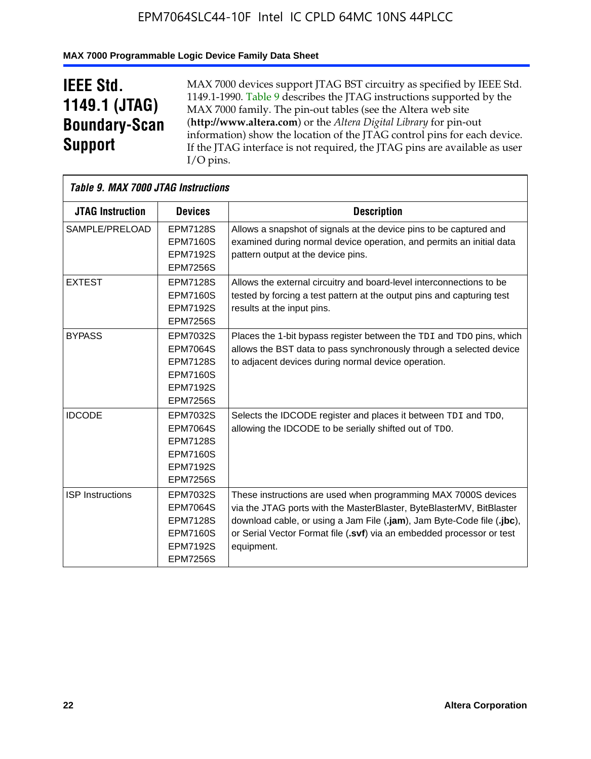### **MAX 7000 Programmable Logic Device Family Data Sheet**

# **IEEE Std. 1149.1 (JTAG) Boundary-Scan Support**

 $\mathsf{r}$ 

MAX 7000 devices support JTAG BST circuitry as specified by IEEE Std. 1149.1-1990. Table 9 describes the JTAG instructions supported by the MAX 7000 family. The pin-out tables (see the Altera web site (**http://www.altera.com**) or the *Altera Digital Library* for pin-out information) show the location of the JTAG control pins for each device. If the JTAG interface is not required, the JTAG pins are available as user I/O pins.

|                         | Table 9. MAX 7000 JTAG Instructions                                                                            |                                                                                                                                                                                                                                                                                                         |  |  |  |  |  |  |
|-------------------------|----------------------------------------------------------------------------------------------------------------|---------------------------------------------------------------------------------------------------------------------------------------------------------------------------------------------------------------------------------------------------------------------------------------------------------|--|--|--|--|--|--|
| <b>JTAG Instruction</b> | <b>Devices</b>                                                                                                 | <b>Description</b>                                                                                                                                                                                                                                                                                      |  |  |  |  |  |  |
| SAMPLE/PRELOAD          | <b>EPM7128S</b><br><b>EPM7160S</b><br><b>EPM7192S</b>                                                          | Allows a snapshot of signals at the device pins to be captured and<br>examined during normal device operation, and permits an initial data<br>pattern output at the device pins.                                                                                                                        |  |  |  |  |  |  |
|                         | <b>EPM7256S</b>                                                                                                |                                                                                                                                                                                                                                                                                                         |  |  |  |  |  |  |
| <b>EXTEST</b>           | <b>EPM7128S</b><br><b>EPM7160S</b><br><b>EPM7192S</b><br><b>EPM7256S</b>                                       | Allows the external circuitry and board-level interconnections to be<br>tested by forcing a test pattern at the output pins and capturing test<br>results at the input pins.                                                                                                                            |  |  |  |  |  |  |
| <b>BYPASS</b>           | EPM7032S<br><b>EPM7064S</b><br><b>EPM7128S</b><br><b>EPM7160S</b><br><b>EPM7192S</b><br><b>EPM7256S</b>        | Places the 1-bit bypass register between the TDI and TDO pins, which<br>allows the BST data to pass synchronously through a selected device<br>to adjacent devices during normal device operation.                                                                                                      |  |  |  |  |  |  |
| <b>IDCODE</b>           | EPM7032S<br><b>EPM7064S</b><br><b>EPM7128S</b><br><b>EPM7160S</b><br><b>EPM7192S</b><br><b>EPM7256S</b>        | Selects the IDCODE register and places it between TDI and TDO,<br>allowing the IDCODE to be serially shifted out of TDO.                                                                                                                                                                                |  |  |  |  |  |  |
| <b>ISP Instructions</b> | <b>EPM7032S</b><br><b>EPM7064S</b><br><b>EPM7128S</b><br><b>EPM7160S</b><br><b>EPM7192S</b><br><b>EPM7256S</b> | These instructions are used when programming MAX 7000S devices<br>via the JTAG ports with the MasterBlaster, ByteBlasterMV, BitBlaster<br>download cable, or using a Jam File (.jam), Jam Byte-Code file (.jbc),<br>or Serial Vector Format file (.svf) via an embedded processor or test<br>equipment. |  |  |  |  |  |  |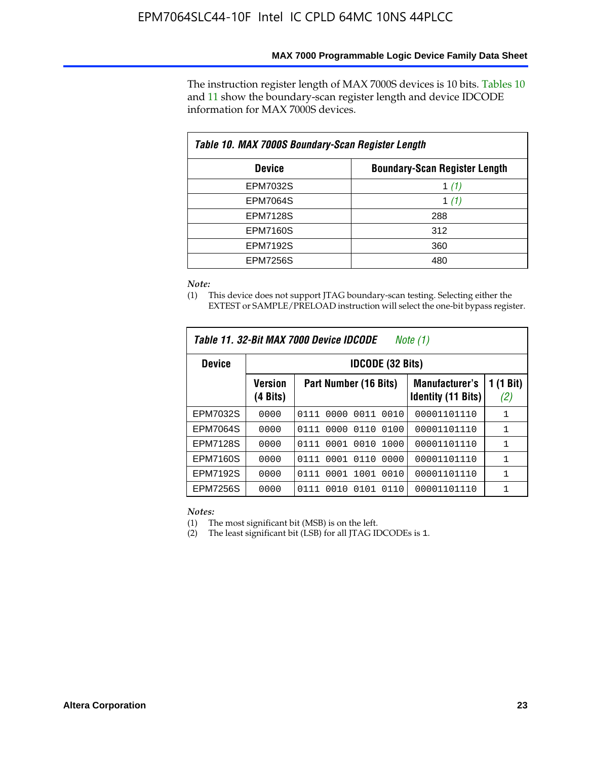The instruction register length of MAX 7000S devices is 10 bits. Tables 10 and 11 show the boundary-scan register length and device IDCODE information for MAX 7000S devices.

| Table 10. MAX 7000S Boundary-Scan Register Length |                                      |  |  |  |  |  |
|---------------------------------------------------|--------------------------------------|--|--|--|--|--|
| <b>Device</b>                                     | <b>Boundary-Scan Register Length</b> |  |  |  |  |  |
| <b>EPM7032S</b>                                   | 1 (1)                                |  |  |  |  |  |
| <b>EPM7064S</b>                                   | 1 $(1)$                              |  |  |  |  |  |
| <b>EPM7128S</b>                                   | 288                                  |  |  |  |  |  |
| <b>EPM7160S</b>                                   | 312                                  |  |  |  |  |  |
| <b>EPM7192S</b>                                   | 360                                  |  |  |  |  |  |
| <b>EPM7256S</b>                                   | 480                                  |  |  |  |  |  |

*Note:*

(1) This device does not support JTAG boundary-scan testing. Selecting either the EXTEST or SAMPLE/PRELOAD instruction will select the one-bit bypass register.

| Table 11, 32-Bit MAX 7000 Device IDCODE<br>Note (1) |                            |                              |                                                    |                  |  |  |  |
|-----------------------------------------------------|----------------------------|------------------------------|----------------------------------------------------|------------------|--|--|--|
| <b>Device</b>                                       |                            | <b>IDCODE (32 Bits)</b>      |                                                    |                  |  |  |  |
|                                                     | <b>Version</b><br>(4 Bits) | Part Number (16 Bits)        | <b>Manufacturer's</b><br><b>Identity (11 Bits)</b> | 1 (1 Bit)<br>(2) |  |  |  |
| EPM7032S                                            | 0000                       | 0010<br>0111<br>0000<br>0011 | 00001101110                                        | 1                |  |  |  |
| <b>EPM7064S</b>                                     | 0000                       | 0000<br>0110<br>0100<br>0111 | 00001101110                                        | 1                |  |  |  |
| <b>EPM7128S</b>                                     | 0000                       | 0001 0010<br>1000<br>0111    | 00001101110                                        | 1                |  |  |  |
| <b>EPM7160S</b>                                     | 0000                       | 0001<br>0110<br>0000<br>0111 | 00001101110                                        | $\mathbf{1}$     |  |  |  |
| <b>EPM7192S</b>                                     | 0000                       | 1001<br>0010<br>0111<br>0001 | 00001101110                                        | 1                |  |  |  |
| EPM7256S                                            | 0000                       | 0111<br>0010<br>0101<br>0110 | 00001101110                                        | 1                |  |  |  |

*Notes:*

(1) The most significant bit (MSB) is on the left.

(2) The least significant bit (LSB) for all JTAG IDCODEs is 1.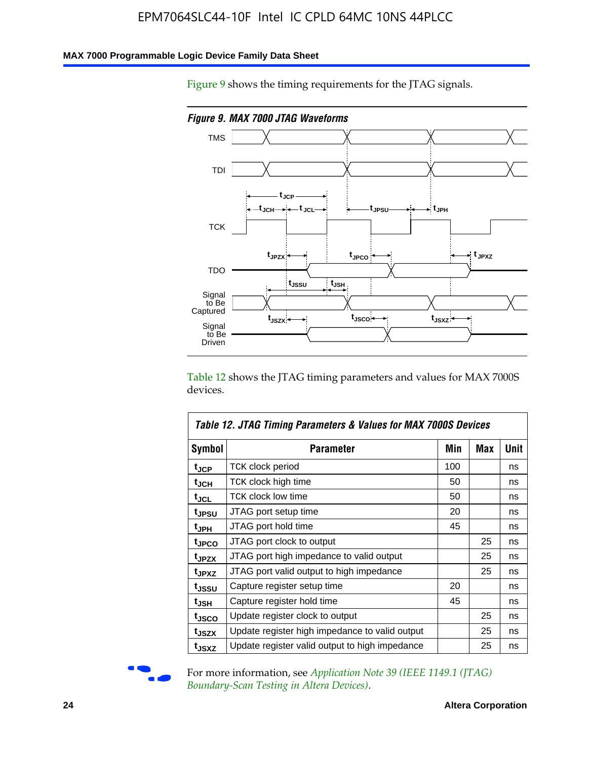### **MAX 7000 Programmable Logic Device Family Data Sheet**

Figure 9 shows the timing requirements for the JTAG signals.



Table 12 shows the JTAG timing parameters and values for MAX 7000S devices.

|                   | Table 12. JTAG Timing Parameters & Values for MAX 7000S Devices |     |     |             |  |  |  |
|-------------------|-----------------------------------------------------------------|-----|-----|-------------|--|--|--|
| <b>Symbol</b>     | Parameter                                                       | Min | Max | <b>Unit</b> |  |  |  |
| t <sub>JCP</sub>  | TCK clock period                                                | 100 |     | ns          |  |  |  |
| t <sub>JCH</sub>  | TCK clock high time                                             | 50  |     | ns          |  |  |  |
| $t_{\sf JCL}$     | <b>TCK clock low time</b>                                       | 50  |     | ns          |  |  |  |
| tjpsu             | JTAG port setup time                                            | 20  |     | ns          |  |  |  |
| t <sub>JPH</sub>  | JTAG port hold time                                             | 45  |     | ns          |  |  |  |
| tjpco             | JTAG port clock to output                                       |     | 25  | ns          |  |  |  |
| t <sub>JPZX</sub> | JTAG port high impedance to valid output                        |     | 25  | ns          |  |  |  |
| t <sub>JPXZ</sub> | JTAG port valid output to high impedance                        |     | 25  | ns          |  |  |  |
| t <sub>JSSU</sub> | Capture register setup time                                     | 20  |     | ns          |  |  |  |
| t <sub>JSH</sub>  | Capture register hold time                                      | 45  |     | ns          |  |  |  |
| tjsco             | Update register clock to output                                 |     | 25  | ns          |  |  |  |
| t <sub>JSZX</sub> | Update register high impedance to valid output                  |     | 25  | ns          |  |  |  |
| tjsxz             | Update register valid output to high impedance                  |     | 25  | ns          |  |  |  |



For more information, see *Application Note 39* (IEEE 1149.1 (JTAG) *Boundary-Scan Testing in Altera Devices)*.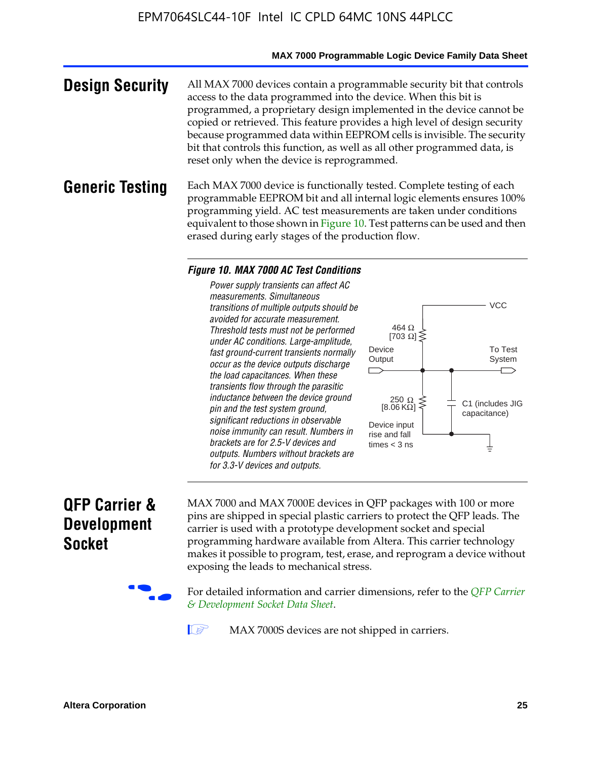#### **MAX 7000 Programmable Logic Device Family Data Sheet**

**Design Security** All MAX 7000 devices contain a programmable security bit that controls access to the data programmed into the device. When this bit is programmed, a proprietary design implemented in the device cannot be copied or retrieved. This feature provides a high level of design security because programmed data within EEPROM cells is invisible. The security bit that controls this function, as well as all other programmed data, is reset only when the device is reprogrammed.

### **Generic Testing** Each MAX 7000 device is functionally tested. Complete testing of each programmable EEPROM bit and all internal logic elements ensures 100% programming yield. AC test measurements are taken under conditions equivalent to those shown in Figure 10. Test patterns can be used and then erased during early stages of the production flow.

#### *Figure 10. MAX 7000 AC Test Conditions*

*Power supply transients can affect AC measurements. Simultaneous transitions of multiple outputs should be avoided for accurate measurement. Threshold tests must not be performed under AC conditions. Large-amplitude, fast ground-current transients normally occur as the device outputs discharge the load capacitances. When these transients flow through the parasitic inductance between the device ground pin and the test system ground, significant reductions in observable noise immunity can result. Numbers in brackets are for 2.5-V devices and outputs. Numbers without brackets are for 3.3-V devices and outputs.*



# **QFP Carrier & Development Socket**

MAX 7000 and MAX 7000E devices in QFP packages with 10[0 or more](http://www.altera.com/literature/ds/dsqfp.pdf)  [pins are shipped in special plas](http://www.altera.com/literature/ds/dsqfp.pdf)tic carriers to protect the QFP leads. The carrier is used with a prototype development socket and special programming hardware available from Altera. This carrier technology makes it possible to program, test, erase, and reprogram a device without exposing the leads to mechanical stress.

For detailed information and carrier dimensions, refer to the *QFP Carrier & Development Socket Data Sheet*.

MAX 7000S devices are not shipped in carriers.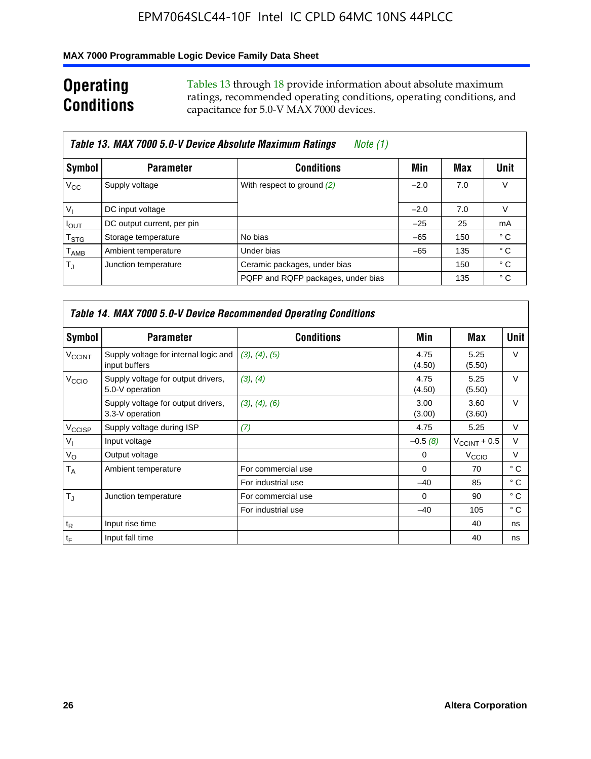### **MAX 7000 Programmable Logic Device Family Data Sheet**

# **Operating Conditions**

Tables 13 through 18 provide information about absolute maximum ratings, recommended operating conditions, operating conditions, and capacitance for 5.0-V MAX 7000 devices.

|                             | Table 13. MAX 7000 5.0-V Device Absolute Maximum Ratings<br>Note (1) |                                    |        |     |                |  |  |  |  |
|-----------------------------|----------------------------------------------------------------------|------------------------------------|--------|-----|----------------|--|--|--|--|
| Symbol                      | <b>Parameter</b>                                                     | <b>Conditions</b>                  | Min    | Max | Unit           |  |  |  |  |
| $V_{\rm CC}$                | Supply voltage                                                       | With respect to ground (2)         | $-2.0$ | 7.0 | V              |  |  |  |  |
| $V_{1}$                     | DC input voltage                                                     |                                    | $-2.0$ | 7.0 | V              |  |  |  |  |
| $I_{OUT}$                   | DC output current, per pin                                           |                                    | $-25$  | 25  | m <sub>A</sub> |  |  |  |  |
| $\mathsf{T}_{\textsf{STG}}$ | Storage temperature                                                  | No bias                            | $-65$  | 150 | ° C            |  |  |  |  |
| $\mathsf{T}_{\mathsf{AMB}}$ | Ambient temperature                                                  | Under bias                         | $-65$  | 135 | ° C            |  |  |  |  |
| $T_{\rm J}$                 | Junction temperature                                                 | Ceramic packages, under bias       |        | 150 | $^{\circ}$ C   |  |  |  |  |
|                             |                                                                      | PQFP and RQFP packages, under bias |        | 135 | ° C            |  |  |  |  |

|                          | <b>Table 14. MAX 7000 5.0-V Device Recommended Operating Conditions</b> |                    |                |                       |              |  |  |  |
|--------------------------|-------------------------------------------------------------------------|--------------------|----------------|-----------------------|--------------|--|--|--|
| Symbol                   | <b>Parameter</b>                                                        | <b>Conditions</b>  | Min            | Max                   | <b>Unit</b>  |  |  |  |
| <b>V<sub>CCINT</sub></b> | Supply voltage for internal logic and<br>input buffers                  | (3), (4), (5)      | 4.75<br>(4.50) | 5.25<br>(5.50)        | $\vee$       |  |  |  |
| V <sub>CCIO</sub>        | Supply voltage for output drivers,<br>5.0-V operation                   | (3), (4)           | 4.75<br>(4.50) | 5.25<br>(5.50)        | $\vee$       |  |  |  |
|                          | Supply voltage for output drivers,<br>3.3-V operation                   | (3), (4), (6)      | 3.00<br>(3.00) | 3.60<br>(3.60)        | $\vee$       |  |  |  |
| V <sub>CCISP</sub>       | Supply voltage during ISP                                               | (7)                | 4.75           | 5.25                  | V            |  |  |  |
| $V_{1}$                  | Input voltage                                                           |                    | $-0.5(8)$      | $V_{\rm CCINT}$ + 0.5 | V            |  |  |  |
| $V_{\rm O}$              | Output voltage                                                          |                    | 0              | V <sub>CCIO</sub>     | v            |  |  |  |
| T <sub>A</sub>           | Ambient temperature                                                     | For commercial use | $\Omega$       | 70                    | $^{\circ}$ C |  |  |  |
|                          |                                                                         | For industrial use | $-40$          | 85                    | $^{\circ}$ C |  |  |  |
| $T_{\rm J}$              | Junction temperature                                                    | For commercial use | $\Omega$       | 90                    | ° C          |  |  |  |
|                          |                                                                         | For industrial use | $-40$          | 105                   | ° C          |  |  |  |
| $t_{\mathsf{R}}$         | Input rise time                                                         |                    |                | 40                    | ns           |  |  |  |
| $t_{\mathsf{F}}$         | Input fall time                                                         |                    |                | 40                    | ns           |  |  |  |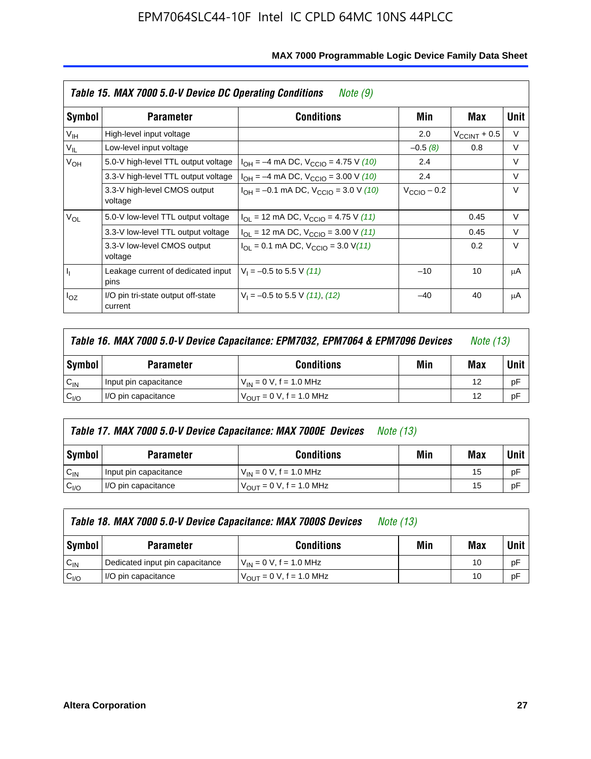|                 | Table 15. MAX 7000 5.0-V Device DC Operating Conditions<br>Note (9) |                                                                           |                      |                          |        |  |  |  |  |
|-----------------|---------------------------------------------------------------------|---------------------------------------------------------------------------|----------------------|--------------------------|--------|--|--|--|--|
| Symbol          | <b>Parameter</b>                                                    | <b>Conditions</b>                                                         | Min                  | Max                      | Unit   |  |  |  |  |
| V <sub>IH</sub> | High-level input voltage                                            |                                                                           | 2.0                  | $V_{\text{CCINT}} + 0.5$ | V      |  |  |  |  |
| $V_{IL}$        | Low-level input voltage                                             |                                                                           | $-0.5(8)$            | 0.8                      | V      |  |  |  |  |
| $V_{OH}$        | 5.0-V high-level TTL output voltage                                 | $I_{OH} = -4$ mA DC, $V_{CClO} = 4.75$ V (10)                             | 2.4                  |                          | $\vee$ |  |  |  |  |
|                 | 3.3-V high-level TTL output voltage                                 | $I_{OH} = -4$ mA DC, $V_{CClO} = 3.00$ V (10)                             | 2.4                  |                          | V      |  |  |  |  |
|                 | 3.3-V high-level CMOS output<br>voltage                             | $I_{OH} = -0.1$ mA DC, $V_{CClO} = 3.0$ V (10)                            | $V_{\rm CClO}$ – 0.2 |                          | V      |  |  |  |  |
| $V_{OL}$        | 5.0-V low-level TTL output voltage                                  | $I_{\text{OI}}$ = 12 mA DC, $V_{\text{CCIO}}$ = 4.75 V (11)               |                      | 0.45                     | $\vee$ |  |  |  |  |
|                 | 3.3-V low-level TTL output voltage                                  | $I_{OL}$ = 12 mA DC, $V_{CCIO}$ = 3.00 V (11)                             |                      | 0.45                     | $\vee$ |  |  |  |  |
|                 | 3.3-V low-level CMOS output<br>voltage                              | $I_{\text{OI}} = 0.1 \text{ mA DC}, V_{\text{CCIO}} = 3.0 \text{ V} (11)$ |                      | 0.2                      | $\vee$ |  |  |  |  |
| ı,              | Leakage current of dedicated input<br>pins                          | $V_1 = -0.5$ to 5.5 V (11)                                                | $-10$                | 10                       | μA     |  |  |  |  |
| $I_{OZ}$        | I/O pin tri-state output off-state<br>current                       | $V_1 = -0.5$ to 5.5 V (11), (12)                                          | $-40$                | 40                       | μA     |  |  |  |  |

| Table 16. MAX 7000 5.0-V Device Capacitance: EPM7032, EPM7064 & EPM7096 Devices |                                              |                                |  |    | <i>Note</i> (13) |
|---------------------------------------------------------------------------------|----------------------------------------------|--------------------------------|--|----|------------------|
| <b>Symbol</b>                                                                   | <b>Conditions</b><br>Min<br><b>Parameter</b> |                                |  |    |                  |
| $C_{IN}$                                                                        | Input pin capacitance                        | $V_{IN} = 0 V$ , f = 1.0 MHz   |  | 12 | рF               |
| C <sub>I/O</sub>                                                                | I/O pin capacitance                          | $V_{OUIT} = 0 V$ , f = 1.0 MHz |  | 12 | рF               |

|                  | Table 17. MAX 7000 5.0-V Device Capacitance: MAX 7000E Devices<br><i>Note (13)</i> |                               |     |      |    |  |
|------------------|------------------------------------------------------------------------------------|-------------------------------|-----|------|----|--|
| <b>Symbol</b>    | <b>Parameter</b>                                                                   | Min                           | Max | Unit |    |  |
| $C_{IN}$         | Input pin capacitance                                                              | $V_{IN} = 0 V$ , f = 1.0 MHz  |     | 15   | pF |  |
| C <sub>I/O</sub> | I/O pin capacitance                                                                | $V_{OUT} = 0 V$ , f = 1.0 MHz |     | 15   | pF |  |

|                  | Table 18. MAX 7000 5.0-V Device Capacitance: MAX 7000S Devices | <i>Note (13)</i>                    |     |     |        |
|------------------|----------------------------------------------------------------|-------------------------------------|-----|-----|--------|
| Symbol           | <b>Parameter</b>                                               | <b>Conditions</b>                   | Min | Max | Unit I |
| $C_{IN}$         | Dedicated input pin capacitance                                | $V_{IN} = 0 V$ , f = 1.0 MHz        |     | 10  | pF     |
| C <sub>I/O</sub> | I/O pin capacitance                                            | $V_{\text{OUT}} = 0 V, f = 1.0 MHz$ |     | 10  | pF     |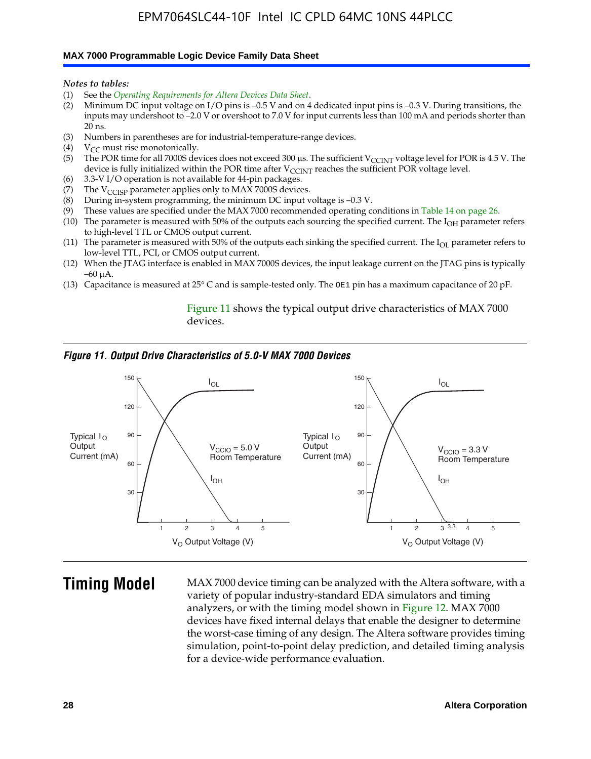#### **MAX 7000 Programmable Logic Device Family Data Sheet**

*Notes to tables:*

- (1) See the *Operating Requirements for Altera Devices Data Sheet*.
- (2) Minimum DC input voltage on I/O pins is –0.5 V and on 4 dedicated input pins is –0.3 V. During transitions, the inputs may undershoot to –2.0 V or overshoot to 7.0 V for input currents less than 100 mA and periods shorter than  $20$  ns.
- (3) Numbers in parentheses are for industrial-temperature-range devices.<br>(4)  ${\rm V}_{CC}$  must rise monotonically.
- $V_{CC}$  must rise monotonically.
- (5) The POR time for all 7000S devices does not exceed 300 µs. The sufficient V<sub>CCINT</sub> voltage level for POR is 4.5 V. The device is fully initialized within the POR time after  $V_{\text{CCINT}}$  reaches the sufficient POR voltage level.
- (6) 3.3-V I/O operation is not available for 44-pin packages.
- (7) The  $V_{\text{CCISP}}$  parameter applies only to MAX 7000S devices.
- (8) During in-system programming, the minimum DC input voltage is –0.3 V.
- (9) These values are specified under the MAX 7000 recommended operating conditions in Table 14 on page 26.
- (10) The parameter is measured with 50% of the outputs each sourcing the specified current. The  $I_{OH}$  parameter refers to high-level TTL or CMOS output current.
- (11) The parameter is measured with 50% of the outputs each sinking the specified current. The  $I_{OL}$  parameter refers to low-level TTL, PCI, or CMOS output current.
- (12) When the JTAG interface is enabled in MAX 7000S devices, the input leakage current on the JTAG pins is typically –60 μA.
- (13) Capacitance is measured at 25° C and is sample-tested only. The OE1 pin has a maximum capacitance of 20 pF.

Figure 11 shows the typical output drive characteristics of MAX 7000 devices.

#### *Figure 11. Output Drive Characteristics of 5.0-V MAX 7000 Devices*



**Timing Model** MAX 7000 device timing can be analyzed with the Altera software, with a variety of popular industry-standard EDA simulators and timing analyzers, or with the timing model shown in Figure 12. MAX 7000 devices have fixed internal delays that enable the designer to determine the worst-case timing of any design. The Altera software provides timing simulation, point-to-point delay prediction, and detailed timing analysis for a device-wide performance evaluation.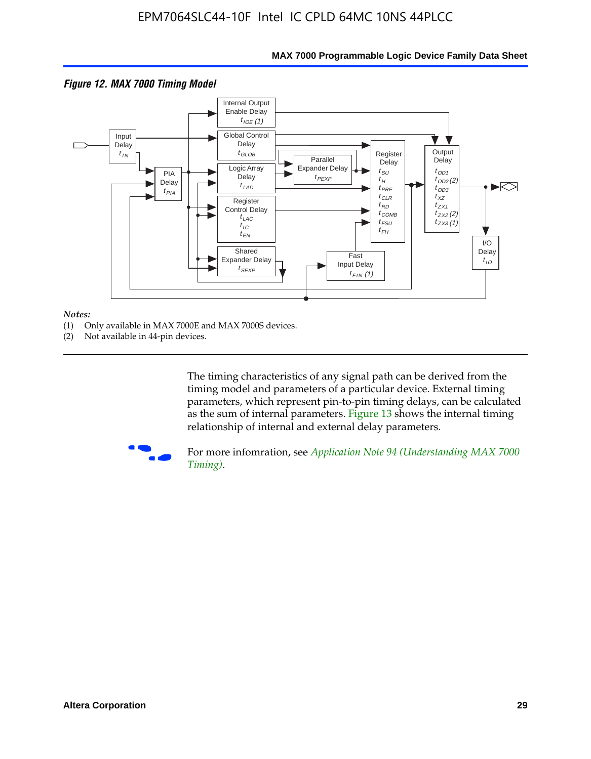

### **MAX 7000 Programmable Logic Device Family Data Sheet**

#### *Notes:*

- (1) Only available in MAX 7000E and MAX 7000S devices.
- (2) Not available in 44-pin devices.

[The tim](http://www.altera.com/literature/an/an094.pdf)ing characteristics [of any signal path can be derived from the](http://www.altera.com/literature/an/an094.pdf)  timing model and parameters of a particular device. External timing parameters, which represent pin-to-pin timing delays, can be calculated as the sum of internal parameters. Figure 13 shows the internal timing relationship of internal and external delay parameters.



For more infomration, see *Application Note 94 (Understanding MAX 7000 Timing)*.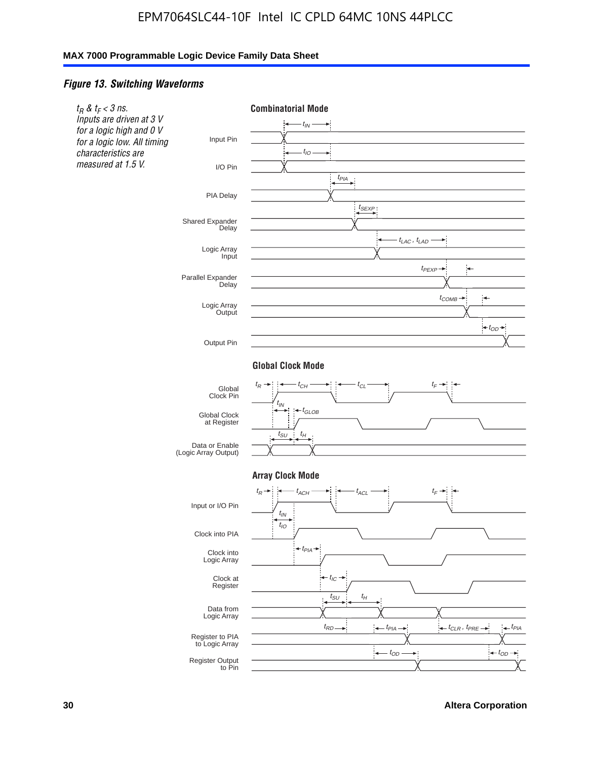### *Figure 13. Switching Waveforms*



**30 Altera Corporation**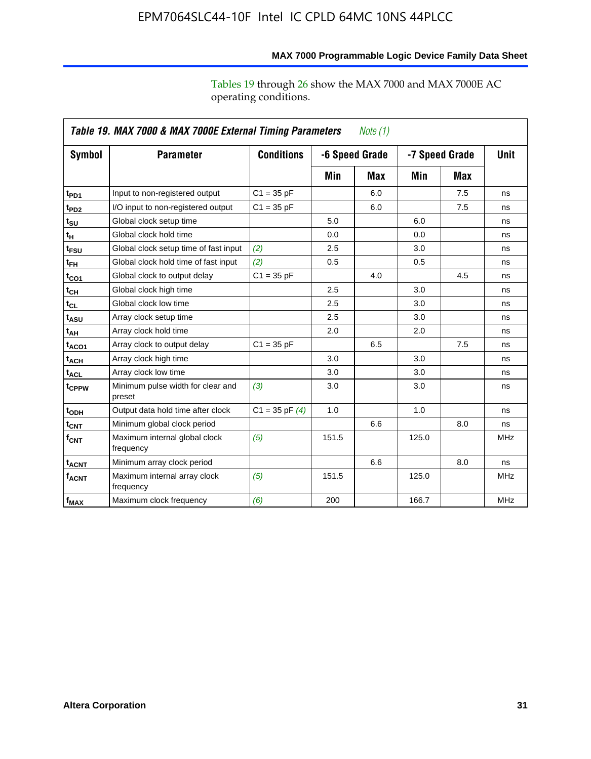|                    | Table 19. MAX 7000 & MAX 7000E External Timing Parameters<br>Note $(1)$ |                    |                |     |       |                |             |  |  |
|--------------------|-------------------------------------------------------------------------|--------------------|----------------|-----|-------|----------------|-------------|--|--|
| Symbol             | <b>Parameter</b>                                                        | <b>Conditions</b>  | -6 Speed Grade |     |       | -7 Speed Grade | <b>Unit</b> |  |  |
|                    |                                                                         |                    | Min            | Max | Min   | Max            |             |  |  |
| t <sub>PD1</sub>   | Input to non-registered output                                          | $C1 = 35 pF$       |                | 6.0 |       | 7.5            | ns          |  |  |
| t <sub>PD2</sub>   | I/O input to non-registered output                                      | $C1 = 35 pF$       |                | 6.0 |       | 7.5            | ns          |  |  |
| $t_{\text{SU}}$    | Global clock setup time                                                 |                    | 5.0            |     | 6.0   |                | ns          |  |  |
| tμ                 | Global clock hold time                                                  |                    | 0.0            |     | 0.0   |                | ns          |  |  |
| $t_{FSU}$          | Global clock setup time of fast input                                   | (2)                | 2.5            |     | 3.0   |                | ns          |  |  |
| $t_{FH}$           | Global clock hold time of fast input                                    | (2)                | 0.5            |     | 0.5   |                | ns          |  |  |
| t <sub>CO1</sub>   | Global clock to output delay                                            | $C1 = 35 pF$       |                | 4.0 |       | 4.5            | ns          |  |  |
| $t_{\mathsf{CH}}$  | Global clock high time                                                  |                    | 2.5            |     | 3.0   |                | ns          |  |  |
| $t_{CL}$           | Global clock low time                                                   |                    | 2.5            |     | 3.0   |                | ns          |  |  |
| t <sub>ASU</sub>   | Array clock setup time                                                  |                    | 2.5            |     | 3.0   |                | ns          |  |  |
| t <sub>АН</sub>    | Array clock hold time                                                   |                    | 2.0            |     | 2.0   |                | ns          |  |  |
| t <sub>ACO1</sub>  | Array clock to output delay                                             | $C1 = 35 pF$       |                | 6.5 |       | 7.5            | ns          |  |  |
| t <sub>ACH</sub>   | Array clock high time                                                   |                    | 3.0            |     | 3.0   |                | ns          |  |  |
| $t_{\sf ACL}$      | Array clock low time                                                    |                    | 3.0            |     | 3.0   |                | ns          |  |  |
| t <sub>CPPW</sub>  | Minimum pulse width for clear and<br>preset                             | (3)                | 3.0            |     | 3.0   |                | ns          |  |  |
| t <sub>ODH</sub>   | Output data hold time after clock                                       | $C1 = 35$ pF $(4)$ | 1.0            |     | 1.0   |                | ns          |  |  |
| t <sub>CNT</sub>   | Minimum global clock period                                             |                    |                | 6.6 |       | 8.0            | ns          |  |  |
| $f_{\mathsf{CNT}}$ | Maximum internal global clock<br>frequency                              | (5)                | 151.5          |     | 125.0 |                | <b>MHz</b>  |  |  |
| t <sub>ACNT</sub>  | Minimum array clock period                                              |                    |                | 6.6 |       | 8.0            | ns          |  |  |
| $f_{ACNT}$         | Maximum internal array clock<br>frequency                               | (5)                | 151.5          |     | 125.0 |                | <b>MHz</b>  |  |  |
| f <sub>MAX</sub>   | Maximum clock frequency                                                 | (6)                | 200            |     | 166.7 |                | <b>MHz</b>  |  |  |

# **MAX 7000 Programmable Logic Device Family Data Sheet**

Tables 19 through 26 show the MAX 7000 and MAX 7000E AC operating conditions.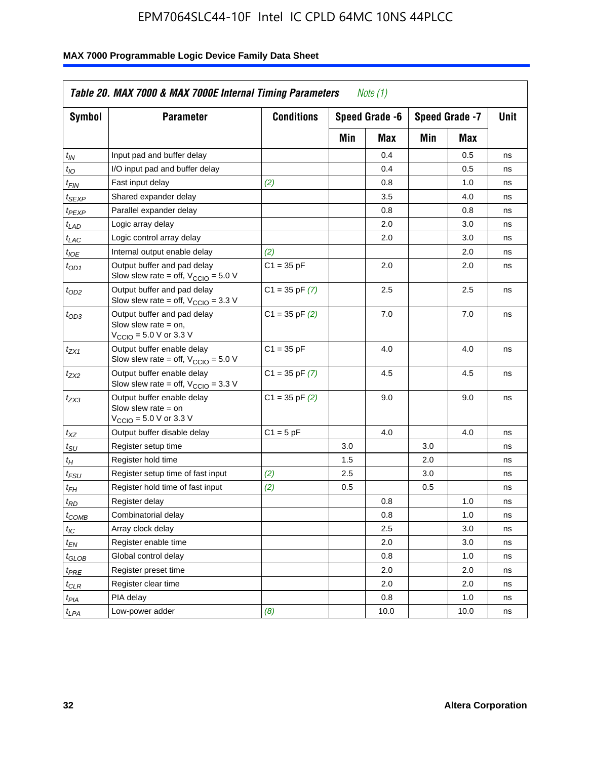| <b>Symbol</b>               | <b>Parameter</b>                                                                                             | <b>Conditions</b>  |     | Speed Grade -6<br>Speed Grade -7 |            | Unit |    |
|-----------------------------|--------------------------------------------------------------------------------------------------------------|--------------------|-----|----------------------------------|------------|------|----|
|                             |                                                                                                              |                    | Min | Max                              | Min<br>Max |      |    |
| $t_{IN}$                    | Input pad and buffer delay                                                                                   |                    |     | 0.4                              |            | 0.5  | ns |
| $t_{IO}$                    | I/O input pad and buffer delay                                                                               |                    |     | 0.4                              |            | 0.5  | ns |
| $t_{\sf FIN}$               | Fast input delay                                                                                             | (2)                |     | 0.8                              |            | 1.0  | ns |
| <sup>t</sup> SEXP           | Shared expander delay                                                                                        |                    |     | 3.5                              |            | 4.0  | ns |
| t <sub>PEXP</sub>           | Parallel expander delay                                                                                      |                    |     | 0.8                              |            | 0.8  | ns |
| t <sub>LAD</sub>            | Logic array delay                                                                                            |                    |     | 2.0                              |            | 3.0  | ns |
| $t_{LAC}$                   | Logic control array delay                                                                                    |                    |     | 2.0                              |            | 3.0  | ns |
| $t_{IOE}$                   | Internal output enable delay                                                                                 | (2)                |     |                                  |            | 2.0  | ns |
| $t_{OD1}$                   | Output buffer and pad delay<br>Slow slew rate = off, $V_{\text{CCIO}} = 5.0 V$                               | $C1 = 35 pF$       |     | 2.0                              |            | 2.0  | ns |
| $t_{OD2}$                   | Output buffer and pad delay<br>Slow slew rate = off, $V_{\text{CCIO}} = 3.3$ V                               | $C1 = 35$ pF $(7)$ |     | 2.5                              |            | 2.5  | ns |
| $t_{OD3}$                   | Output buffer and pad delay<br>Slow slew rate $=$ on,<br>$V_{\text{CCIO}} = 5.0 \text{ V or } 3.3 \text{ V}$ | $C1 = 35$ pF $(2)$ |     | 7.0                              |            | 7.0  | ns |
| $t_{ZX1}$                   | Output buffer enable delay<br>Slow slew rate = off, $V_{\text{CCIO}} = 5.0 V$                                | $C1 = 35 pF$       |     | 4.0                              |            | 4.0  | ns |
| t <sub>ZX2</sub>            | Output buffer enable delay<br>Slow slew rate = off, $V_{\text{CCIO}} = 3.3 \text{ V}$                        | $C1 = 35$ pF $(7)$ |     | 4.5                              |            | 4.5  | ns |
| tzx3                        | Output buffer enable delay<br>Slow slew rate $=$ on<br>$V_{\text{CCIO}} = 5.0 \text{ V or } 3.3 \text{ V}$   | $C1 = 35$ pF $(2)$ |     | 9.0                              |            | 9.0  | ns |
| $t_{\mathsf{XZ}}$           | Output buffer disable delay                                                                                  | $C1 = 5pF$         |     | 4.0                              |            | 4.0  | ns |
| $t_{\scriptstyle\text{SU}}$ | Register setup time                                                                                          |                    | 3.0 |                                  | 3.0        |      | ns |
| $t_H$                       | Register hold time                                                                                           |                    | 1.5 |                                  | 2.0        |      | ns |
| t <sub>FSU</sub>            | Register setup time of fast input                                                                            | (2)                | 2.5 |                                  | 3.0        |      | ns |
| $t_{FH}$                    | Register hold time of fast input                                                                             | (2)                | 0.5 |                                  | 0.5        |      | ns |
| t <sub>RD</sub>             | Register delay                                                                                               |                    |     | 0.8                              |            | 1.0  | ns |
| $t_{\mathsf{COMB}}$         | Combinatorial delay                                                                                          |                    |     | 0.8                              |            | 1.0  | ns |
| $t_{IC}$                    | Array clock delay                                                                                            |                    |     | 2.5                              |            | 3.0  | ns |
| $t_{EN}$                    | Register enable time                                                                                         |                    |     | 2.0                              |            | 3.0  | ns |
| t <sub>GLOB</sub>           | Global control delay                                                                                         |                    |     | 0.8                              |            | 1.0  | ns |
| $t_{PRE}$                   | Register preset time                                                                                         |                    |     | 2.0                              |            | 2.0  | ns |
| $t_{\sf CLR}$               | Register clear time                                                                                          |                    |     | 2.0                              |            | 2.0  | ns |
| $t_{PIA}$                   | PIA delay                                                                                                    |                    |     | 0.8                              |            | 1.0  | ns |
| $t_{LPA}$                   | Low-power adder                                                                                              | (8)                |     | 10.0                             |            | 10.0 | ns |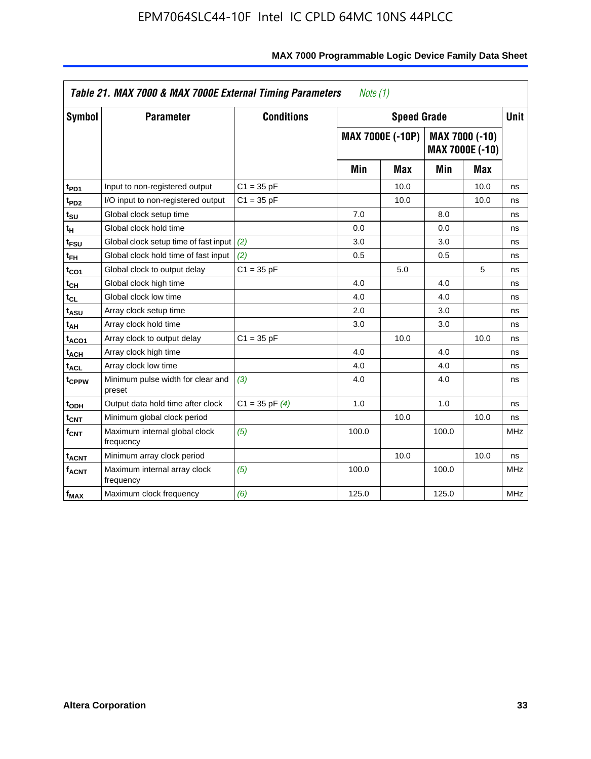| Symbol                  | <b>Parameter</b>                            | <b>Conditions</b>  |       | <b>Speed Grade</b>      |       |                                   | <b>Unit</b> |
|-------------------------|---------------------------------------------|--------------------|-------|-------------------------|-------|-----------------------------------|-------------|
|                         |                                             |                    |       | <b>MAX 7000E (-10P)</b> |       | MAX 7000 (-10)<br>MAX 7000E (-10) |             |
|                         |                                             |                    | Min   | Max                     | Min   | Max                               |             |
| t <sub>PD1</sub>        | Input to non-registered output              | $C1 = 35 pF$       |       | 10.0                    |       | 10.0                              | ns          |
| t <sub>PD2</sub>        | I/O input to non-registered output          | $C1 = 35 pF$       |       | 10.0                    |       | 10.0                              | ns          |
| t <sub>su</sub>         | Global clock setup time                     |                    | 7.0   |                         | 8.0   |                                   | ns          |
| tμ                      | Global clock hold time                      |                    | 0.0   |                         | 0.0   |                                   | ns          |
| t <sub>FSU</sub>        | Global clock setup time of fast input (2)   |                    | 3.0   |                         | 3.0   |                                   | ns          |
| t <sub>FH</sub>         | Global clock hold time of fast input        | (2)                | 0.5   |                         | 0.5   |                                   | ns          |
| t <sub>CO1</sub>        | Global clock to output delay                | $C1 = 35 pF$       |       | 5.0                     |       | 5                                 | ns          |
| $t_{\mathsf{CH}}$       | Global clock high time                      |                    | 4.0   |                         | 4.0   |                                   | ns          |
| t <sub>CL</sub>         | Global clock low time                       |                    | 4.0   |                         | 4.0   |                                   | ns          |
| t <sub>ASU</sub>        | Array clock setup time                      |                    | 2.0   |                         | 3.0   |                                   | ns          |
| t <sub>АН</sub>         | Array clock hold time                       |                    | 3.0   |                         | 3.0   |                                   | ns          |
| t <sub>ACO1</sub>       | Array clock to output delay                 | $C1 = 35 pF$       |       | 10.0                    |       | 10.0                              | ns          |
| t <sub>ACH</sub>        | Array clock high time                       |                    | 4.0   |                         | 4.0   |                                   | ns          |
| $t_{\sf ACL}$           | Array clock low time                        |                    | 4.0   |                         | 4.0   |                                   | ns          |
| t <sub>CPPW</sub>       | Minimum pulse width for clear and<br>preset | (3)                | 4.0   |                         | 4.0   |                                   | ns          |
| t <sub>ODH</sub>        | Output data hold time after clock           | $C1 = 35$ pF $(4)$ | 1.0   |                         | 1.0   |                                   | ns          |
| $t_{\mathsf{CNT}}$      | Minimum global clock period                 |                    |       | 10.0                    |       | 10.0                              | ns          |
| $f_{\mathsf{CNT}}$      | Maximum internal global clock<br>frequency  | (5)                | 100.0 |                         | 100.0 |                                   | <b>MHz</b>  |
| <b>t<sub>ACNT</sub></b> | Minimum array clock period                  |                    |       | 10.0                    |       | 10.0                              | ns          |
| f <sub>ACNT</sub>       | Maximum internal array clock<br>frequency   | (5)                | 100.0 |                         | 100.0 |                                   | <b>MHz</b>  |
| f <sub>MAX</sub>        | Maximum clock frequency                     | (6)                | 125.0 |                         | 125.0 |                                   | <b>MHz</b>  |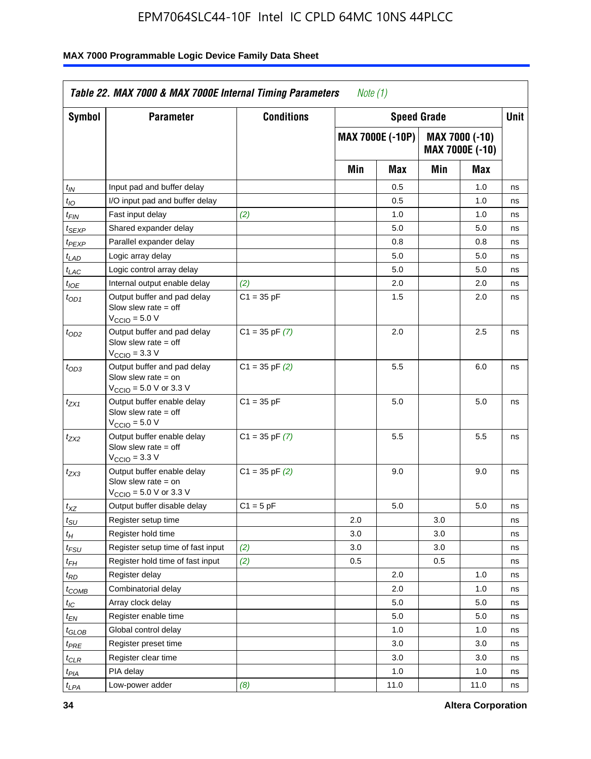| Symbol                      | <b>Parameter</b>                                                                                            | <b>Conditions</b>  |     |                  | <b>Speed Grade</b> |                                   | Unit |
|-----------------------------|-------------------------------------------------------------------------------------------------------------|--------------------|-----|------------------|--------------------|-----------------------------------|------|
|                             |                                                                                                             |                    |     | MAX 7000E (-10P) |                    | MAX 7000 (-10)<br>MAX 7000E (-10) |      |
|                             |                                                                                                             |                    | Min | Max              | Min                | Max                               |      |
| $t_{IN}$                    | Input pad and buffer delay                                                                                  |                    |     | 0.5              |                    | 1.0                               | ns   |
| $t_{IO}$                    | I/O input pad and buffer delay                                                                              |                    |     | 0.5              |                    | 1.0                               | ns   |
| t <sub>FIN</sub>            | Fast input delay                                                                                            | (2)                |     | 1.0              |                    | 1.0                               | ns   |
| $t_{SEXP}$                  | Shared expander delay                                                                                       |                    |     | 5.0              |                    | 5.0                               | ns   |
| $t_{PEXP}$                  | Parallel expander delay                                                                                     |                    |     | 0.8              |                    | 0.8                               | ns   |
| $t_{LAD}$                   | Logic array delay                                                                                           |                    |     | 5.0              |                    | 5.0                               | ns   |
| $t_{LAC}$                   | Logic control array delay                                                                                   |                    |     | 5.0              |                    | 5.0                               | ns   |
| $t_{IOE}$                   | Internal output enable delay                                                                                | (2)                |     | 2.0              |                    | 2.0                               | ns   |
| $t_{OD1}$                   | Output buffer and pad delay<br>Slow slew rate $=$ off<br>V <sub>CCIO</sub> = 5.0 V                          | $C1 = 35 pF$       |     | 1.5              |                    | 2.0                               | ns   |
| $t_{OD2}$                   | Output buffer and pad delay<br>Slow slew rate $=$ off<br>$V_{\text{CCIO}} = 3.3 \text{ V}$                  | $C1 = 35$ pF $(7)$ |     | 2.0              |                    | 2.5                               | ns   |
| $t_{OD3}$                   | Output buffer and pad delay<br>Slow slew rate $=$ on<br>$V_{\text{CCIO}} = 5.0 \text{ V or } 3.3 \text{ V}$ | $C1 = 35$ pF $(2)$ |     | 5.5              |                    | 6.0                               | ns   |
| t <sub>ZX1</sub>            | Output buffer enable delay<br>Slow slew rate $=$ off<br>$VCCIO = 5.0 V$                                     | $C1 = 35 pF$       |     | 5.0              |                    | 5.0                               | ns   |
| t <sub>ZX2</sub>            | Output buffer enable delay<br>Slow slew rate $=$ off<br>$VCCIO = 3.3 V$                                     | $C1 = 35$ pF $(7)$ |     | 5.5              |                    | 5.5                               | ns   |
| t <sub>ZX3</sub>            | Output buffer enable delay<br>Slow slew rate $=$ on<br>$V_{\text{CCIO}} = 5.0 \text{ V or } 3.3 \text{ V}$  | $C1 = 35$ pF $(2)$ |     | 9.0              |                    | 9.0                               | ns   |
| $t_{XZ}$                    | Output buffer disable delay                                                                                 | $C1 = 5 pF$        |     | 5.0              |                    | 5.0                               | ns   |
| $t_{\scriptstyle\text{SU}}$ | Register setup time                                                                                         |                    | 2.0 |                  | 3.0                |                                   | ns   |
| $t_H$                       | Register hold time                                                                                          |                    | 3.0 |                  | 3.0                |                                   | ns   |
| $t_{\it FSU}$               | Register setup time of fast input                                                                           | (2)                | 3.0 |                  | 3.0                |                                   | ns   |
| $t_{FH}$                    | Register hold time of fast input                                                                            | (2)                | 0.5 |                  | 0.5                |                                   | ns   |
| $t_{RD}$                    | Register delay                                                                                              |                    |     | 2.0              |                    | 1.0                               | ns   |
| $t_{COMB}$                  | Combinatorial delay                                                                                         |                    |     | 2.0              |                    | 1.0                               | ns   |
| ЧC                          | Array clock delay                                                                                           |                    |     | $5.0\,$          |                    | $5.0\,$                           | ns   |
| $t_{EN}$                    | Register enable time                                                                                        |                    |     | 5.0              |                    | 5.0                               | ns   |
| $t_{GLOB}$                  | Global control delay                                                                                        |                    |     | 1.0              |                    | 1.0                               | ns   |
| $t_{PRE}$                   | Register preset time                                                                                        |                    |     | 3.0              |                    | 3.0                               | ns   |
| $t_{CLR}$                   | Register clear time                                                                                         |                    |     | 3.0              |                    | 3.0                               | ns   |
| t <sub>PIA</sub>            | PIA delay                                                                                                   |                    |     | 1.0              |                    | 1.0                               | ns   |
| $t_{LPA}$                   | Low-power adder                                                                                             | (8)                |     | 11.0             |                    | 11.0                              | ns   |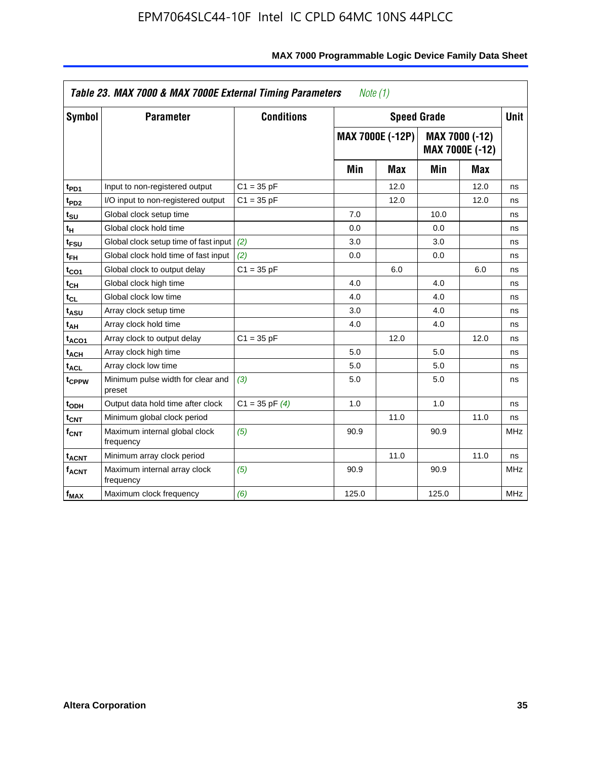| <b>Symbol</b>                | <b>Parameter</b>                            | <b>Conditions</b>  |       | <b>Speed Grade</b>      |       |                                   | <b>Unit</b> |
|------------------------------|---------------------------------------------|--------------------|-------|-------------------------|-------|-----------------------------------|-------------|
|                              |                                             |                    |       | <b>MAX 7000E (-12P)</b> |       | MAX 7000 (-12)<br>MAX 7000E (-12) |             |
|                              |                                             |                    | Min   | <b>Max</b>              | Min   | <b>Max</b>                        |             |
| t <sub>PD1</sub>             | Input to non-registered output              | $C1 = 35 pF$       |       | 12.0                    |       | 12.0                              | ns          |
| t <sub>PD2</sub>             | I/O input to non-registered output          | $C1 = 35 pF$       |       | 12.0                    |       | 12.0                              | ns          |
| t <sub>su</sub>              | Global clock setup time                     |                    | 7.0   |                         | 10.0  |                                   | ns          |
| tμ                           | Global clock hold time                      |                    | 0.0   |                         | 0.0   |                                   | ns          |
| t <sub>FSU</sub>             | Global clock setup time of fast input       | (2)                | 3.0   |                         | 3.0   |                                   | ns          |
| t <sub>FH</sub>              | Global clock hold time of fast input        | (2)                | 0.0   |                         | 0.0   |                                   | ns          |
| t <sub>CO1</sub>             | Global clock to output delay                | $C1 = 35 pF$       |       | 6.0                     |       | 6.0                               | ns          |
| t <sub>СН</sub>              | Global clock high time                      |                    | 4.0   |                         | 4.0   |                                   | ns          |
| $\mathfrak{t}_{\texttt{CL}}$ | Global clock low time                       |                    | 4.0   |                         | 4.0   |                                   | ns          |
| t <sub>ASU</sub>             | Array clock setup time                      |                    | 3.0   |                         | 4.0   |                                   | ns          |
| t <sub>АН</sub>              | Array clock hold time                       |                    | 4.0   |                         | 4.0   |                                   | ns          |
| t <sub>ACO1</sub>            | Array clock to output delay                 | $C1 = 35 pF$       |       | 12.0                    |       | 12.0                              | ns          |
| t <sub>ACH</sub>             | Array clock high time                       |                    | 5.0   |                         | 5.0   |                                   | ns          |
| $t_{\sf ACL}$                | Array clock low time                        |                    | 5.0   |                         | 5.0   |                                   | ns          |
| t <sub>CPPW</sub>            | Minimum pulse width for clear and<br>preset | (3)                | 5.0   |                         | 5.0   |                                   | ns          |
| t <sub>ODH</sub>             | Output data hold time after clock           | $C1 = 35$ pF $(4)$ | 1.0   |                         | 1.0   |                                   | ns          |
| $t_{\mathsf{CNT}}$           | Minimum global clock period                 |                    |       | 11.0                    |       | 11.0                              | ns          |
| $f_{\mathsf{CNT}}$           | Maximum internal global clock<br>frequency  | (5)                | 90.9  |                         | 90.9  |                                   | <b>MHz</b>  |
| <b>t<sub>ACNT</sub></b>      | Minimum array clock period                  |                    |       | 11.0                    |       | 11.0                              | ns          |
| f <sub>ACNT</sub>            | Maximum internal array clock<br>frequency   | (5)                | 90.9  |                         | 90.9  |                                   | <b>MHz</b>  |
| $f_{MAX}$                    | Maximum clock frequency                     | (6)                | 125.0 |                         | 125.0 |                                   | MHz         |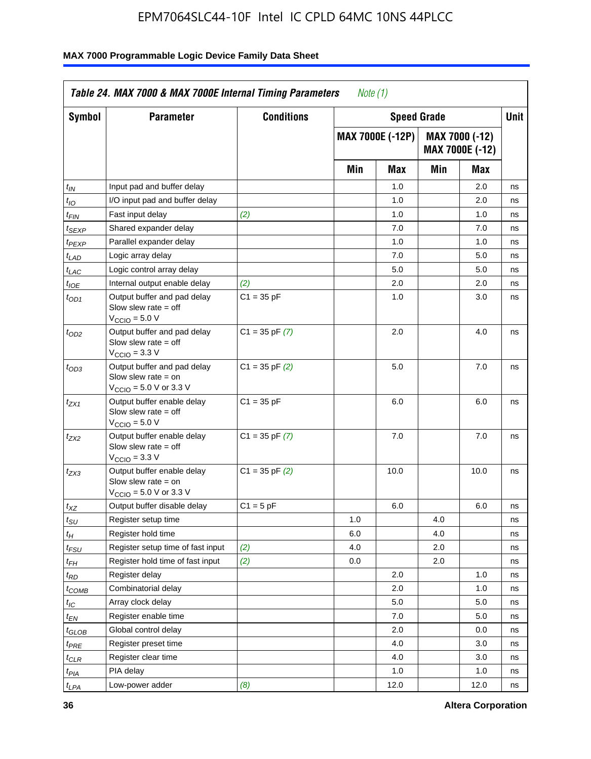| Symbol                      | <b>Parameter</b>                                                                                            | <b>Conditions</b>  |     | <b>Speed Grade</b>      |     |                                          | <b>Unit</b> |
|-----------------------------|-------------------------------------------------------------------------------------------------------------|--------------------|-----|-------------------------|-----|------------------------------------------|-------------|
|                             |                                                                                                             |                    |     | <b>MAX 7000E (-12P)</b> |     | MAX 7000 (-12)<br><b>MAX 7000E (-12)</b> |             |
|                             |                                                                                                             |                    | Min | Max                     | Min | Max                                      |             |
| t <sub>IN</sub>             | Input pad and buffer delay                                                                                  |                    |     | 1.0                     |     | 2.0                                      | ns          |
| $t_{IO}$                    | I/O input pad and buffer delay                                                                              |                    |     | 1.0                     |     | 2.0                                      | ns          |
| $t_{\sf FIN}$               | Fast input delay                                                                                            | (2)                |     | 1.0                     |     | 1.0                                      | ns          |
| $t_{SEXP}$                  | Shared expander delay                                                                                       |                    |     | 7.0                     |     | 7.0                                      | ns          |
| t <sub>PEXP</sub>           | Parallel expander delay                                                                                     |                    |     | 1.0                     |     | 1.0                                      | ns          |
| $t_{LAD}$                   | Logic array delay                                                                                           |                    |     | 7.0                     |     | 5.0                                      | ns          |
| $t_{LAC}$                   | Logic control array delay                                                                                   |                    |     | 5.0                     |     | 5.0                                      | ns          |
| $t_{IOE}$                   | Internal output enable delay                                                                                | (2)                |     | 2.0                     |     | 2.0                                      | ns          |
| $t_{OD1}$                   | Output buffer and pad delay<br>Slow slew rate $=$ off<br>$V_{\text{CCIO}} = 5.0 V$                          | $C1 = 35 pF$       |     | 1.0                     |     | 3.0                                      | ns          |
| $t_{OD2}$                   | Output buffer and pad delay<br>Slow slew rate $=$ off<br>$V_{\text{CCIO}} = 3.3 \text{ V}$                  | $C1 = 35$ pF $(7)$ |     | 2.0                     |     | 4.0                                      | ns          |
| $t_{OD3}$                   | Output buffer and pad delay<br>Slow slew rate $=$ on<br>$V_{\text{CCIO}} = 5.0 \text{ V or } 3.3 \text{ V}$ | $C1 = 35$ pF $(2)$ |     | 5.0                     |     | 7.0                                      | ns          |
| $t_{ZX1}$                   | Output buffer enable delay<br>Slow slew rate $=$ off<br>$VCCIO = 5.0 V$                                     | $C1 = 35 pF$       |     | 6.0                     |     | 6.0                                      | ns          |
| tzx2                        | Output buffer enable delay<br>Slow slew rate $=$ off<br>$V_{\text{CCIO}} = 3.3 \text{ V}$                   | $C1 = 35$ pF $(7)$ |     | 7.0                     |     | 7.0                                      | ns          |
| $t_{ZX3}$                   | Output buffer enable delay<br>Slow slew rate $=$ on<br>$V_{\text{CCIO}} = 5.0 \text{ V or } 3.3 \text{ V}$  | $C1 = 35$ pF $(2)$ |     | 10.0                    |     | 10.0                                     | ns          |
| $t_{XZ}$                    | Output buffer disable delay                                                                                 | $C1 = 5$ pF        |     | 6.0                     |     | 6.0                                      | ns          |
| $t_{\scriptstyle\text{SU}}$ | Register setup time                                                                                         |                    | 1.0 |                         | 4.0 |                                          | ns          |
| $t_H$                       | Register hold time                                                                                          |                    | 6.0 |                         | 4.0 |                                          | ns          |
| $t_{FSU}$                   | Register setup time of fast input                                                                           | (2)                | 4.0 |                         | 2.0 |                                          | ns          |
| t <sub>FH</sub>             | Register hold time of fast input                                                                            | (2)                | 0.0 |                         | 2.0 |                                          | ns          |
| $t_{RD}$                    | Register delay                                                                                              |                    |     | 2.0                     |     | 1.0                                      | ns          |
| $t_{COMB}$                  | Combinatorial delay                                                                                         |                    |     | 2.0                     |     | 1.0                                      | ns          |
| ЧC                          | Array clock delay                                                                                           |                    |     | $5.0\,$                 |     | 5.0                                      | ns          |
| $t_{EM}$                    | Register enable time                                                                                        |                    |     | 7.0                     |     | 5.0                                      | ns          |
| $t_{GLOB}$                  | Global control delay                                                                                        |                    |     | 2.0                     |     | 0.0                                      | ns          |
| t <sub>PRE</sub>            | Register preset time                                                                                        |                    |     | 4.0                     |     | 3.0                                      | ns          |
| $t_{CLR}$                   | Register clear time                                                                                         |                    |     | 4.0                     |     | 3.0                                      | ns          |
| $t_{PIA}$                   | PIA delay                                                                                                   |                    |     | 1.0                     |     | 1.0                                      | ns          |
| $t_{LPA}$                   | Low-power adder                                                                                             | (8)                |     | 12.0                    |     | 12.0                                     | ns          |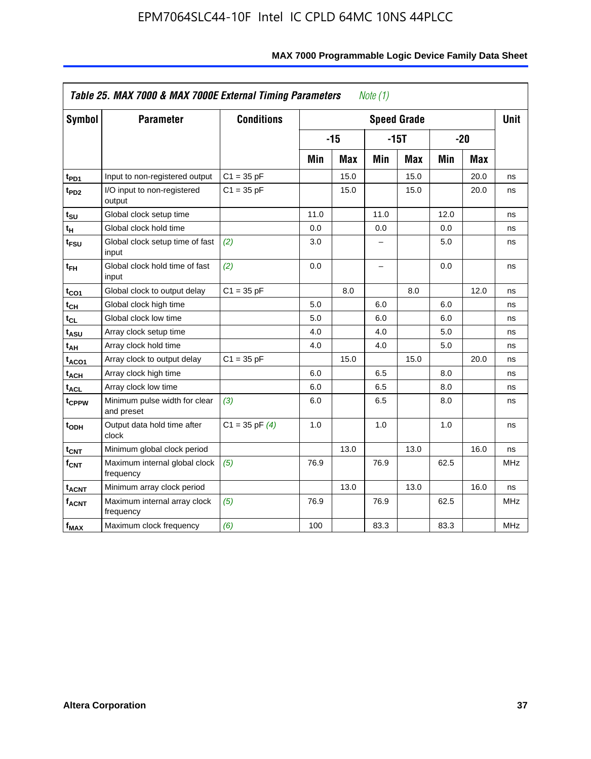| Symbol                  | <b>Parameter</b>                            | <b>Conditions</b>  |      |            |                          | <b>Speed Grade</b> |      |            | <b>Unit</b> |
|-------------------------|---------------------------------------------|--------------------|------|------------|--------------------------|--------------------|------|------------|-------------|
|                         |                                             |                    |      | $-15$      |                          | $-15T$             |      | $-20$      |             |
|                         |                                             |                    | Min  | <b>Max</b> | Min                      | Max                | Min  | <b>Max</b> |             |
| $t_{PD1}$               | Input to non-registered output              | $C1 = 35 pF$       |      | 15.0       |                          | 15.0               |      | 20.0       | ns          |
| $t_{PD2}$               | I/O input to non-registered<br>output       | $C1 = 35 pF$       |      | 15.0       |                          | 15.0               |      | 20.0       | ns          |
| tsu                     | Global clock setup time                     |                    | 11.0 |            | 11.0                     |                    | 12.0 |            | ns          |
| $t_H$                   | Global clock hold time                      |                    | 0.0  |            | 0.0                      |                    | 0.0  |            | ns          |
| t <sub>FSU</sub>        | Global clock setup time of fast<br>input    | (2)                | 3.0  |            |                          |                    | 5.0  |            | ns          |
| $t_{FH}$                | Global clock hold time of fast<br>input     | (2)                | 0.0  |            | $\overline{\phantom{0}}$ |                    | 0.0  |            | ns          |
| $t_{CO1}$               | Global clock to output delay                | $C1 = 35 pF$       |      | 8.0        |                          | 8.0                |      | 12.0       | ns          |
| $t_{CH}$                | Global clock high time                      |                    | 5.0  |            | 6.0                      |                    | 6.0  |            | ns          |
| $t_{CL}$                | Global clock low time                       |                    | 5.0  |            | 6.0                      |                    | 6.0  |            | ns          |
| t <sub>ASU</sub>        | Array clock setup time                      |                    | 4.0  |            | 4.0                      |                    | 5.0  |            | ns          |
| t <sub>АН</sub>         | Array clock hold time                       |                    | 4.0  |            | 4.0                      |                    | 5.0  |            | ns          |
| t <sub>ACO1</sub>       | Array clock to output delay                 | $C1 = 35 pF$       |      | 15.0       |                          | 15.0               |      | 20.0       | ns          |
| $t_{ACH}$               | Array clock high time                       |                    | 6.0  |            | 6.5                      |                    | 8.0  |            | ns          |
| <b>t<sub>ACL</sub></b>  | Array clock low time                        |                    | 6.0  |            | 6.5                      |                    | 8.0  |            | ns          |
| t <sub>CPPW</sub>       | Minimum pulse width for clear<br>and preset | (3)                | 6.0  |            | 6.5                      |                    | 8.0  |            | ns          |
| $t$ <sub>ODH</sub>      | Output data hold time after<br>clock        | $C1 = 35$ pF $(4)$ | 1.0  |            | 1.0                      |                    | 1.0  |            | ns          |
| $t_{\mathsf{CNT}}$      | Minimum global clock period                 |                    |      | 13.0       |                          | 13.0               |      | 16.0       | ns          |
| f <sub>CNT</sub>        | Maximum internal global clock<br>frequency  | (5)                | 76.9 |            | 76.9                     |                    | 62.5 |            | <b>MHz</b>  |
| <b>t<sub>ACNT</sub></b> | Minimum array clock period                  |                    |      | 13.0       |                          | 13.0               |      | 16.0       | ns          |
| $f_{ACNT}$              | Maximum internal array clock<br>frequency   | (5)                | 76.9 |            | 76.9                     |                    | 62.5 |            | <b>MHz</b>  |
| f <sub>MAX</sub>        | Maximum clock frequency                     | (6)                | 100  |            | 83.3                     |                    | 83.3 |            | MHz         |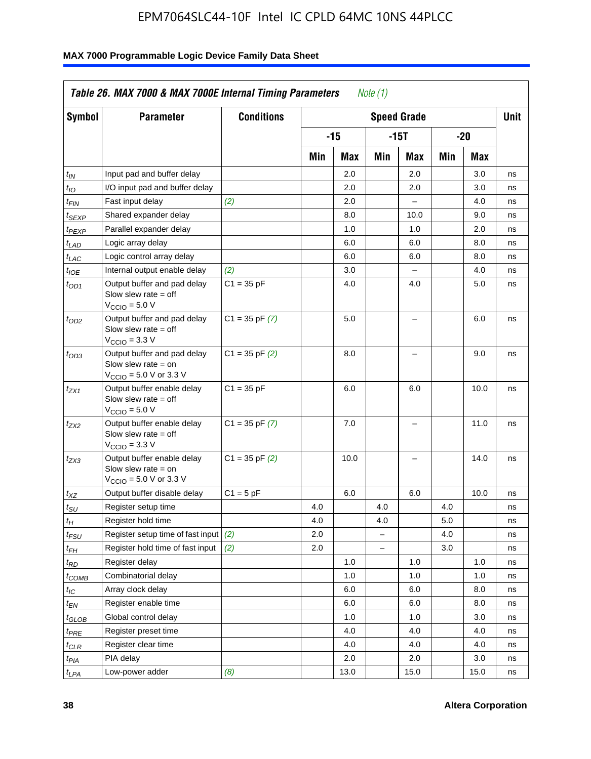| <b>Symbol</b>                 | <b>Parameter</b>                                                                                            | <b>Conditions</b>  |     |       |                          | <b>Speed Grade</b> |     |      | <b>Unit</b> |
|-------------------------------|-------------------------------------------------------------------------------------------------------------|--------------------|-----|-------|--------------------------|--------------------|-----|------|-------------|
|                               |                                                                                                             |                    |     | $-15$ |                          | $-15T$             |     | -20  |             |
|                               |                                                                                                             |                    | Min | Max   | Min                      | Max                | Min | Max  |             |
| $t_{IN}$                      | Input pad and buffer delay                                                                                  |                    |     | 2.0   |                          | 2.0                |     | 3.0  | ns          |
| $t_{IO}$                      | I/O input pad and buffer delay                                                                              |                    |     | 2.0   |                          | 2.0                |     | 3.0  | ns          |
| $t_{\textit{FIN}}$            | Fast input delay                                                                                            | (2)                |     | 2.0   |                          | $\equiv$           |     | 4.0  | ns          |
| $t_{SEXP}$                    | Shared expander delay                                                                                       |                    |     | 8.0   |                          | 10.0               |     | 9.0  | ns          |
| t <sub>PEXP</sub>             | Parallel expander delay                                                                                     |                    |     | 1.0   |                          | 1.0                |     | 2.0  | ns          |
| t <sub>LAD</sub>              | Logic array delay                                                                                           |                    |     | 6.0   |                          | 6.0                |     | 8.0  | ns          |
| $t_{LAC}$                     | Logic control array delay                                                                                   |                    |     | 6.0   |                          | 6.0                |     | 8.0  | ns          |
| $t_{IOE}$                     | Internal output enable delay                                                                                | (2)                |     | 3.0   |                          | $\overline{a}$     |     | 4.0  | ns          |
| $t_{OD1}$                     | Output buffer and pad delay<br>Slow slew rate $=$ off<br>$V_{\text{CCIO}} = 5.0 V$                          | $C1 = 35 pF$       |     | 4.0   |                          | 4.0                |     | 5.0  | ns          |
| $t_{OD2}$                     | Output buffer and pad delay<br>Slow slew rate $=$ off<br>$V_{\text{CCIO}} = 3.3 \text{ V}$                  | $C1 = 35 pF(7)$    |     | 5.0   |                          | L,                 |     | 6.0  | ns          |
| $t_{OD3}$                     | Output buffer and pad delay<br>Slow slew rate $=$ on<br>$V_{\text{CCIO}} = 5.0 \text{ V or } 3.3 \text{ V}$ | $C1 = 35$ pF $(2)$ |     | 8.0   |                          |                    |     | 9.0  | ns          |
| $t_{ZX1}$                     | Output buffer enable delay<br>Slow slew rate $=$ off<br>$V_{\text{CCIO}} = 5.0 V$                           | $C1 = 35 pF$       |     | 6.0   |                          | 6.0                |     | 10.0 | ns          |
| t <sub>ZX2</sub>              | Output buffer enable delay<br>Slow slew rate $=$ off<br>$V_{\text{CCIO}} = 3.3 \text{ V}$                   | $C1 = 35 pF(7)$    |     | 7.0   |                          | L,                 |     | 11.0 | ns          |
| t <sub>ZX3</sub>              | Output buffer enable delay<br>Slow slew rate $=$ on<br>$V_{\text{CCIO}} = 5.0 \text{ V or } 3.3 \text{ V}$  | $C1 = 35$ pF $(2)$ |     | 10.0  |                          |                    |     | 14.0 | ns          |
| $t_{\mathsf{XZ}}$             | Output buffer disable delay                                                                                 | $C1 = 5 pF$        |     | 6.0   |                          | 6.0                |     | 10.0 | ns          |
| $t_{\scriptstyle\text{SU}}$   | Register setup time                                                                                         |                    | 4.0 |       | 4.0                      |                    | 4.0 |      | ns          |
| tμ                            | Register hold time                                                                                          |                    | 4.0 |       | 4.0                      |                    | 5.0 |      | ns          |
| t <sub>FSU</sub>              | Register setup time of fast input                                                                           | (2)                | 2.0 |       | $\overline{\phantom{0}}$ |                    | 4.0 |      | ns          |
| t <sub>FH</sub>               | Register hold time of fast input                                                                            | (2)                | 2.0 |       | $\overline{\phantom{0}}$ |                    | 3.0 |      | ns          |
| $t_{RD}$                      | Register delay                                                                                              |                    |     | 1.0   |                          | 1.0                |     | 1.0  | ns          |
| $t_{COMB}$                    | Combinatorial delay                                                                                         |                    |     | 1.0   |                          | 1.0                |     | 1.0  | ns          |
| $t_{IC}$                      | Array clock delay                                                                                           |                    |     | 6.0   |                          | 6.0                |     | 8.0  | ns          |
| $t_{EN}$                      | Register enable time                                                                                        |                    |     | 6.0   |                          | 6.0                |     | 8.0  | ns          |
| $t_{\scriptstyle\text{GLOB}}$ | Global control delay                                                                                        |                    |     | 1.0   |                          | 1.0                |     | 3.0  | ns          |
| $t_{PRE}$                     | Register preset time                                                                                        |                    |     | 4.0   |                          | 4.0                |     | 4.0  | ns          |
| $t_{\sf CLR}$                 | Register clear time                                                                                         |                    |     | 4.0   |                          | 4.0                |     | 4.0  | ns          |
| $t_{PIA}$                     | PIA delay                                                                                                   |                    |     | 2.0   |                          | 2.0                |     | 3.0  | ns          |
| $t_{LPA}$                     | Low-power adder                                                                                             | (8)                |     | 13.0  |                          | 15.0               |     | 15.0 | ns          |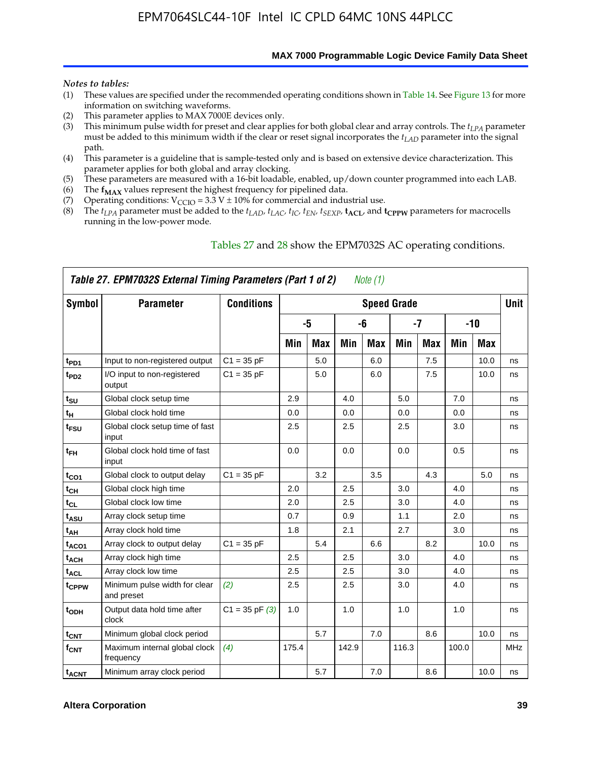**MAX 7000 Programmable Logic Device Family Data Sheet**

#### *Notes to tables:*

- (1) These values are specified under the recommended operating conditions shown in Table 14. See Figure 13 for more information on switching waveforms.
- (2) This parameter applies to MAX 7000E devices only.
- (3) This minimum pulse width for preset and clear applies for both global clear and array controls. The *tLPA* parameter must be added to this minimum width if the clear or reset signal incorporates the  $t_{LAD}$  parameter into the signal path.
- (4) This parameter is a guideline that is sample-tested only and is based on extensive device characterization. This parameter applies for both global and array clocking.
- (5) These parameters are measured with a 16-bit loadable, enabled, up/down counter programmed into each LAB.
- (6) The  $f_{MAX}$  values represent the highest frequency for pipelined data.
- (7) Operating conditions:  $V_{\text{CCIO}} = 3.3 \text{ V} \pm 10\%$  for commercial and industrial use.
- (8) The  $t_{LPA}$  parameter must be added to the  $t_{LAD}$ ,  $t_{LAC}$ ,  $t_{IC}$ ,  $t_{EN}$ ,  $t_{SEXP}$ ,  $t_{ACL}$ , and  $t_{CPPW}$  parameters for macrocells running in the low-power mode.

|                    | Table 27. EPM7032S External Timing Parameters (Part 1 of 2) |                    |       |            |       | Note (1) |                    |            |       |            |            |
|--------------------|-------------------------------------------------------------|--------------------|-------|------------|-------|----------|--------------------|------------|-------|------------|------------|
| Symbol             | <b>Parameter</b>                                            | <b>Conditions</b>  |       |            |       |          | <b>Speed Grade</b> |            |       |            | Unit       |
|                    |                                                             |                    |       | -5         |       | -6       |                    | -7         |       | $-10$      |            |
|                    |                                                             |                    | Min   | <b>Max</b> | Min   | Max      | Min                | <b>Max</b> | Min   | <b>Max</b> |            |
| t <sub>PD1</sub>   | Input to non-registered output                              | $C1 = 35 pF$       |       | 5.0        |       | 6.0      |                    | 7.5        |       | 10.0       | ns         |
| $t_{PD2}$          | I/O input to non-registered<br>output                       | $C1 = 35 pF$       |       | 5.0        |       | 6.0      |                    | 7.5        |       | 10.0       | ns         |
| tsu                | Global clock setup time                                     |                    | 2.9   |            | 4.0   |          | 5.0                |            | 7.0   |            | ns         |
| t <sub>H</sub>     | Global clock hold time                                      |                    | 0.0   |            | 0.0   |          | 0.0                |            | 0.0   |            | ns         |
| $t_{\text{FSU}}$   | Global clock setup time of fast<br>input                    |                    | 2.5   |            | 2.5   |          | 2.5                |            | 3.0   |            | ns         |
| $t_{FH}$           | Global clock hold time of fast<br>input                     |                    | 0.0   |            | 0.0   |          | 0.0                |            | 0.5   |            | ns         |
| $t_{CO1}$          | Global clock to output delay                                | $C1 = 35 pF$       |       | 3.2        |       | 3.5      |                    | 4.3        |       | 5.0        | ns         |
| $t_{\mathsf{CH}}$  | Global clock high time                                      |                    | 2.0   |            | 2.5   |          | 3.0                |            | 4.0   |            | ns         |
| $t_{CL}$           | Global clock low time                                       |                    | 2.0   |            | 2.5   |          | 3.0                |            | 4.0   |            | ns         |
| t <sub>ASU</sub>   | Array clock setup time                                      |                    | 0.7   |            | 0.9   |          | 1.1                |            | 2.0   |            | ns         |
| t <sub>АН</sub>    | Array clock hold time                                       |                    | 1.8   |            | 2.1   |          | 2.7                |            | 3.0   |            | ns         |
| t <sub>ACO1</sub>  | Array clock to output delay                                 | $C1 = 35 pF$       |       | 5.4        |       | 6.6      |                    | 8.2        |       | 10.0       | ns         |
| $t_{ACH}$          | Array clock high time                                       |                    | 2.5   |            | 2.5   |          | 3.0                |            | 4.0   |            | ns         |
| t <sub>ACL</sub>   | Array clock low time                                        |                    | 2.5   |            | 2.5   |          | 3.0                |            | 4.0   |            | ns         |
| t <sub>CPPW</sub>  | Minimum pulse width for clear<br>and preset                 | (2)                | 2.5   |            | 2.5   |          | 3.0                |            | 4.0   |            | ns         |
| t <sub>ODH</sub>   | Output data hold time after<br>clock                        | $C1 = 35$ pF $(3)$ | 1.0   |            | 1.0   |          | 1.0                |            | 1.0   |            | ns         |
| $t_{\mathsf{CNT}}$ | Minimum global clock period                                 |                    |       | 5.7        |       | 7.0      |                    | 8.6        |       | 10.0       | ns         |
| $f_{\mathsf{CNT}}$ | Maximum internal global clock<br>frequency                  | (4)                | 175.4 |            | 142.9 |          | 116.3              |            | 100.0 |            | <b>MHz</b> |
| t <sub>ACNT</sub>  | Minimum array clock period                                  |                    |       | 5.7        |       | 7.0      |                    | 8.6        |       | 10.0       | ns         |

### Tables 27 and 28 show the EPM7032S AC operating conditions.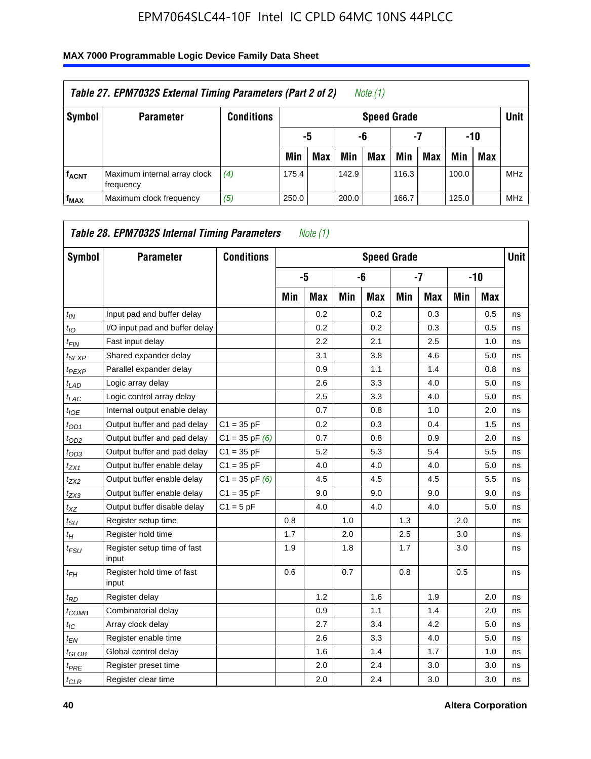| Table 27. EPM7032S External Timing Parameters (Part 2 of 2)<br>Note (1) |                                           |                   |       |                       |       |                    |       |     |       |            |            |  |
|-------------------------------------------------------------------------|-------------------------------------------|-------------------|-------|-----------------------|-------|--------------------|-------|-----|-------|------------|------------|--|
| Symbol                                                                  | <b>Parameter</b>                          | <b>Conditions</b> |       |                       |       | <b>Speed Grade</b> |       |     |       |            | Unit       |  |
|                                                                         |                                           |                   |       | -7<br>-10<br>-5<br>-6 |       |                    |       |     |       |            |            |  |
|                                                                         |                                           |                   | Min   | <b>Max</b>            | Min   | Max                | Min   | Max | Min   | <b>Max</b> |            |  |
| <b>f<sub>ACNT</sub></b>                                                 | Maximum internal array clock<br>frequency | (4)               | 175.4 |                       | 142.9 |                    | 116.3 |     | 100.0 |            | <b>MHz</b> |  |
| f <sub>MAX</sub>                                                        | Maximum clock frequency                   | (5)               | 250.0 |                       | 200.0 |                    | 166.7 |     | 125.0 |            | <b>MHz</b> |  |

| Symbol                        | <b>Parameter</b>                     | <b>Conditions</b>  |     |            |     |            | <b>Speed Grade</b> |            |     |            | <b>Unit</b> |
|-------------------------------|--------------------------------------|--------------------|-----|------------|-----|------------|--------------------|------------|-----|------------|-------------|
|                               |                                      |                    |     | -5         |     | -6         |                    | $-7$       |     | $-10$      |             |
|                               |                                      |                    | Min | <b>Max</b> | Min | <b>Max</b> | Min                | <b>Max</b> | Min | <b>Max</b> |             |
| $t_{IN}$                      | Input pad and buffer delay           |                    |     | 0.2        |     | 0.2        |                    | 0.3        |     | 0.5        | ns          |
| $t_{IO}$                      | I/O input pad and buffer delay       |                    |     | 0.2        |     | 0.2        |                    | 0.3        |     | 0.5        | ns          |
| $t_{\sf FIN}$                 | Fast input delay                     |                    |     | 2.2        |     | 2.1        |                    | 2.5        |     | 1.0        | ns          |
| t <sub>SEXP</sub>             | Shared expander delay                |                    |     | 3.1        |     | 3.8        |                    | 4.6        |     | 5.0        | ns          |
| t <sub>PEXP</sub>             | Parallel expander delay              |                    |     | 0.9        |     | 1.1        |                    | 1.4        |     | 0.8        | ns          |
| $t_{LAD}$                     | Logic array delay                    |                    |     | 2.6        |     | 3.3        |                    | 4.0        |     | 5.0        | ns          |
| $t_{LAC}$                     | Logic control array delay            |                    |     | 2.5        |     | 3.3        |                    | 4.0        |     | 5.0        | ns          |
| $t_{IOE}$                     | Internal output enable delay         |                    |     | 0.7        |     | 0.8        |                    | 1.0        |     | 2.0        | ns          |
| $t_{OD1}$                     | Output buffer and pad delay          | $C1 = 35 pF$       |     | 0.2        |     | 0.3        |                    | 0.4        |     | 1.5        | ns          |
| $t_{OD2}$                     | Output buffer and pad delay          | $C1 = 35$ pF $(6)$ |     | 0.7        |     | 0.8        |                    | 0.9        |     | 2.0        | ns          |
| $t_{OD3}$                     | Output buffer and pad delay          | $C1 = 35 pF$       |     | 5.2        |     | 5.3        |                    | 5.4        |     | 5.5        | ns          |
| $t_{ZX1}$                     | Output buffer enable delay           | $C1 = 35 pF$       |     | 4.0        |     | 4.0        |                    | 4.0        |     | 5.0        | ns          |
| tzx2                          | Output buffer enable delay           | $C1 = 35$ pF $(6)$ |     | 4.5        |     | 4.5        |                    | 4.5        |     | 5.5        | ns          |
| $t_{ZX3}$                     | Output buffer enable delay           | $C1 = 35 pF$       |     | 9.0        |     | 9.0        |                    | 9.0        |     | 9.0        | ns          |
| $t_{XZ}$                      | Output buffer disable delay          | $C1 = 5pF$         |     | 4.0        |     | 4.0        |                    | 4.0        |     | 5.0        | ns          |
| $t_{\text{SU}}$               | Register setup time                  |                    | 0.8 |            | 1.0 |            | 1.3                |            | 2.0 |            | ns          |
| $t_H$                         | Register hold time                   |                    | 1.7 |            | 2.0 |            | 2.5                |            | 3.0 |            | ns          |
| $t_{\mathit{FSU}}$            | Register setup time of fast<br>input |                    | 1.9 |            | 1.8 |            | 1.7                |            | 3.0 |            | ns          |
| t <sub>FH</sub>               | Register hold time of fast<br>input  |                    | 0.6 |            | 0.7 |            | 0.8                |            | 0.5 |            | ns          |
| $t_{RD}$                      | Register delay                       |                    |     | 1.2        |     | 1.6        |                    | 1.9        |     | 2.0        | ns          |
| $t_{COMB}$                    | Combinatorial delay                  |                    |     | 0.9        |     | 1.1        |                    | 1.4        |     | 2.0        | ns          |
| $t_{IC}$                      | Array clock delay                    |                    |     | 2.7        |     | 3.4        |                    | 4.2        |     | 5.0        | ns          |
| $t_{EN}$                      | Register enable time                 |                    |     | 2.6        |     | 3.3        |                    | 4.0        |     | 5.0        | ns          |
| $t_{\scriptstyle\text{GLOB}}$ | Global control delay                 |                    |     | 1.6        |     | 1.4        |                    | 1.7        |     | 1.0        | ns          |
| $t_{PRE}$                     | Register preset time                 |                    |     | 2.0        |     | 2.4        |                    | 3.0        |     | 3.0        | ns          |
| $t_{CLR}$                     | Register clear time                  |                    |     | 2.0        |     | 2.4        |                    | 3.0        |     | 3.0        | ns          |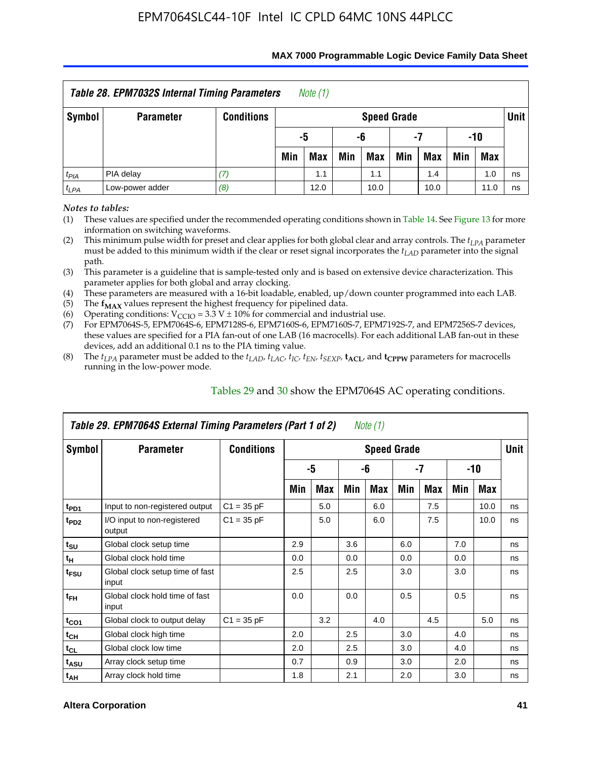| <b>Table 28. EPM7032S Internal Timing Parameters</b><br>Note $(1)$ |                  |                   |     |                         |     |                    |     |      |     |            |             |  |
|--------------------------------------------------------------------|------------------|-------------------|-----|-------------------------|-----|--------------------|-----|------|-----|------------|-------------|--|
| Symbol                                                             | <b>Parameter</b> | <b>Conditions</b> |     |                         |     | <b>Speed Grade</b> |     |      |     |            | <b>Unit</b> |  |
|                                                                    |                  |                   |     | $-10$<br>-7<br>-5<br>-6 |     |                    |     |      |     |            |             |  |
|                                                                    |                  |                   | Min | <b>Max</b>              | Min | <b>Max</b>         | Min | Max  | Min | <b>Max</b> |             |  |
| $t_{PIA}$                                                          | PIA delay        |                   |     | 1.1                     |     | 1.1                |     | 1.4  |     | 1.0        | ns          |  |
| $t_{LPA}$                                                          | Low-power adder  | (8)               |     | 12.0                    |     | 10.0               |     | 10.0 |     | 11.0       | ns          |  |

#### **MAX 7000 Programmable Logic Device Family Data Sheet**

*Notes to tables:*

(1) These values are specified under the recommended operating conditions shown in Table 14. See Figure 13 for more information on switching waveforms.

(2) This minimum pulse width for preset and clear applies for both global clear and array controls. The  $t_{LPA}$  parameter must be added to this minimum width if the clear or reset signal incorporates the *tLAD* parameter into the signal path.

(3) This parameter is a guideline that is sample-tested only and is based on extensive device characterization. This parameter applies for both global and array clocking.

(4) These parameters are measured with a 16-bit loadable, enabled, up/down counter programmed into each LAB.

(5) The  $f_{MAX}$  values represent the highest frequency for pipelined data.

(6) Operating conditions:  $V_{\text{CCIO}} = 3.3 \text{ V} \pm 10\%$  for commercial and industrial use.

(7) For EPM7064S-5, EPM7064S-6, EPM7128S-6, EPM7160S-6, EPM7160S-7, EPM7192S-7, and EPM7256S-7 devices, these values are specified for a PIA fan-out of one LAB (16 macrocells). For each additional LAB fan-out in these devices, add an additional 0.1 ns to the PIA timing value.

(8) The  $t_{LPA}$  parameter must be added to the  $t_{LAD}$ ,  $t_{LAC}$ ,  $t_{IC}$ ,  $t_{EN}$ ,  $t_{SEXP}$ ,  $t_{ACL}$ , and  $t_{CPPW}$  parameters for macrocells running in the low-power mode.

|                  | Table 29. EPM7064S External Timing Parameters (Part 1 of 2) |                   |     |     |     | Note (1)           |     |     |     |      |      |
|------------------|-------------------------------------------------------------|-------------------|-----|-----|-----|--------------------|-----|-----|-----|------|------|
| Symbol           | <b>Parameter</b>                                            | <b>Conditions</b> |     |     |     | <b>Speed Grade</b> |     |     |     |      | Unit |
|                  |                                                             |                   |     | -5  |     | -6                 |     | -7  |     | -10  |      |
|                  |                                                             |                   | Min | Max | Min | Max                | Min | Max | Min | Max  |      |
| t <sub>PD1</sub> | Input to non-registered output                              | $C1 = 35 pF$      |     | 5.0 |     | 6.0                |     | 7.5 |     | 10.0 | ns   |
| t <sub>PD2</sub> | I/O input to non-registered<br>output                       | $C1 = 35 pF$      |     | 5.0 |     | 6.0                |     | 7.5 |     | 10.0 | ns   |
| $t_{\text{SU}}$  | Global clock setup time                                     |                   | 2.9 |     | 3.6 |                    | 6.0 |     | 7.0 |      | ns   |
| $t_H$            | Global clock hold time                                      |                   | 0.0 |     | 0.0 |                    | 0.0 |     | 0.0 |      | ns   |
| t <sub>FSU</sub> | Global clock setup time of fast<br>input                    |                   | 2.5 |     | 2.5 |                    | 3.0 |     | 3.0 |      | ns   |
| $t_{FH}$         | Global clock hold time of fast<br>input                     |                   | 0.0 |     | 0.0 |                    | 0.5 |     | 0.5 |      | ns   |
| $t_{CO1}$        | Global clock to output delay                                | $C1 = 35 pF$      |     | 3.2 |     | 4.0                |     | 4.5 |     | 5.0  | ns   |
| $t_{CH}$         | Global clock high time                                      |                   | 2.0 |     | 2.5 |                    | 3.0 |     | 4.0 |      | ns   |
| $t_{CL}$         | Global clock low time                                       |                   | 2.0 |     | 2.5 |                    | 3.0 |     | 4.0 |      | ns   |
| t <sub>ASU</sub> | Array clock setup time                                      |                   | 0.7 |     | 0.9 |                    | 3.0 |     | 2.0 |      | ns   |
| $t_{AH}$         | Array clock hold time                                       |                   | 1.8 |     | 2.1 |                    | 2.0 |     | 3.0 |      | ns   |

Tables 29 and 30 show the EPM7064S AC operating conditions.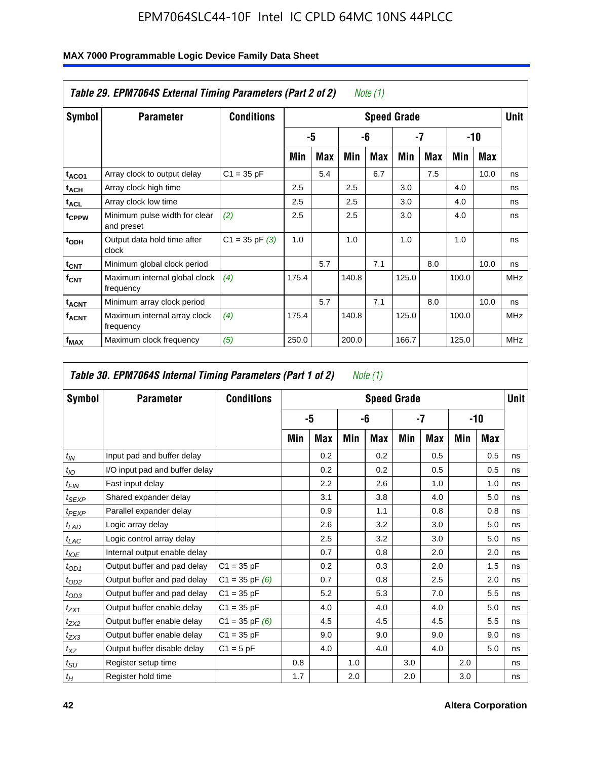|                             | Table 29. EPM7064S External Timing Parameters (Part 2 of 2) |                    |       |     |       | Note (1) |                    |     |       |      |             |
|-----------------------------|-------------------------------------------------------------|--------------------|-------|-----|-------|----------|--------------------|-----|-------|------|-------------|
| Symbol                      | <b>Parameter</b>                                            | <b>Conditions</b>  |       |     |       |          | <b>Speed Grade</b> |     |       |      | <b>Unit</b> |
|                             |                                                             |                    |       | -5  |       | -6       | -7                 |     |       | -10  |             |
|                             |                                                             |                    | Min   | Max | Min   | Max      | Min                | Max | Min   | Max  |             |
| t <sub>ACO1</sub>           | Array clock to output delay                                 | $C1 = 35 pF$       |       | 5.4 |       | 6.7      |                    | 7.5 |       | 10.0 | ns          |
| $t_{\sf ACH}$               | Array clock high time                                       |                    | 2.5   |     | 2.5   |          | 3.0                |     | 4.0   |      | ns          |
| $\mathsf{t}_{\mathsf{ACL}}$ | Array clock low time                                        |                    | 2.5   |     | 2.5   |          | 3.0                |     | 4.0   |      | ns          |
| tcppw                       | Minimum pulse width for clear<br>and preset                 | (2)                | 2.5   |     | 2.5   |          | 3.0                |     | 4.0   |      | ns          |
| t <sub>ODH</sub>            | Output data hold time after<br>clock                        | $C1 = 35$ pF $(3)$ | 1.0   |     | 1.0   |          | 1.0                |     | 1.0   |      | ns          |
| $t_{CNT}$                   | Minimum global clock period                                 |                    |       | 5.7 |       | 7.1      |                    | 8.0 |       | 10.0 | ns          |
| $f_{CNT}$                   | Maximum internal global clock<br>frequency                  | (4)                | 175.4 |     | 140.8 |          | 125.0              |     | 100.0 |      | <b>MHz</b>  |
| $t_{ACNT}$                  | Minimum array clock period                                  |                    |       | 5.7 |       | 7.1      |                    | 8.0 |       | 10.0 | ns          |
| <sup>f</sup> acnt           | Maximum internal array clock<br>frequency                   | (4)                | 175.4 |     | 140.8 |          | 125.0              |     | 100.0 |      | <b>MHz</b>  |
| f <sub>MAX</sub>            | Maximum clock frequency                                     | (5)                | 250.0 |     | 200.0 |          | 166.7              |     | 125.0 |      | <b>MHz</b>  |

|                  | Table 30. EPM7064S Internal Timing Parameters (Part 1 of 2) |                    |     |     |     | Note (1)           |     |     |     |       |             |
|------------------|-------------------------------------------------------------|--------------------|-----|-----|-----|--------------------|-----|-----|-----|-------|-------------|
| Symbol           | <b>Parameter</b>                                            | <b>Conditions</b>  |     |     |     | <b>Speed Grade</b> |     |     |     |       | <b>Unit</b> |
|                  |                                                             |                    |     | -5  |     | -6                 |     | -7  |     | $-10$ |             |
|                  |                                                             |                    | Min | Max | Min | Max                | Min | Max | Min | Max   |             |
| $t_{IN}$         | Input pad and buffer delay                                  |                    |     | 0.2 |     | 0.2                |     | 0.5 |     | 0.5   | ns          |
| $t_{IO}$         | I/O input pad and buffer delay                              |                    |     | 0.2 |     | 0.2                |     | 0.5 |     | 0.5   | ns          |
| t <sub>FIN</sub> | Fast input delay                                            |                    |     | 2.2 |     | 2.6                |     | 1.0 |     | 1.0   | ns          |
| $t_{SEXP}$       | Shared expander delay                                       |                    |     | 3.1 |     | 3.8                |     | 4.0 |     | 5.0   | ns          |
| $t_{PEXP}$       | Parallel expander delay                                     |                    |     | 0.9 |     | 1.1                |     | 0.8 |     | 0.8   | ns          |
| $t_{LAD}$        | Logic array delay                                           |                    |     | 2.6 |     | 3.2                |     | 3.0 |     | 5.0   | ns          |
| $t_{LAC}$        | Logic control array delay                                   |                    |     | 2.5 |     | 3.2                |     | 3.0 |     | 5.0   | ns          |
| $t_{IOE}$        | Internal output enable delay                                |                    |     | 0.7 |     | 0.8                |     | 2.0 |     | 2.0   | ns          |
| $t_{OD1}$        | Output buffer and pad delay                                 | $C1 = 35 pF$       |     | 0.2 |     | 0.3                |     | 2.0 |     | 1.5   | ns          |
| $t_{OD2}$        | Output buffer and pad delay                                 | $C1 = 35$ pF $(6)$ |     | 0.7 |     | 0.8                |     | 2.5 |     | 2.0   | ns          |
| $t_{OD3}$        | Output buffer and pad delay                                 | $C1 = 35 pF$       |     | 5.2 |     | 5.3                |     | 7.0 |     | 5.5   | ns          |
| $t_{ZX1}$        | Output buffer enable delay                                  | $C1 = 35 pF$       |     | 4.0 |     | 4.0                |     | 4.0 |     | 5.0   | ns          |
| $t_{ZX2}$        | Output buffer enable delay                                  | $C1 = 35$ pF $(6)$ |     | 4.5 |     | 4.5                |     | 4.5 |     | 5.5   | ns          |
| $t_{ZX3}$        | Output buffer enable delay                                  | $C1 = 35 pF$       |     | 9.0 |     | 9.0                |     | 9.0 |     | 9.0   | ns          |
| $t_{XZ}$         | Output buffer disable delay                                 | $C1 = 5pF$         |     | 4.0 |     | 4.0                |     | 4.0 |     | 5.0   | ns          |
| $t_{\text{SU}}$  | Register setup time                                         |                    | 0.8 |     | 1.0 |                    | 3.0 |     | 2.0 |       | ns          |
| $t_H$            | Register hold time                                          |                    | 1.7 |     | 2.0 |                    | 2.0 |     | 3.0 |       | ns          |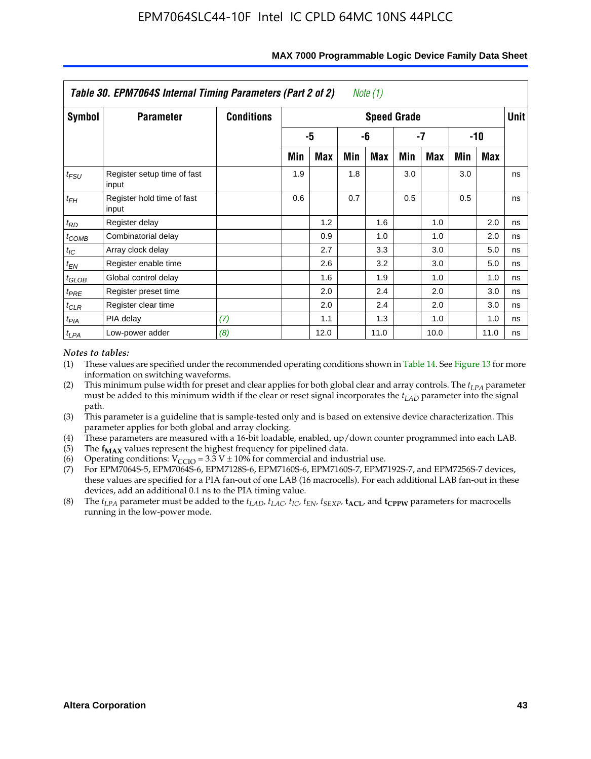|                   | Table 30. EPM7064S Internal Timing Parameters (Part 2 of 2) |                   |     |      |     | Note (1)           |     |      |     |            |             |
|-------------------|-------------------------------------------------------------|-------------------|-----|------|-----|--------------------|-----|------|-----|------------|-------------|
| Symbol            | <b>Parameter</b>                                            | <b>Conditions</b> |     |      |     | <b>Speed Grade</b> |     |      |     |            | <b>Unit</b> |
|                   |                                                             |                   |     | -5   |     | -6                 |     | -7   |     | $-10$      |             |
|                   |                                                             |                   | Min | Max  | Min | Max                | Min | Max  | Min | <b>Max</b> |             |
| $t_{FSU}$         | Register setup time of fast<br>input                        |                   | 1.9 |      | 1.8 |                    | 3.0 |      | 3.0 |            | ns          |
| $t_{FH}$          | Register hold time of fast<br>input                         |                   | 0.6 |      | 0.7 |                    | 0.5 |      | 0.5 |            | ns          |
| $t_{RD}$          | Register delay                                              |                   |     | 1.2  |     | 1.6                |     | 1.0  |     | 2.0        | ns          |
| $t_{COMB}$        | Combinatorial delay                                         |                   |     | 0.9  |     | 1.0                |     | 1.0  |     | 2.0        | ns          |
| $t_{IC}$          | Array clock delay                                           |                   |     | 2.7  |     | 3.3                |     | 3.0  |     | 5.0        | ns          |
| $t_{EN}$          | Register enable time                                        |                   |     | 2.6  |     | 3.2                |     | 3.0  |     | 5.0        | ns          |
| $t_{\text{GLOB}}$ | Global control delay                                        |                   |     | 1.6  |     | 1.9                |     | 1.0  |     | 1.0        | ns          |
| $t_{PRE}$         | Register preset time                                        |                   |     | 2.0  |     | 2.4                |     | 2.0  |     | 3.0        | ns          |
| $t_{CLR}$         | Register clear time                                         |                   |     | 2.0  |     | 2.4                |     | 2.0  |     | 3.0        | ns          |
| $t_{PIA}$         | PIA delay                                                   | (7)               |     | 1.1  |     | 1.3                |     | 1.0  |     | 1.0        | ns          |
| $t_{LPA}$         | Low-power adder                                             | (8)               |     | 12.0 |     | 11.0               |     | 10.0 |     | 11.0       | ns          |

#### **MAX 7000 Programmable Logic Device Family Data Sheet**

### *Notes to tables:*

- (1) These values are specified under the recommended operating conditions shown in Table 14. See Figure 13 for more information on switching waveforms.
- (2) This minimum pulse width for preset and clear applies for both global clear and array controls. The  $t_{LPA}$  parameter must be added to this minimum width if the clear or reset signal incorporates the *t<sub>LAD</sub>* parameter into the signal path.
- (3) This parameter is a guideline that is sample-tested only and is based on extensive device characterization. This parameter applies for both global and array clocking.
- (4) These parameters are measured with a 16-bit loadable, enabled, up/down counter programmed into each LAB.
- (5) The  $f_{MAX}$  values represent the highest frequency for pipelined data.
- (6) Operating conditions:  $V_{\text{CGO}} = 3.3 \text{ V} \pm 10\%$  for commercial and industrial use.
- (7) For EPM7064S-5, EPM7064S-6, EPM7128S-6, EPM7160S-6, EPM7160S-7, EPM7192S-7, and EPM7256S-7 devices, these values are specified for a PIA fan-out of one LAB (16 macrocells). For each additional LAB fan-out in these devices, add an additional 0.1 ns to the PIA timing value.
- (8) The  $t_{LPA}$  parameter must be added to the  $t_{LAD}$ ,  $t_{LAC}$ ,  $t_{IC}$ ,  $t_{EN}$ ,  $t_{SEXP}$ ,  $t_{ACL}$ , and  $t_{CPPW}$  parameters for macrocells running in the low-power mode.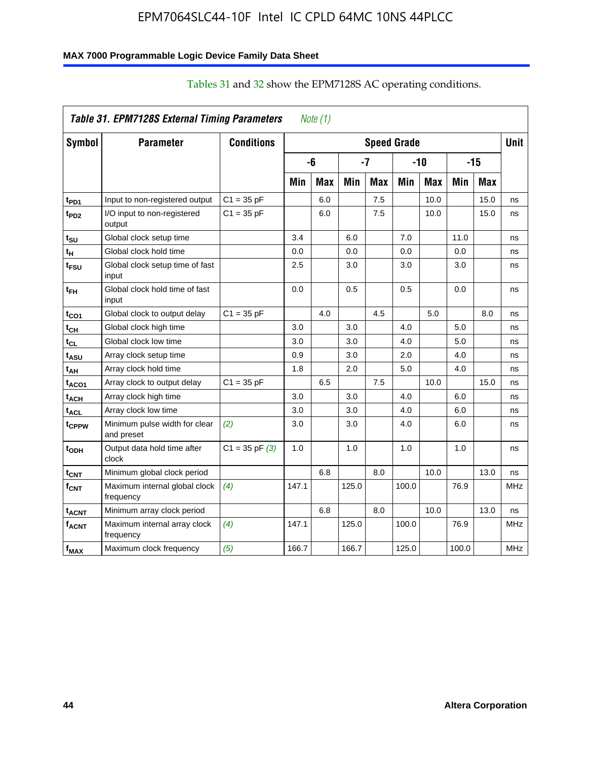### **MAX 7000 Programmable Logic Device Family Data Sheet**

|                   | Table 31. EPM7128S External Timing Parameters |                    |       | Note (1)   |       |            |                    |            |       |            |             |
|-------------------|-----------------------------------------------|--------------------|-------|------------|-------|------------|--------------------|------------|-------|------------|-------------|
| Symbol            | <b>Parameter</b>                              | <b>Conditions</b>  |       |            |       |            | <b>Speed Grade</b> |            |       |            | <b>Unit</b> |
|                   |                                               |                    |       | -6         |       | -7         |                    | $-10$      |       | $-15$      |             |
|                   |                                               |                    | Min   | <b>Max</b> | Min   | <b>Max</b> | Min                | <b>Max</b> | Min   | <b>Max</b> |             |
| t <sub>PD1</sub>  | Input to non-registered output                | $C1 = 35 pF$       |       | 6.0        |       | 7.5        |                    | 10.0       |       | 15.0       | ns          |
| t <sub>PD2</sub>  | I/O input to non-registered<br>output         | $C1 = 35 pF$       |       | 6.0        |       | 7.5        |                    | 10.0       |       | 15.0       | ns          |
| t <sub>SU</sub>   | Global clock setup time                       |                    | 3.4   |            | 6.0   |            | 7.0                |            | 11.0  |            | ns          |
| t <sub>Η</sub>    | Global clock hold time                        |                    | 0.0   |            | 0.0   |            | 0.0                |            | 0.0   |            | ns          |
| t <sub>FSU</sub>  | Global clock setup time of fast<br>input      |                    | 2.5   |            | 3.0   |            | 3.0                |            | 3.0   |            | ns          |
| t <sub>ЕН</sub>   | Global clock hold time of fast<br>input       |                    | 0.0   |            | 0.5   |            | 0.5                |            | 0.0   |            | ns          |
| $t_{CO1}$         | Global clock to output delay                  | $C1 = 35 pF$       |       | 4.0        |       | 4.5        |                    | 5.0        |       | 8.0        | ns          |
| $t_{\mathsf{CH}}$ | Global clock high time                        |                    | 3.0   |            | 3.0   |            | 4.0                |            | 5.0   |            | ns          |
| $t_{CL}$          | Global clock low time                         |                    | 3.0   |            | 3.0   |            | 4.0                |            | 5.0   |            | ns          |
| t <sub>ASU</sub>  | Array clock setup time                        |                    | 0.9   |            | 3.0   |            | 2.0                |            | 4.0   |            | ns          |
| t <sub>АН</sub>   | Array clock hold time                         |                    | 1.8   |            | 2.0   |            | 5.0                |            | 4.0   |            | ns          |
| taco1             | Array clock to output delay                   | $C1 = 35 pF$       |       | 6.5        |       | 7.5        |                    | 10.0       |       | 15.0       | ns          |
| t <sub>АСН</sub>  | Array clock high time                         |                    | 3.0   |            | 3.0   |            | 4.0                |            | 6.0   |            | ns          |
| t <sub>ACL</sub>  | Array clock low time                          |                    | 3.0   |            | 3.0   |            | 4.0                |            | 6.0   |            | ns          |
| tcppw             | Minimum pulse width for clear<br>and preset   | (2)                | 3.0   |            | 3.0   |            | 4.0                |            | 6.0   |            | ns          |
| t <sub>орн</sub>  | Output data hold time after<br>clock          | $C1 = 35$ pF $(3)$ | 1.0   |            | 1.0   |            | 1.0                |            | 1.0   |            | ns          |
| $t_{\text{CNT}}$  | Minimum global clock period                   |                    |       | 6.8        |       | 8.0        |                    | 10.0       |       | 13.0       | ns          |
| $f_{\text{CNT}}$  | Maximum internal global clock<br>frequency    | (4)                | 147.1 |            | 125.0 |            | 100.0              |            | 76.9  |            | <b>MHz</b>  |
| t <sub>acnt</sub> | Minimum array clock period                    |                    |       | 6.8        |       | 8.0        |                    | 10.0       |       | 13.0       | ns          |
| <sup>f</sup> acnt | Maximum internal array clock<br>frequency     | (4)                | 147.1 |            | 125.0 |            | 100.0              |            | 76.9  |            | <b>MHz</b>  |
| f <sub>MAX</sub>  | Maximum clock frequency                       | (5)                | 166.7 |            | 166.7 |            | 125.0              |            | 100.0 |            | <b>MHz</b>  |

# Tables 31 and 32 show the EPM7128S AC operating conditions.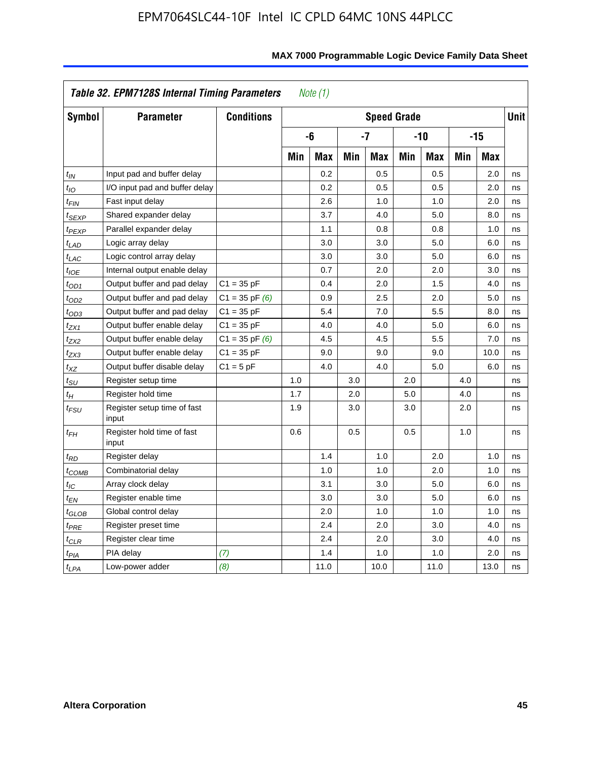|                    | Table 32. EPM7128S Internal Timing Parameters |                    |     | Note $(1)$ |            |                    |     |            |     |            |             |
|--------------------|-----------------------------------------------|--------------------|-----|------------|------------|--------------------|-----|------------|-----|------------|-------------|
| <b>Symbol</b>      | <b>Parameter</b>                              | <b>Conditions</b>  |     |            |            | <b>Speed Grade</b> |     |            |     |            | <b>Unit</b> |
|                    |                                               |                    |     | -6         |            | $-7$               |     | $-10$      |     | $-15$      |             |
|                    |                                               |                    | Min | <b>Max</b> | <b>Min</b> | <b>Max</b>         | Min | <b>Max</b> | Min | <b>Max</b> |             |
| $t_{IN}$           | Input pad and buffer delay                    |                    |     | 0.2        |            | 0.5                |     | 0.5        |     | 2.0        | ns          |
| $t_{IO}$           | I/O input pad and buffer delay                |                    |     | 0.2        |            | 0.5                |     | 0.5        |     | 2.0        | ns          |
| $t_{\textit{FIN}}$ | Fast input delay                              |                    |     | 2.6        |            | 1.0                |     | 1.0        |     | 2.0        | ns          |
| <sup>t</sup> SEXP  | Shared expander delay                         |                    |     | 3.7        |            | 4.0                |     | 5.0        |     | 8.0        | ns          |
| t <sub>PEXP</sub>  | Parallel expander delay                       |                    |     | 1.1        |            | 0.8                |     | 0.8        |     | 1.0        | ns          |
| $t_{LAD}$          | Logic array delay                             |                    |     | 3.0        |            | 3.0                |     | 5.0        |     | 6.0        | ns          |
| $t_{LAC}$          | Logic control array delay                     |                    |     | 3.0        |            | 3.0                |     | 5.0        |     | 6.0        | ns          |
| $t_{IOE}$          | Internal output enable delay                  |                    |     | 0.7        |            | 2.0                |     | 2.0        |     | 3.0        | ns          |
| $t_{OD1}$          | Output buffer and pad delay                   | $C1 = 35 pF$       |     | 0.4        |            | 2.0                |     | 1.5        |     | 4.0        | ns          |
| $t_{OD2}$          | Output buffer and pad delay                   | $C1 = 35$ pF $(6)$ |     | 0.9        |            | 2.5                |     | 2.0        |     | 5.0        | ns          |
| $t_{OD3}$          | Output buffer and pad delay                   | $C1 = 35 pF$       |     | 5.4        |            | 7.0                |     | 5.5        |     | 8.0        | ns          |
| t <sub>ZX1</sub>   | Output buffer enable delay                    | $C1 = 35 pF$       |     | 4.0        |            | 4.0                |     | 5.0        |     | 6.0        | ns          |
| t <sub>ZX2</sub>   | Output buffer enable delay                    | $C1 = 35$ pF $(6)$ |     | 4.5        |            | 4.5                |     | 5.5        |     | 7.0        | ns          |
| $t_{ZX3}$          | Output buffer enable delay                    | $C1 = 35 pF$       |     | 9.0        |            | 9.0                |     | 9.0        |     | 10.0       | ns          |
| $t_{\mathsf{XZ}}$  | Output buffer disable delay                   | $C1 = 5pF$         |     | 4.0        |            | 4.0                |     | 5.0        |     | 6.0        | ns          |
| $t_{\text{SU}}$    | Register setup time                           |                    | 1.0 |            | 3.0        |                    | 2.0 |            | 4.0 |            | ns          |
| $t_H$              | Register hold time                            |                    | 1.7 |            | 2.0        |                    | 5.0 |            | 4.0 |            | ns          |
| $t_{\it FSU}$      | Register setup time of fast<br>input          |                    | 1.9 |            | 3.0        |                    | 3.0 |            | 2.0 |            | ns          |
| $t_{FH}$           | Register hold time of fast<br>input           |                    | 0.6 |            | 0.5        |                    | 0.5 |            | 1.0 |            | ns          |
| t <sub>RD</sub>    | Register delay                                |                    |     | 1.4        |            | 1.0                |     | 2.0        |     | 1.0        | ns          |
| $t_{\sf COMB}$     | Combinatorial delay                           |                    |     | 1.0        |            | 1.0                |     | 2.0        |     | 1.0        | ns          |
| $t_{IC}$           | Array clock delay                             |                    |     | 3.1        |            | 3.0                |     | 5.0        |     | 6.0        | ns          |
| t <sub>EN</sub>    | Register enable time                          |                    |     | 3.0        |            | 3.0                |     | 5.0        |     | 6.0        | ns          |
| t <sub>GLOB</sub>  | Global control delay                          |                    |     | 2.0        |            | 1.0                |     | 1.0        |     | 1.0        | ns          |
| $t_{PRE}$          | Register preset time                          |                    |     | 2.4        |            | 2.0                |     | 3.0        |     | 4.0        | ns          |
| $t_{\sf CLR}$      | Register clear time                           |                    |     | 2.4        |            | 2.0                |     | 3.0        |     | 4.0        | ns          |
| t <sub>PIA</sub>   | PIA delay                                     | (7)                |     | 1.4        |            | 1.0                |     | 1.0        |     | 2.0        | ns          |
| $t_{LPA}$          | Low-power adder                               | (8)                |     | 11.0       |            | 10.0               |     | 11.0       |     | 13.0       | ns          |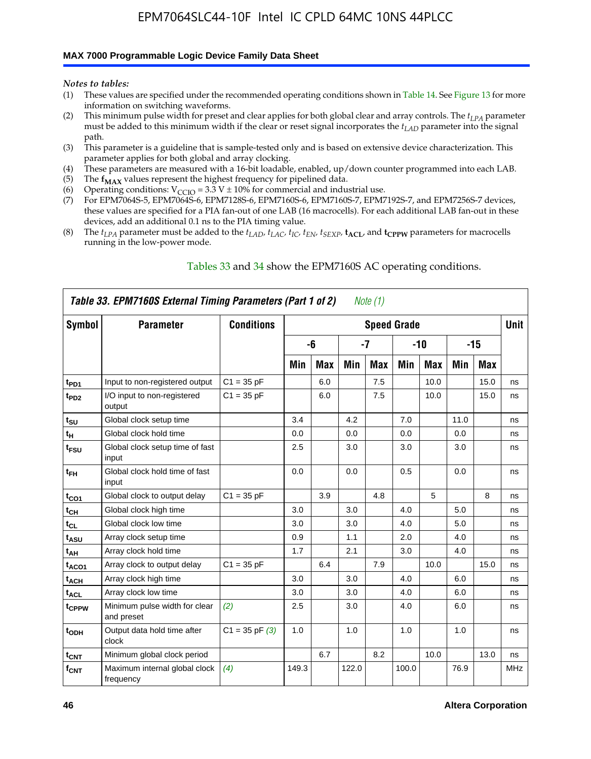#### **MAX 7000 Programmable Logic Device Family Data Sheet**

*Notes to tables:*

- (1) These values are specified under the recommended operating conditions shown in Table 14. See Figure 13 for more information on switching waveforms.
- (2) This minimum pulse width for preset and clear applies for both global clear and array controls. The  $t_{LPA}$  parameter must be added to this minimum width if the clear or reset signal incorporates the *tLAD* parameter into the signal path.
- (3) This parameter is a guideline that is sample-tested only and is based on extensive device characterization. This parameter applies for both global and array clocking.
- (4) These parameters are measured with a 16-bit loadable, enabled, up/down counter programmed into each LAB.
- (5) The  $f_{MAX}$  values represent the highest frequency for pipelined data.
- (6) Operating conditions:  $V_{\text{CCIO}} = 3.3 \text{ V} \pm 10\%$  for commercial and industrial use.
- (7) For EPM7064S-5, EPM7064S-6, EPM7128S-6, EPM7160S-6, EPM7160S-7, EPM7192S-7, and EPM7256S-7 devices, these values are specified for a PIA fan-out of one LAB (16 macrocells). For each additional LAB fan-out in these devices, add an additional 0.1 ns to the PIA timing value.
- (8) The  $t_{LPA}$  parameter must be added to the  $t_{LAD}$ ,  $t_{LAC}$ ,  $t_{IC}$ ,  $t_{EN}$ ,  $t_{SEXP}$ ,  $t_{ACL}$ , and  $t_{CPPW}$  parameters for macrocells running in the low-power mode.

|                  | Table 33. EPM7160S External Timing Parameters (Part 1 of 2) |                    |       |            |       | Note (1)   |                    |            |      |      |            |
|------------------|-------------------------------------------------------------|--------------------|-------|------------|-------|------------|--------------------|------------|------|------|------------|
| Symbol           | <b>Parameter</b>                                            | <b>Conditions</b>  |       |            |       |            | <b>Speed Grade</b> |            |      |      | Unit       |
|                  |                                                             |                    |       | -6         |       | -7         |                    | -10        |      | -15  |            |
|                  |                                                             |                    | Min   | <b>Max</b> | Min   | <b>Max</b> | Min                | <b>Max</b> | Min  | Max  |            |
| t <sub>PD1</sub> | Input to non-registered output                              | $C1 = 35 pF$       |       | 6.0        |       | 7.5        |                    | 10.0       |      | 15.0 | ns         |
| t <sub>PD2</sub> | I/O input to non-registered<br>output                       | $C1 = 35 pF$       |       | 6.0        |       | 7.5        |                    | 10.0       |      | 15.0 | ns         |
| $t_{\text{SU}}$  | Global clock setup time                                     |                    | 3.4   |            | 4.2   |            | 7.0                |            | 11.0 |      | ns         |
| $t_H$            | Global clock hold time                                      |                    | 0.0   |            | 0.0   |            | 0.0                |            | 0.0  |      | ns         |
| t <sub>FSU</sub> | Global clock setup time of fast<br>input                    |                    | 2.5   |            | 3.0   |            | 3.0                |            | 3.0  |      | ns         |
| $t_{FH}$         | Global clock hold time of fast<br>input                     |                    | 0.0   |            | 0.0   |            | 0.5                |            | 0.0  |      | ns         |
| $t_{CO1}$        | Global clock to output delay                                | $C1 = 35 pF$       |       | 3.9        |       | 4.8        |                    | 5          |      | 8    | ns         |
| $t_{CH}$         | Global clock high time                                      |                    | 3.0   |            | 3.0   |            | 4.0                |            | 5.0  |      | ns         |
| $t_{CL}$         | Global clock low time                                       |                    | 3.0   |            | 3.0   |            | 4.0                |            | 5.0  |      | ns         |
| t <sub>ASU</sub> | Array clock setup time                                      |                    | 0.9   |            | 1.1   |            | 2.0                |            | 4.0  |      | ns         |
| t <sub>АН</sub>  | Array clock hold time                                       |                    | 1.7   |            | 2.1   |            | 3.0                |            | 4.0  |      | ns         |
| $t_{ACO1}$       | Array clock to output delay                                 | $C1 = 35 pF$       |       | 6.4        |       | 7.9        |                    | 10.0       |      | 15.0 | ns         |
| $t_{ACH}$        | Array clock high time                                       |                    | 3.0   |            | 3.0   |            | 4.0                |            | 6.0  |      | ns         |
| $t_{\sf ACL}$    | Array clock low time                                        |                    | 3.0   |            | 3.0   |            | 4.0                |            | 6.0  |      | ns         |
| tcppw            | Minimum pulse width for clear<br>and preset                 | (2)                | 2.5   |            | 3.0   |            | 4.0                |            | 6.0  |      | ns         |
| t <sub>ODH</sub> | Output data hold time after<br>clock                        | $C1 = 35$ pF $(3)$ | 1.0   |            | 1.0   |            | 1.0                |            | 1.0  |      | ns         |
| $t_{\text{CNT}}$ | Minimum global clock period                                 |                    |       | 6.7        |       | 8.2        |                    | 10.0       |      | 13.0 | ns         |
| $f_{\text{CNT}}$ | Maximum internal global clock<br>frequency                  | (4)                | 149.3 |            | 122.0 |            | 100.0              |            | 76.9 |      | <b>MHz</b> |

### Tables 33 and 34 show the EPM7160S AC operating conditions.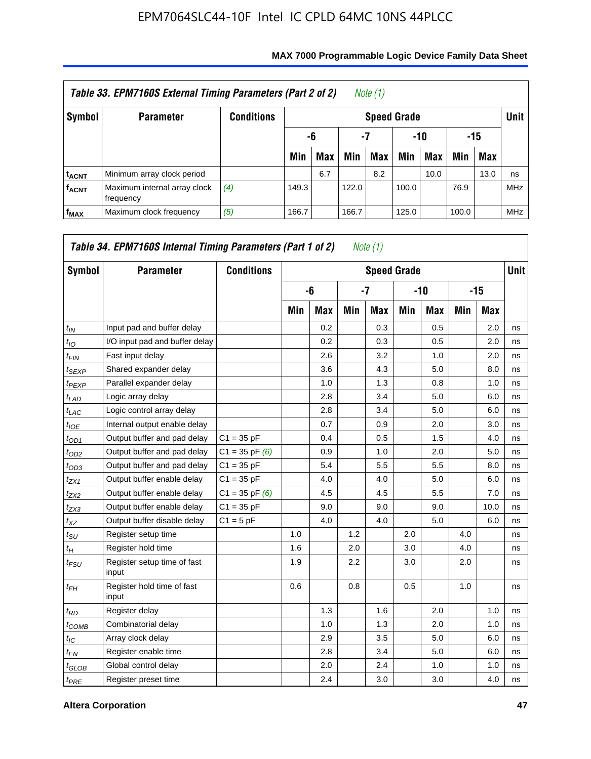|                         | Table 33. EPM7160S External Timing Parameters (Part 2 of 2) |            |       |                    |       | Note (1) |       |      |       |            |            |  |  |
|-------------------------|-------------------------------------------------------------|------------|-------|--------------------|-------|----------|-------|------|-------|------------|------------|--|--|
| Symbol                  | <b>Parameter</b>                                            | Conditions |       | <b>Speed Grade</b> |       |          |       |      |       |            |            |  |  |
|                         |                                                             |            |       | -6                 | -7    |          |       | -10  |       | -15        |            |  |  |
|                         |                                                             |            | Min   | <b>Max</b>         | Min   | Max      | Min   | Max  | Min   | <b>Max</b> |            |  |  |
| <b>t<sub>ACNT</sub></b> | Minimum array clock period                                  |            |       | 6.7                |       | 8.2      |       | 10.0 |       | 13.0       | ns         |  |  |
| <b>fACNT</b>            | Maximum internal array clock<br>frequency                   | (4)        | 149.3 |                    | 122.0 |          | 100.0 |      | 76.9  |            | <b>MHz</b> |  |  |
| $f_{MAX}$               | Maximum clock frequency                                     | (5)        | 166.7 |                    | 166.7 |          | 125.0 |      | 100.0 |            | <b>MHz</b> |  |  |

| Symbol            | <b>Parameter</b>                     | <b>Conditions</b>  |     |            |     | <b>Speed Grade</b> |     |            |     |            | <b>Unit</b> |
|-------------------|--------------------------------------|--------------------|-----|------------|-----|--------------------|-----|------------|-----|------------|-------------|
|                   |                                      |                    |     | -6         |     | $-7$               |     | $-10$      |     | $-15$      |             |
|                   |                                      |                    | Min | <b>Max</b> | Min | Max                | Min | <b>Max</b> | Min | <b>Max</b> |             |
| $t_{IN}$          | Input pad and buffer delay           |                    |     | 0.2        |     | 0.3                |     | 0.5        |     | 2.0        | ns          |
| $t_{IO}$          | I/O input pad and buffer delay       |                    |     | 0.2        |     | 0.3                |     | 0.5        |     | 2.0        | ns          |
| $t_{FIN}$         | Fast input delay                     |                    |     | 2.6        |     | 3.2                |     | 1.0        |     | 2.0        | ns          |
| $t_{SEXP}$        | Shared expander delay                |                    |     | 3.6        |     | 4.3                |     | 5.0        |     | 8.0        | ns          |
| <sup>t</sup> PEXP | Parallel expander delay              |                    |     | 1.0        |     | 1.3                |     | 0.8        |     | 1.0        | ns          |
| $t_{LAD}$         | Logic array delay                    |                    |     | 2.8        |     | 3.4                |     | 5.0        |     | 6.0        | ns          |
| $t_{LAC}$         | Logic control array delay            |                    |     | 2.8        |     | 3.4                |     | 5.0        |     | 6.0        | ns          |
| $t_{IOE}$         | Internal output enable delay         |                    |     | 0.7        |     | 0.9                |     | 2.0        |     | 3.0        | ns          |
| $t_{OD1}$         | Output buffer and pad delay          | $C1 = 35 pF$       |     | 0.4        |     | 0.5                |     | 1.5        |     | 4.0        | ns          |
| $t_{OD2}$         | Output buffer and pad delay          | $C1 = 35$ pF $(6)$ |     | 0.9        |     | 1.0                |     | 2.0        |     | 5.0        | ns          |
| $t_{OD3}$         | Output buffer and pad delay          | $C1 = 35 pF$       |     | 5.4        |     | 5.5                |     | 5.5        |     | 8.0        | ns          |
| $t_{ZX1}$         | Output buffer enable delay           | $C1 = 35 pF$       |     | 4.0        |     | 4.0                |     | 5.0        |     | 6.0        | ns          |
| $t_{ZX2}$         | Output buffer enable delay           | $C1 = 35$ pF $(6)$ |     | 4.5        |     | 4.5                |     | 5.5        |     | 7.0        | ns          |
| $t_{ZX3}$         | Output buffer enable delay           | $C1 = 35 pF$       |     | 9.0        |     | 9.0                |     | 9.0        |     | 10.0       | ns          |
| $t_{XZ}$          | Output buffer disable delay          | $C1 = 5pF$         |     | 4.0        |     | 4.0                |     | 5.0        |     | 6.0        | ns          |
| $t_{\rm SU}$      | Register setup time                  |                    | 1.0 |            | 1.2 |                    | 2.0 |            | 4.0 |            | ns          |
| $t_H$             | Register hold time                   |                    | 1.6 |            | 2.0 |                    | 3.0 |            | 4.0 |            | ns          |
| $t_{FSU}$         | Register setup time of fast<br>input |                    | 1.9 |            | 2.2 |                    | 3.0 |            | 2.0 |            | ns          |
| $t_{FH}$          | Register hold time of fast<br>input  |                    | 0.6 |            | 0.8 |                    | 0.5 |            | 1.0 |            | ns          |
| $t_{RD}$          | Register delay                       |                    |     | 1.3        |     | 1.6                |     | 2.0        |     | 1.0        | ns          |
| $t_{COMB}$        | Combinatorial delay                  |                    |     | 1.0        |     | 1.3                |     | 2.0        |     | 1.0        | ns          |
| $t_{\text{IC}}$   | Array clock delay                    |                    |     | 2.9        |     | 3.5                |     | 5.0        |     | 6.0        | ns          |
| $t_{EN}$          | Register enable time                 |                    |     | 2.8        |     | 3.4                |     | 5.0        |     | 6.0        | ns          |
| $t_{GLOB}$        | Global control delay                 |                    |     | 2.0        |     | 2.4                |     | 1.0        |     | 1.0        | ns          |
| $t_{PRE}$         | Register preset time                 |                    |     | 2.4        |     | 3.0                |     | 3.0        |     | 4.0        | ns          |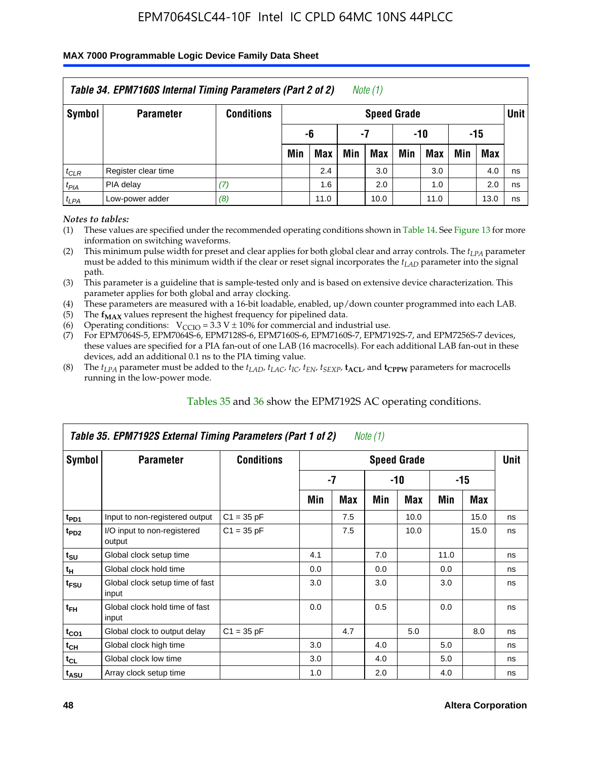### **MAX 7000 Programmable Logic Device Family Data Sheet**

|           | Table 34. EPM7160S Internal Timing Parameters (Part 2 of 2) |                   |                          |            |     | Note (1)           |     |            |     |      |             |  |
|-----------|-------------------------------------------------------------|-------------------|--------------------------|------------|-----|--------------------|-----|------------|-----|------|-------------|--|
| Symbol    | <b>Parameter</b>                                            | <b>Conditions</b> |                          |            |     | <b>Speed Grade</b> |     |            |     |      | <b>Unit</b> |  |
|           |                                                             |                   | -15<br>-6<br>$-10$<br>-7 |            |     |                    |     |            |     |      |             |  |
|           |                                                             |                   | Min                      | <b>Max</b> | Min | <b>Max</b>         | Min | <b>Max</b> | Min | Max  |             |  |
| $t_{CLR}$ | Register clear time                                         |                   |                          | 2.4        |     | 3.0                |     | 3.0        |     | 4.0  | ns          |  |
| $t_{PIA}$ | PIA delay                                                   | (7)               |                          | 1.6        |     | 2.0                |     | 1.0        |     | 2.0  | ns          |  |
| $t_{LPA}$ | Low-power adder                                             | (8)               |                          | 11.0       |     | 10.0               |     | 11.0       |     | 13.0 | ns          |  |

*Notes to tables:*

- (1) These values are specified under the recommended operating conditions shown in Table 14. See Figure 13 for more information on switching waveforms.
- (2) This minimum pulse width for preset and clear applies for both global clear and array controls. The  $t_{LPA}$  parameter must be added to this minimum width if the clear or reset signal incorporates the *t<sub>LAD</sub>* parameter into the signal path.
- (3) This parameter is a guideline that is sample-tested only and is based on extensive device characterization. This parameter applies for both global and array clocking.
- (4) These parameters are measured with a 16-bit loadable, enabled, up/down counter programmed into each LAB.
- (5) The  $f_{MAX}$  values represent the highest frequency for pipelined data.
- (6) Operating conditions:  $V_{\text{CCIO}} = 3.3 V \pm 10\%$  for commercial and industrial use.
- (7) For EPM7064S-5, EPM7064S-6, EPM7128S-6, EPM7160S-6, EPM7160S-7, EPM7192S-7, and EPM7256S-7 devices, these values are specified for a PIA fan-out of one LAB (16 macrocells). For each additional LAB fan-out in these devices, add an additional 0.1 ns to the PIA timing value.
- (8) The  $t_{LPA}$  parameter must be added to the  $t_{LAP}$ ,  $t_{LAC}$ ,  $t_{IC}$ ,  $t_{EN}$ ,  $t_{SEXP}$ ,  $t_{ACL}$ , and  $t_{CPPW}$  parameters for macrocells running in the low-power mode.

|                             | Table 35. EPM7192S External Timing Parameters (Part 1 of 2) |                   |     |      | Note $(1)$ |                    |      |       |             |
|-----------------------------|-------------------------------------------------------------|-------------------|-----|------|------------|--------------------|------|-------|-------------|
| Symbol                      | <b>Parameter</b>                                            | <b>Conditions</b> |     |      |            | <b>Speed Grade</b> |      |       | <b>Unit</b> |
|                             |                                                             |                   |     | $-7$ |            | -10                |      | $-15$ |             |
|                             |                                                             |                   | Min | Max  | Min        | <b>Max</b>         | Min  | Max   |             |
| t <sub>PD1</sub>            | Input to non-registered output                              | $C1 = 35 pF$      |     | 7.5  |            | 10.0               |      | 15.0  | ns          |
| $t_{PD2}$                   | I/O input to non-registered<br>output                       | $C1 = 35 pF$      |     | 7.5  |            | 10.0               |      | 15.0  | ns          |
| $t_{\scriptstyle\text{SU}}$ | Global clock setup time                                     |                   | 4.1 |      | 7.0        |                    | 11.0 |       | ns          |
| $t_H$                       | Global clock hold time                                      |                   | 0.0 |      | 0.0        |                    | 0.0  |       | ns          |
| t <sub>FSU</sub>            | Global clock setup time of fast<br>input                    |                   | 3.0 |      | 3.0        |                    | 3.0  |       | ns          |
| $t_{FH}$                    | Global clock hold time of fast<br>input                     |                   | 0.0 |      | 0.5        |                    | 0.0  |       | ns          |
| $t_{CO1}$                   | Global clock to output delay                                | $C1 = 35 pF$      |     | 4.7  |            | 5.0                |      | 8.0   | ns          |
| $t_{CH}$                    | Global clock high time                                      |                   | 3.0 |      | 4.0        |                    | 5.0  |       | ns          |
| $t_{CL}$                    | Global clock low time                                       |                   | 3.0 |      | 4.0        |                    | 5.0  |       | ns          |
| t <sub>ASU</sub>            | Array clock setup time                                      |                   | 1.0 |      | 2.0        |                    | 4.0  |       | ns          |

### Tables 35 and 36 show the EPM7192S AC operating conditions.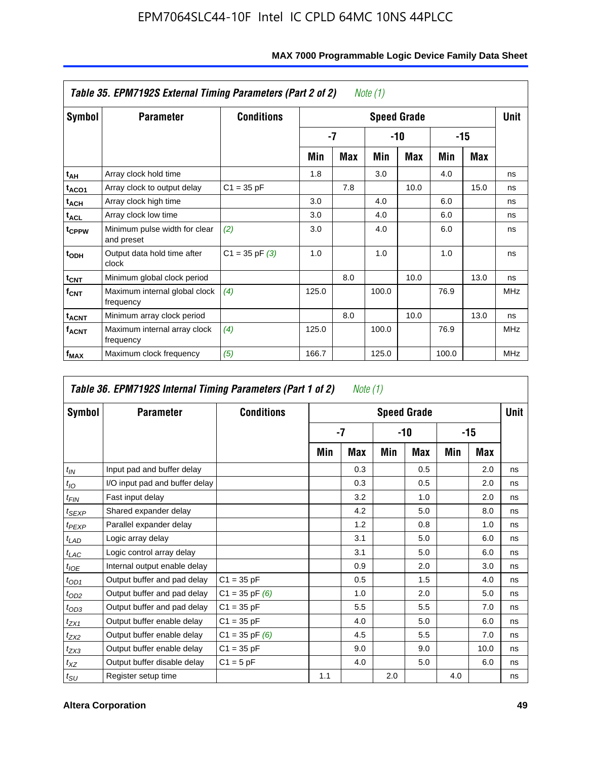|                         | Table 35. EPM7192S External Timing Parameters (Part 2 of 2) |                    |       |      | Note (1) |                    |       |      |            |
|-------------------------|-------------------------------------------------------------|--------------------|-------|------|----------|--------------------|-------|------|------------|
| Symbol                  | <b>Parameter</b>                                            | <b>Conditions</b>  |       |      |          | <b>Speed Grade</b> |       |      | Unit       |
|                         |                                                             |                    |       | $-7$ |          | -10                |       | -15  |            |
|                         |                                                             |                    | Min   | Max  | Min      | Max                | Min   | Max  |            |
| t <sub>АН</sub>         | Array clock hold time                                       |                    | 1.8   |      | 3.0      |                    | 4.0   |      | ns         |
| t <sub>ACO1</sub>       | Array clock to output delay                                 | $C1 = 35 pF$       |       | 7.8  |          | 10.0               |       | 15.0 | ns         |
| $t_{\sf ACH}$           | Array clock high time                                       |                    | 3.0   |      | 4.0      |                    | 6.0   |      | ns         |
| $t_{\sf ACL}$           | Array clock low time                                        |                    | 3.0   |      | 4.0      |                    | 6.0   |      | ns         |
| t <sub>CPPW</sub>       | Minimum pulse width for clear<br>and preset                 | (2)                | 3.0   |      | 4.0      |                    | 6.0   |      | ns         |
| $t_{ODH}$               | Output data hold time after<br>clock                        | $C1 = 35$ pF $(3)$ | 1.0   |      | 1.0      |                    | 1.0   |      | ns         |
| $t_{\mathsf{CNT}}$      | Minimum global clock period                                 |                    |       | 8.0  |          | 10.0               |       | 13.0 | ns         |
| $f_{\text{CNT}}$        | Maximum internal global clock<br>frequency                  | (4)                | 125.0 |      | 100.0    |                    | 76.9  |      | <b>MHz</b> |
| $t_{ACNT}$              | Minimum array clock period                                  |                    |       | 8.0  |          | 10.0               |       | 13.0 | ns         |
| <b>f<sub>ACNT</sub></b> | Maximum internal array clock<br>frequency                   | (4)                | 125.0 |      | 100.0    |                    | 76.9  |      | <b>MHz</b> |
| f <sub>MAX</sub>        | Maximum clock frequency                                     | (5)                | 166.7 |      | 125.0    |                    | 100.0 |      | <b>MHz</b> |

### **MAX 7000 Programmable Logic Device Family Data Sheet**

|                    | Table 36. EPM7192S Internal Timing Parameters (Part 1 of 2) |                    |     | Note (1) |     |                    |     |      |             |
|--------------------|-------------------------------------------------------------|--------------------|-----|----------|-----|--------------------|-----|------|-------------|
| Symbol             | <b>Parameter</b>                                            | <b>Conditions</b>  |     |          |     | <b>Speed Grade</b> |     |      | <b>Unit</b> |
|                    |                                                             |                    |     | $-7$     |     | -10                |     | -15  |             |
|                    |                                                             |                    | Min | Max      | Min | Max                | Min | Max  |             |
| $t_{IN}$           | Input pad and buffer delay                                  |                    |     | 0.3      |     | 0.5                |     | 2.0  | ns          |
| $t_{IO}$           | I/O input pad and buffer delay                              |                    |     | 0.3      |     | 0.5                |     | 2.0  | ns          |
| $t_{\textit{FIN}}$ | Fast input delay                                            |                    |     | 3.2      |     | 1.0                |     | 2.0  | ns          |
| t <sub>SEXP</sub>  | Shared expander delay                                       |                    |     | 4.2      |     | 5.0                |     | 8.0  | ns          |
| $t_{PEXP}$         | Parallel expander delay                                     |                    |     | 1.2      |     | 0.8                |     | 1.0  | ns          |
| $t_{LAD}$          | Logic array delay                                           |                    |     | 3.1      |     | 5.0                |     | 6.0  | ns          |
| $t_{LAC}$          | Logic control array delay                                   |                    |     | 3.1      |     | 5.0                |     | 6.0  | ns          |
| $t_{IOE}$          | Internal output enable delay                                |                    |     | 0.9      |     | 2.0                |     | 3.0  | ns          |
| $t_{OD1}$          | Output buffer and pad delay                                 | $C1 = 35 pF$       |     | 0.5      |     | 1.5                |     | 4.0  | ns          |
| $t_{OD2}$          | Output buffer and pad delay                                 | $C1 = 35$ pF $(6)$ |     | 1.0      |     | 2.0                |     | 5.0  | ns          |
| $t_{OD3}$          | Output buffer and pad delay                                 | $C1 = 35 pF$       |     | 5.5      |     | 5.5                |     | 7.0  | ns          |
| $t_{ZX1}$          | Output buffer enable delay                                  | $C1 = 35 pF$       |     | 4.0      |     | 5.0                |     | 6.0  | ns          |
| $t_{ZX2}$          | Output buffer enable delay                                  | $C1 = 35$ pF $(6)$ |     | 4.5      |     | 5.5                |     | 7.0  | ns          |
| $t_{ZX3}$          | Output buffer enable delay                                  | $C1 = 35 pF$       |     | 9.0      |     | 9.0                |     | 10.0 | ns          |
| $t_{XZ}$           | Output buffer disable delay                                 | $C1 = 5pF$         |     | 4.0      |     | 5.0                |     | 6.0  | ns          |
| $t_{\text{SU}}$    | Register setup time                                         |                    | 1.1 |          | 2.0 |                    | 4.0 |      | ns          |

**F**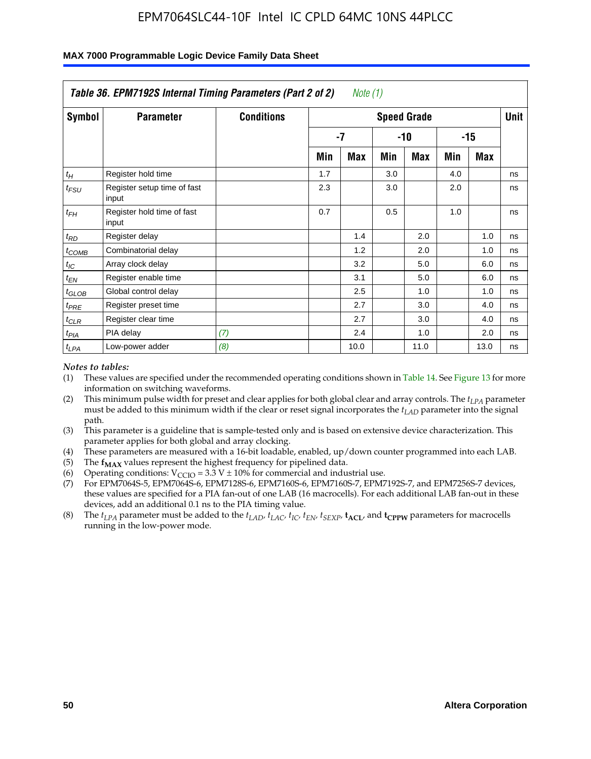|                    | Table 36. EPM7192S Internal Timing Parameters (Part 2 of 2) |                   |     | Note $(1)$ |     |                    |     |            |      |
|--------------------|-------------------------------------------------------------|-------------------|-----|------------|-----|--------------------|-----|------------|------|
| Symbol             | <b>Parameter</b>                                            | <b>Conditions</b> |     |            |     | <b>Speed Grade</b> |     |            | Unit |
|                    |                                                             |                   |     | $-7$       |     | -10                |     | $-15$      |      |
|                    |                                                             |                   | Min | Max        | Min | Max                | Min | <b>Max</b> |      |
| $t_H$              | Register hold time                                          |                   | 1.7 |            | 3.0 |                    | 4.0 |            | ns   |
| $t_{\mathit{FSU}}$ | Register setup time of fast<br>input                        |                   | 2.3 |            | 3.0 |                    | 2.0 |            | ns   |
| $t_{FH}$           | Register hold time of fast<br>input                         |                   | 0.7 |            | 0.5 |                    | 1.0 |            | ns   |
| $t_{RD}$           | Register delay                                              |                   |     | 1.4        |     | 2.0                |     | 1.0        | ns   |
| $t_{\text{COMB}}$  | Combinatorial delay                                         |                   |     | 1.2        |     | 2.0                |     | 1.0        | ns   |
| $t_{IC}$           | Array clock delay                                           |                   |     | 3.2        |     | 5.0                |     | 6.0        | ns   |
| $t_{EN}$           | Register enable time                                        |                   |     | 3.1        |     | 5.0                |     | 6.0        | ns   |
| $t_{GLOB}$         | Global control delay                                        |                   |     | 2.5        |     | 1.0                |     | 1.0        | ns   |
| $t_{PRE}$          | Register preset time                                        |                   |     | 2.7        |     | 3.0                |     | 4.0        | ns   |
| $t_{CLR}$          | Register clear time                                         |                   |     | 2.7        |     | 3.0                |     | 4.0        | ns   |
| t <sub>PIA</sub>   | PIA delay                                                   | (7)               |     | 2.4        |     | 1.0                |     | 2.0        | ns   |
| $t_{LPA}$          | Low-power adder                                             | (8)               |     | 10.0       |     | 11.0               |     | 13.0       | ns   |

#### **MAX 7000 Programmable Logic Device Family Data Sheet**

#### *Notes to tables:*

- (1) These values are specified under the recommended operating conditions shown in Table 14. See Figure 13 for more information on switching waveforms.
- (2) This minimum pulse width for preset and clear applies for both global clear and array controls. The *tLPA* parameter must be added to this minimum width if the clear or reset signal incorporates the *t<sub>LAD</sub>* parameter into the signal path.
- (3) This parameter is a guideline that is sample-tested only and is based on extensive device characterization. This parameter applies for both global and array clocking.
- (4) These parameters are measured with a 16-bit loadable, enabled, up/down counter programmed into each LAB.
- (5) The  $f_{MAX}$  values represent the highest frequency for pipelined data.
- (6) Operating conditions:  $V_{\text{CCIO}} = 3.3 \text{ V} \pm 10\%$  for commercial and industrial use.
- (7) For EPM7064S-5, EPM7064S-6, EPM7128S-6, EPM7160S-6, EPM7160S-7, EPM7192S-7, and EPM7256S-7 devices, these values are specified for a PIA fan-out of one LAB (16 macrocells). For each additional LAB fan-out in these devices, add an additional 0.1 ns to the PIA timing value.
- (8) The  $t_{LPA}$  parameter must be added to the  $t_{LAD}$ ,  $t_{LAC}$ ,  $t_{IC}$ ,  $t_{EN}$ ,  $t_{SIX}$ ,  $t_{ACL}$ , and  $t_{CPW}$  parameters for macrocells running in the low-power mode.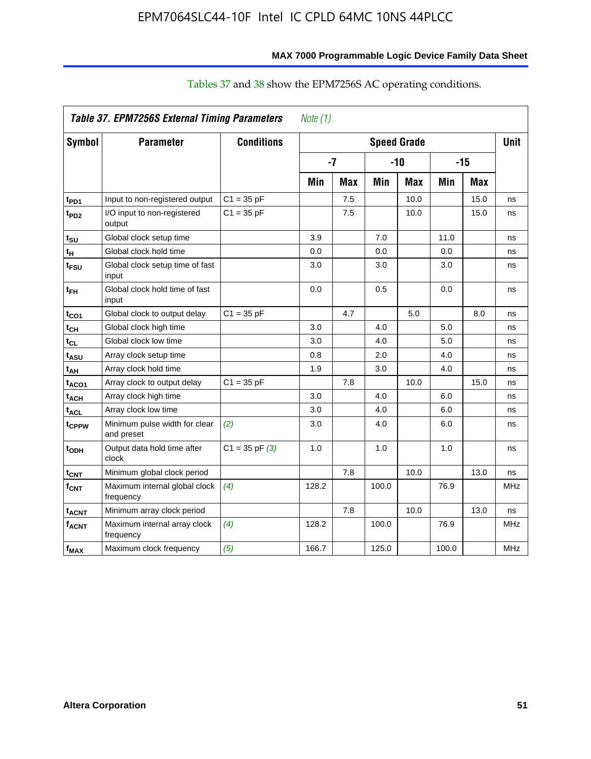|                         | <b>Table 37. EPM7256S External Timing Parameters</b> |                    | Note (1) |     |                    |            |       |            |             |
|-------------------------|------------------------------------------------------|--------------------|----------|-----|--------------------|------------|-------|------------|-------------|
| Symbol                  | <b>Parameter</b>                                     | <b>Conditions</b>  |          |     | <b>Speed Grade</b> |            |       |            | <b>Unit</b> |
|                         |                                                      |                    | $-7$     |     | $-10$              |            | $-15$ |            |             |
|                         |                                                      |                    | Min      | Max | Min                | <b>Max</b> | Min   | <b>Max</b> |             |
| t <sub>PD1</sub>        | Input to non-registered output                       | $C1 = 35 pF$       |          | 7.5 |                    | 10.0       |       | 15.0       | ns          |
| t <sub>PD2</sub>        | I/O input to non-registered<br>output                | $C1 = 35 pF$       |          | 7.5 |                    | 10.0       |       | 15.0       | ns          |
| $t_{\text{SU}}$         | Global clock setup time                              |                    | 3.9      |     | 7.0                |            | 11.0  |            | ns          |
| tн                      | Global clock hold time                               |                    | 0.0      |     | 0.0                |            | 0.0   |            | ns          |
| t <sub>FSU</sub>        | Global clock setup time of fast<br>input             |                    | 3.0      |     | 3.0                |            | 3.0   |            | ns          |
| $t_{\sf FH}$            | Global clock hold time of fast<br>input              |                    | 0.0      |     | 0.5                |            | 0.0   |            | ns          |
| $t_{CO1}$               | Global clock to output delay                         | $C1 = 35 pF$       |          | 4.7 |                    | 5.0        |       | 8.0        | ns          |
| $t_{CH}$                | Global clock high time                               |                    | 3.0      |     | 4.0                |            | 5.0   |            | ns          |
| $t_{CL}$                | Global clock low time                                |                    | 3.0      |     | 4.0                |            | 5.0   |            | ns          |
| t <sub>ASU</sub>        | Array clock setup time                               |                    | 0.8      |     | 2.0                |            | 4.0   |            | ns          |
| t <sub>AH</sub>         | Array clock hold time                                |                    | 1.9      |     | 3.0                |            | 4.0   |            | ns          |
| $t_{ACO1}$              | Array clock to output delay                          | $C1 = 35 pF$       |          | 7.8 |                    | 10.0       |       | 15.0       | ns          |
| <sup>t</sup> ACH        | Array clock high time                                |                    | 3.0      |     | 4.0                |            | 6.0   |            | ns          |
| $t_{ACL}$               | Array clock low time                                 |                    | 3.0      |     | 4.0                |            | 6.0   |            | ns          |
| t <sub>CPPW</sub>       | Minimum pulse width for clear<br>and preset          | (2)                | 3.0      |     | 4.0                |            | 6.0   |            | ns          |
| t <sub>ODH</sub>        | Output data hold time after<br>clock                 | $C1 = 35$ pF $(3)$ | 1.0      |     | 1.0                |            | 1.0   |            | ns          |
| $t_{\text{CNT}}$        | Minimum global clock period                          |                    |          | 7.8 |                    | 10.0       |       | 13.0       | ns          |
| $f_{\text{CNT}}$        | Maximum internal global clock<br>frequency           | (4)                | 128.2    |     | 100.0              |            | 76.9  |            | <b>MHz</b>  |
| <b>t<sub>ACNT</sub></b> | Minimum array clock period                           |                    |          | 7.8 |                    | 10.0       |       | 13.0       | ns          |
| $f_{ACNT}$              | Maximum internal array clock<br>frequency            | (4)                | 128.2    |     | 100.0              |            | 76.9  |            | <b>MHz</b>  |
| $f_{\text{MAX}}$        | Maximum clock frequency                              | (5)                | 166.7    |     | 125.0              |            | 100.0 |            | <b>MHz</b>  |

# Tables 37 and 38 show the EPM7256S AC operating conditions.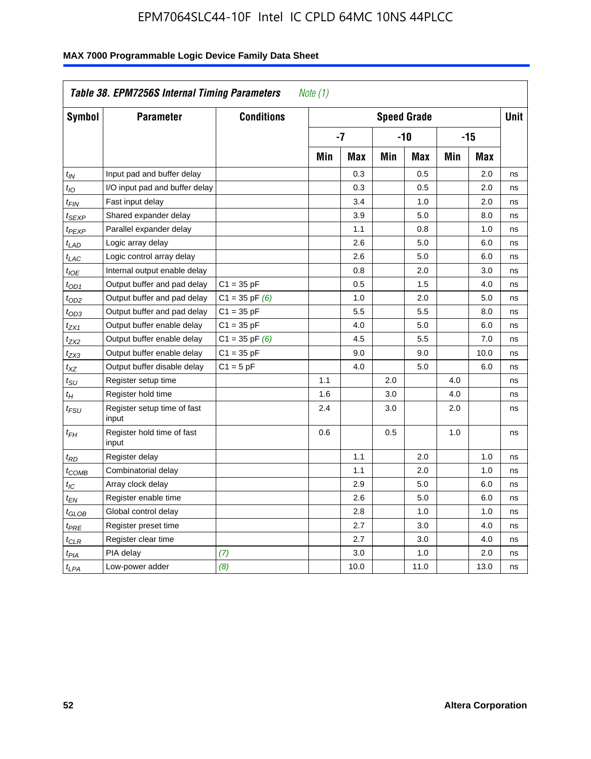| Symbol            | <b>Parameter</b>                     | <b>Conditions</b>  |     |            |     | <b>Speed Grade</b> |            |            | <b>Unit</b> |
|-------------------|--------------------------------------|--------------------|-----|------------|-----|--------------------|------------|------------|-------------|
|                   |                                      |                    |     | $-7$       |     | $-10$              |            | $-15$      |             |
|                   |                                      |                    | Min | <b>Max</b> | Min | <b>Max</b>         | <b>Min</b> | <b>Max</b> |             |
| $t_{IN}$          | Input pad and buffer delay           |                    |     | 0.3        |     | 0.5                |            | 2.0        | ns          |
| $t_{IO}$          | I/O input pad and buffer delay       |                    |     | 0.3        |     | 0.5                |            | 2.0        | ns          |
| t <sub>FIN</sub>  | Fast input delay                     |                    |     | 3.4        |     | 1.0                |            | 2.0        | ns          |
| t <sub>SEXP</sub> | Shared expander delay                |                    |     | 3.9        |     | 5.0                |            | 8.0        | ns          |
| t <sub>PEXP</sub> | Parallel expander delay              |                    |     | 1.1        |     | 0.8                |            | 1.0        | ns          |
| $t_{LAD}$         | Logic array delay                    |                    |     | 2.6        |     | 5.0                |            | 6.0        | ns          |
| $t_{LAC}$         | Logic control array delay            |                    |     | 2.6        |     | 5.0                |            | 6.0        | ns          |
| $t_{IOE}$         | Internal output enable delay         |                    |     | 0.8        |     | 2.0                |            | 3.0        | ns          |
| $t_{OD1}$         | Output buffer and pad delay          | $C1 = 35 pF$       |     | 0.5        |     | 1.5                |            | 4.0        | ns          |
| t <sub>OD2</sub>  | Output buffer and pad delay          | $C1 = 35$ pF $(6)$ |     | 1.0        |     | 2.0                |            | 5.0        | ns          |
| $t_{OD3}$         | Output buffer and pad delay          | $C1 = 35 pF$       |     | 5.5        |     | 5.5                |            | 8.0        | ns          |
| t <sub>ZX1</sub>  | Output buffer enable delay           | $C1 = 35 pF$       |     | 4.0        |     | 5.0                |            | 6.0        | ns          |
| t <sub>ZX2</sub>  | Output buffer enable delay           | $C1 = 35$ pF $(6)$ |     | 4.5        |     | 5.5                |            | 7.0        | ns          |
| t <sub>ZX3</sub>  | Output buffer enable delay           | $C1 = 35 pF$       |     | 9.0        |     | 9.0                |            | 10.0       | ns          |
| $t_{XZ}$          | Output buffer disable delay          | $C1 = 5pF$         |     | 4.0        |     | 5.0                |            | 6.0        | ns          |
| $t_{\rm SU}$      | Register setup time                  |                    | 1.1 |            | 2.0 |                    | 4.0        |            | ns          |
| $t_H$             | Register hold time                   |                    | 1.6 |            | 3.0 |                    | 4.0        |            | ns          |
| t <sub>FSU</sub>  | Register setup time of fast<br>input |                    | 2.4 |            | 3.0 |                    | 2.0        |            | ns          |
| $t_{FH}$          | Register hold time of fast<br>input  |                    | 0.6 |            | 0.5 |                    | 1.0        |            | ns          |
| t <sub>RD</sub>   | Register delay                       |                    |     | 1.1        |     | 2.0                |            | 1.0        | ns          |
| t <sub>COMB</sub> | Combinatorial delay                  |                    |     | 1.1        |     | 2.0                |            | 1.0        | ns          |
| $t_{IC}$          | Array clock delay                    |                    |     | 2.9        |     | 5.0                |            | 6.0        | ns          |
| t <sub>EN</sub>   | Register enable time                 |                    |     | 2.6        |     | 5.0                |            | 6.0        | ns          |
| t <sub>GLOB</sub> | Global control delay                 |                    |     | 2.8        |     | 1.0                |            | 1.0        | ns          |
| $t_{PRE}$         | Register preset time                 |                    |     | 2.7        |     | 3.0                |            | 4.0        | ns          |
| $t_{\text{CLR}}$  | Register clear time                  |                    |     | 2.7        |     | 3.0                |            | 4.0        | ns          |
| $t_{PIA}$         | PIA delay                            | (7)                |     | 3.0        |     | 1.0                |            | 2.0        | ns          |
| $t_{LPA}$         | Low-power adder                      | (8)                |     | 10.0       |     | 11.0               |            | 13.0       | ns          |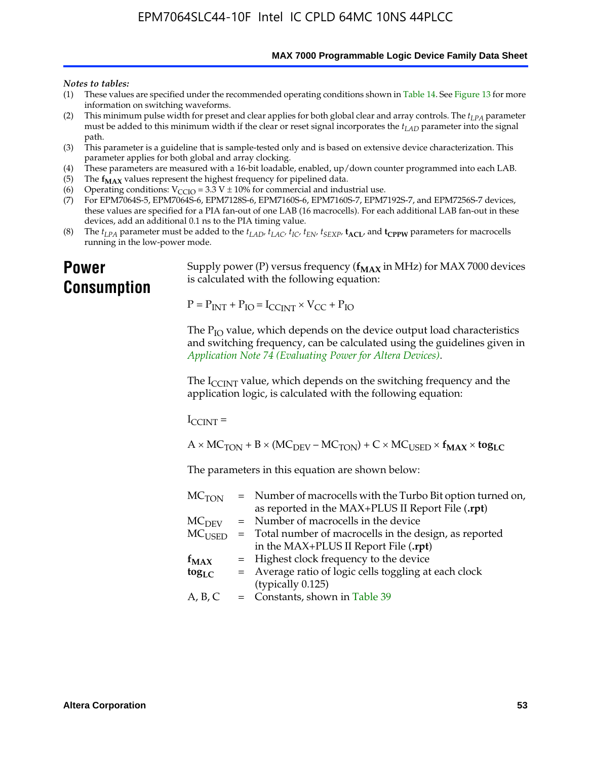**MAX 7000 Programmable Logic Device Family Data Sheet**

#### *Notes to tables:*

- (1) These values are specified under the recommended operating conditions shown in Table 14. See Figure 13 for more information on switching waveforms.
- (2) This minimum pulse width for preset and clear applies for both global clear and array controls. The  $t_{LPA}$  parameter must be added to this minimum width if the clear or reset signal incorporates the *tLAD* parameter into the signal path.
- (3) This parameter is a guideline that is sample-tested only and is based on extensive device characterization. This parameter applies for both global and array clocking.
- (4) These parameters are measured with a 16-bit loadable, enabled, up/down counter programmed into each LAB.
- (5) The  $f_{MAX}$  values represent the highest frequency for pipelined data.
- (6) Operating conditions:  $V_{\text{CCIO}} = 3.3 \text{ V} \pm 10\%$  for commercial and industrial use.
- (7) For EPM7064S-5, EPM7064S-6, EPM7128S-6, EPM7160S-6, EPM7160S-7, EPM7192S-7, and EPM7256S-7 devices, these values are specified for a PIA fan-out of one LAB (16 macrocells). For each additional LAB fan-out in these devices, add an additional 0.1 ns to the PIA timing value.
- (8) The  $t_{LPA}$  parameter must be added to the  $t_{LAD}$ ,  $t_{LAC}$ ,  $t_{IC}$ ,  $t_{EN}$ ,  $t_{SEXP}$ ,  $t_{ACL}$ , and  $t_{CPPW}$  parameters for macrocells running in the low-power mode.

# **Power Consumption**

[Supply power \(P\) versus frequency \(](http://www.altera.com/literature/an/an074.pdf) $f_{MAX}$  in MHz) for MAX 7000 devices is calculated with the following equation:

 $P = P_{INT} + P_{IO} = I_{CCLNT} \times V_{CC} + P_{IO}$ 

The  $P_{IO}$  value, which depends on the device output load characteristics and switching frequency, can be calculated using the guidelines given in *Application Note 74 (Evaluating Power for Altera Devices)*.

The  $I_{\text{CCINT}}$  value, which depends on the switching frequency and the application logic, is calculated with the following equation:

 $I_{\text{CCTNT}} =$ 

 $A \times MC_{TON} + B \times (MC_{DEFU} - MC_{TON}) + C \times MC_{LISED} \times f_{MAX} \times \text{tog}_{LC}$ 

The parameters in this equation are shown below:

| $MC$ <sub>TON</sub> | = Number of macrocells with the Turbo Bit option turned on,                |
|---------------------|----------------------------------------------------------------------------|
|                     | as reported in the MAX+PLUS II Report File (.rpt)                          |
| MC <sub>DFV</sub>   | = Number of macrocells in the device                                       |
|                     | $MC_{\text{USED}}$ = Total number of macrocells in the design, as reported |
|                     | in the MAX+PLUS II Report File (.rpt)                                      |
| $f_{MAX}$           | = Highest clock frequency to the device                                    |
| $tog_{LC}$          | = Average ratio of logic cells toggling at each clock                      |
|                     | (typically 0.125)                                                          |
| A, B, C             | = Constants, shown in Table 39                                             |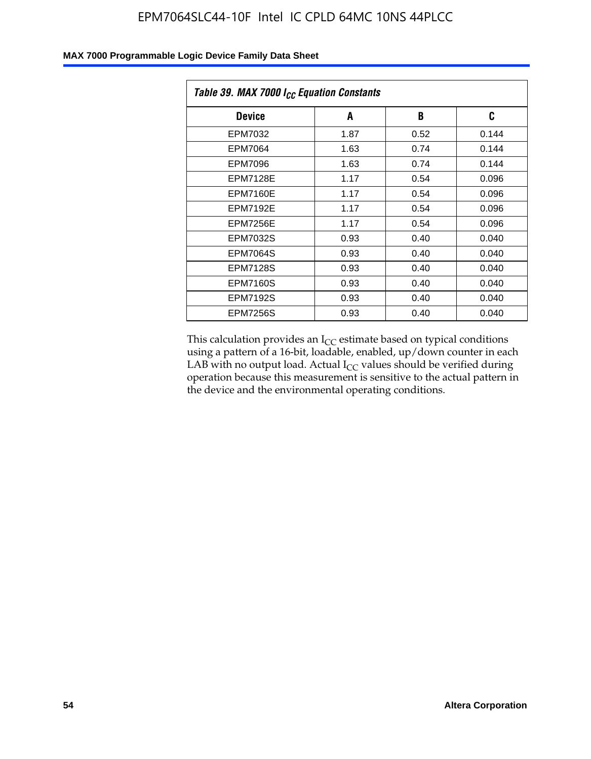| Table 39. MAX 7000 I <sub>CC</sub> Equation Constants |      |      |       |  |  |
|-------------------------------------------------------|------|------|-------|--|--|
| <b>Device</b>                                         | A    | В    | C     |  |  |
| EPM7032                                               | 1.87 | 0.52 | 0.144 |  |  |
| EPM7064                                               | 1.63 | 0.74 | 0.144 |  |  |
| <b>EPM7096</b>                                        | 1.63 | 0.74 | 0.144 |  |  |
| <b>EPM7128E</b>                                       | 1.17 | 0.54 | 0.096 |  |  |
| <b>EPM7160E</b>                                       | 1.17 | 0.54 | 0.096 |  |  |
| <b>EPM7192E</b>                                       | 1.17 | 0.54 | 0.096 |  |  |
| <b>EPM7256E</b>                                       | 1.17 | 0.54 | 0.096 |  |  |
| <b>EPM7032S</b>                                       | 0.93 | 0.40 | 0.040 |  |  |
| <b>EPM7064S</b>                                       | 0.93 | 0.40 | 0.040 |  |  |
| <b>EPM7128S</b>                                       | 0.93 | 0.40 | 0.040 |  |  |
| <b>EPM7160S</b>                                       | 0.93 | 0.40 | 0.040 |  |  |
| <b>EPM7192S</b>                                       | 0.93 | 0.40 | 0.040 |  |  |
| <b>EPM7256S</b>                                       | 0.93 | 0.40 | 0.040 |  |  |

This calculation provides an  $I_{CC}$  estimate based on typical conditions using a pattern of a 16-bit, loadable, enabled, up/down counter in each LAB with no output load. Actual  $I_{CC}$  values should be verified during operation because this measurement is sensitive to the actual pattern in the device and the environmental operating conditions.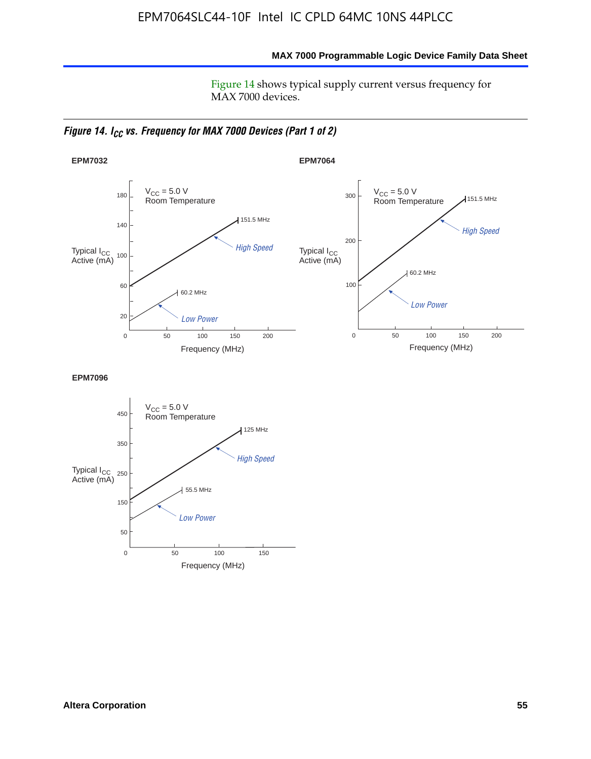**MAX 7000 Programmable Logic Device Family Data Sheet**

Figure 14 shows typical supply current versus frequency for MAX 7000 devices.

*Figure 14. I<sub>CC</sub> vs. Frequency for MAX 7000 Devices (Part 1 of 2)* 



**EPM7096**

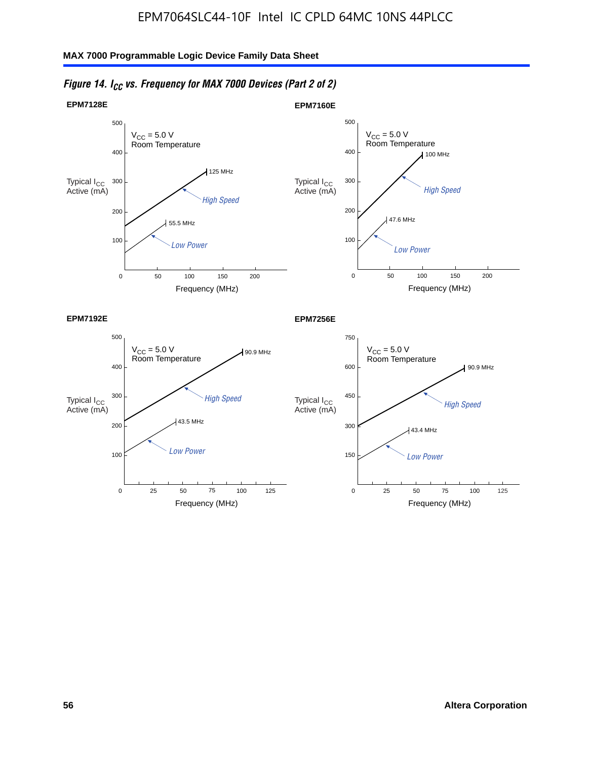

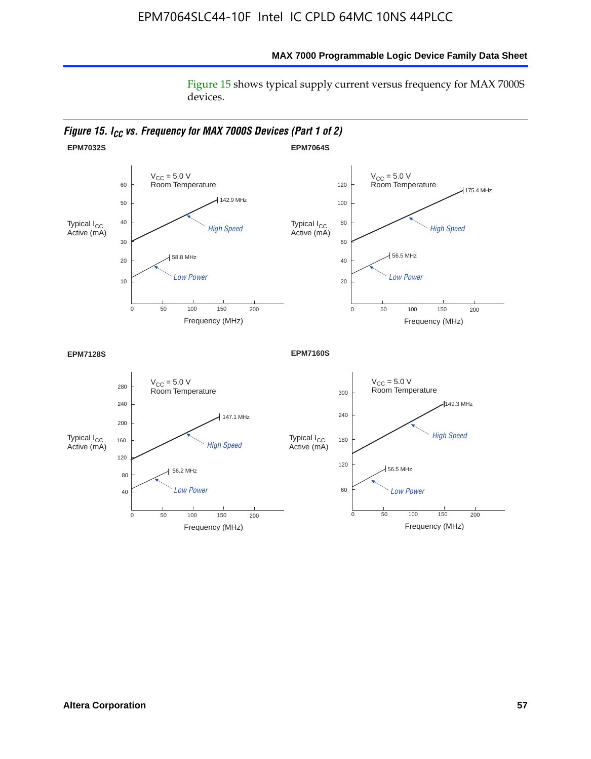Figure 15 shows typical supply current versus frequency for MAX 7000S devices.



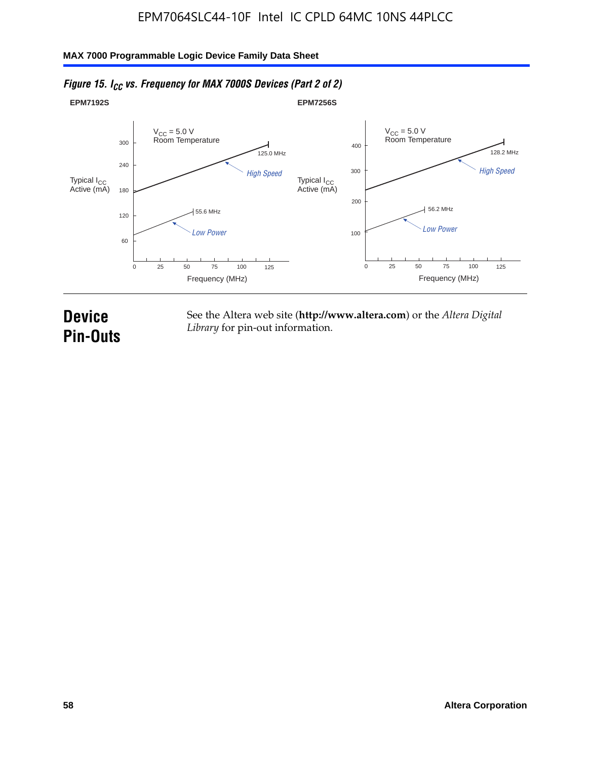#### **EPM7192S** V<sub>CC</sub> = 5.0 V<br>Room Temperature 0 Frequency (MHz) High Speed Low Power 25 100 125 125.0 MHz 55.6 MHz 60 120 180 240 300 50 75 **EPM7256S** V<sub>CC</sub> = 5.0 V<br>Room Temperature 0 Frequency (MHz) High Speed Low Power 25 100 125 128.2 MHz 56.2 MHz 100 200 300 400 50 75 Typical I<sub>CC</sub><br>Active (mA) Typical I<sub>CC</sub> Typical I<sub>CC</sub> Typical I<sub>C</sub> Typical I<sub>C</sub> Typical I<sub>C</sub> Typical I<sub>C</sub> Typical I<sub>C</sub> Typical I<sub>C</sub> Typical I<sub>C</sub> Typical I<sub>C</sub> Typical I<sub>C</sub> Typical I<sub>C</sub> Typical I<sub>C</sub> Typical I<sub>C</sub> Typical I<sub>C</sub> Typical I<sub>C</sub> Typical I<sub>C</sub> Typical I<sub>CC</sub><br>Active (mA)

### *Figure 15. I<sub>CC</sub> vs. Frequency for MAX 7000S Devices (Part 2 of 2)*

# **Device Pin-Outs**

See the Altera web site (**http://www.altera.com**) or the *Altera Digital Library* for pin-out information.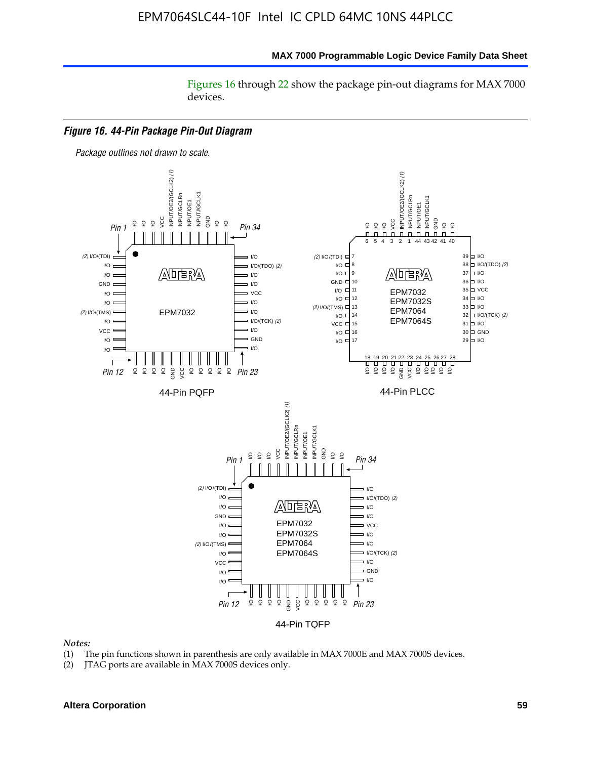#### **MAX 7000 Programmable Logic Device Family Data Sheet**

Figures 16 through 22 show the package pin-out diagrams for MAX 7000 devices.



*Notes:*

- (1) The pin functions shown in parenthesis are only available in MAX 7000E and MAX 7000S devices.
- (2) JTAG ports are available in MAX 7000S devices only.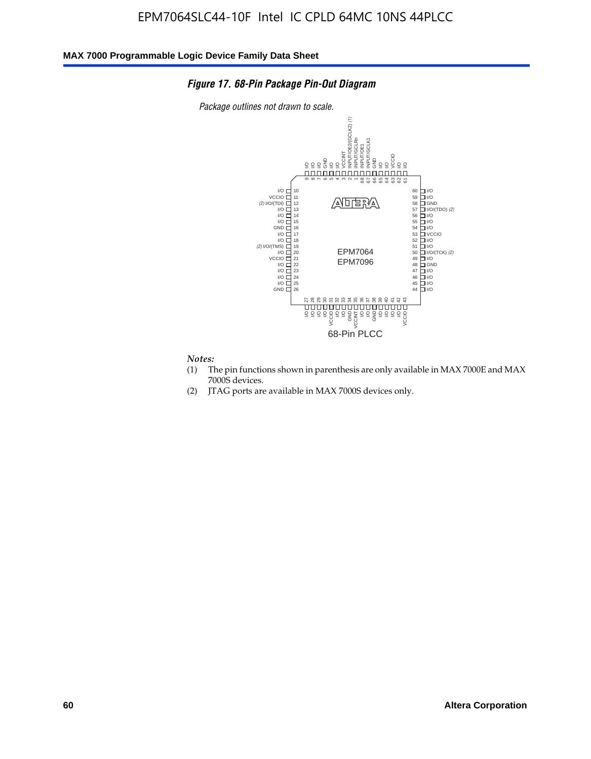### *Figure 17. 68-Pin Package Pin-Out Diagram*

*Package outlines not drawn to scale.*



# *Notes:*<br>(1) T

- The pin functions shown in parenthesis are only available in MAX 7000E and MAX 7000S devices.
- (2) JTAG ports are available in MAX 7000S devices only.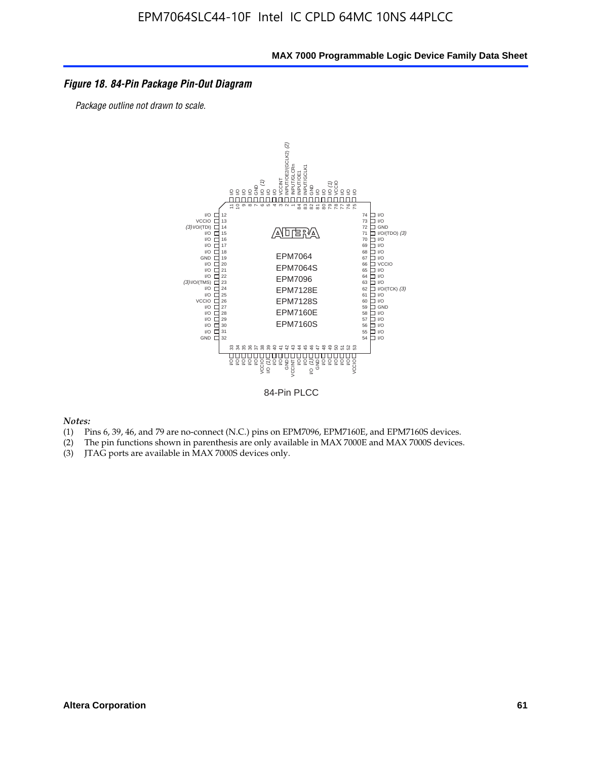### *Figure 18. 84-Pin Package Pin-Out Diagram*

*Package outline not drawn to scale.*



84-Pin PLCC

*Notes:*

- (1) Pins 6, 39, 46, and 79 are no-connect (N.C.) pins on EPM7096, EPM7160E, and EPM7160S devices.
- (2) The pin functions shown in parenthesis are only available in MAX 7000E and MAX 7000S devices.
-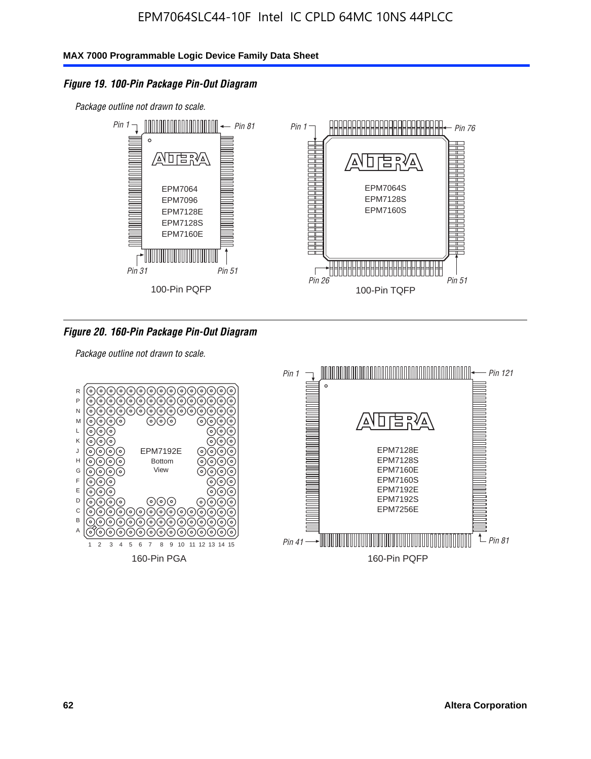### *Figure 19. 100-Pin Package Pin-Out Diagram*

*Package outline not drawn to scale.*



*Figure 20. 160-Pin Package Pin-Out Diagram*

*Package outline not drawn to scale.*

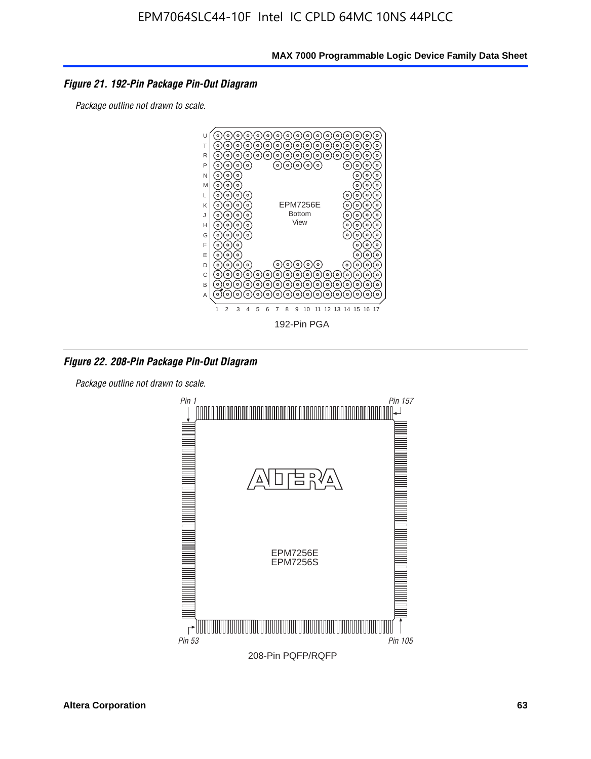### *Figure 21. 192-Pin Package Pin-Out Diagram*

*Package outline not drawn to scale.*



*Figure 22. 208-Pin Package Pin-Out Diagram*

*Package outline not drawn to scale.*

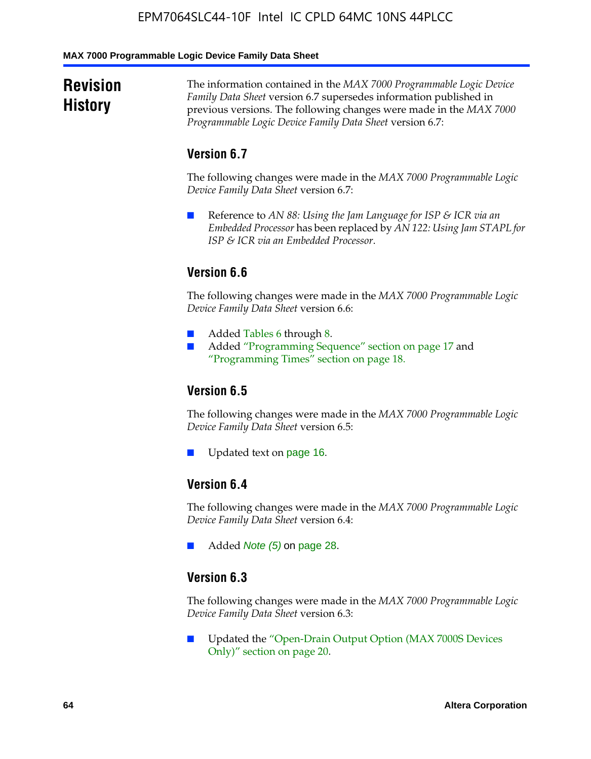#### **MAX 7000 Programmable Logic Device Family Data Sheet**

# **Revision History**

The information contained in the *MAX 7000 Programmable Logic Device Family Data Sheet* version 6.7 supersedes information published in previous versions. The following changes were made in the *MAX 7000 Programmable Logic Device Family Data Sheet* version 6.7:

### **Version 6.7**

The following changes were made in the *MAX 7000 Programmable Logic Device Family Data Sheet* version 6.7:

■ Reference to *AN 88: Using the Jam Language for ISP & ICR via an Embedded Processor* has been replaced by *AN 122: Using Jam STAPL for ISP & ICR via an Embedded Processor*.

# **Version 6.6**

The following changes were made in the *MAX 7000 Programmable Logic Device Family Data Sheet* version 6.6:

- Added Tables 6 through 8.
- Added "Programming Sequence" section on page 17 and "Programming Times" section on page 18.

# **Version 6.5**

The following changes were made in the *MAX 7000 Programmable Logic Device Family Data Sheet* version 6.5:

Updated text on page 16.

# **Version 6.4**

The following changes were made in the *MAX 7000 Programmable Logic Device Family Data Sheet* version 6.4:

■ Added *Note (5)* on page 28.

### **Version 6.3**

The following changes were made in the *MAX 7000 Programmable Logic Device Family Data Sheet* version 6.3:

■ Updated the "Open-Drain Output Option (MAX 7000S Devices Only)" section on page 20.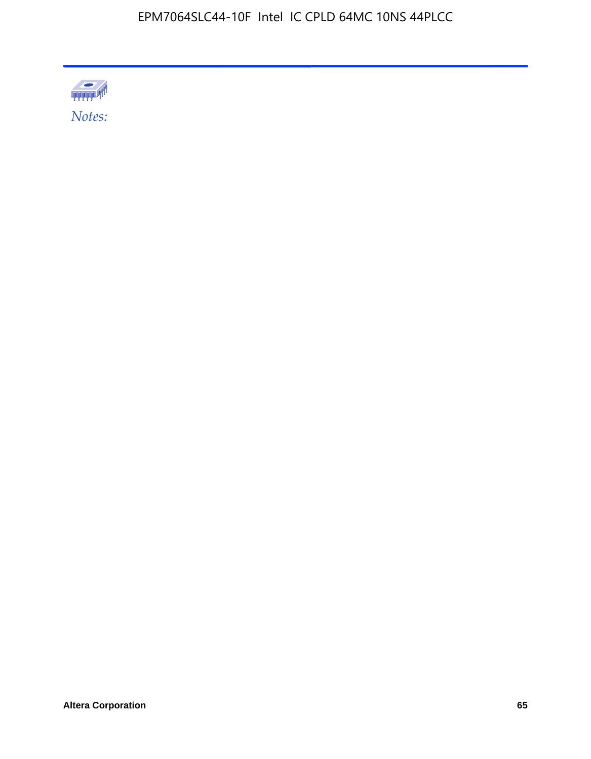

**Altera Corporation 65**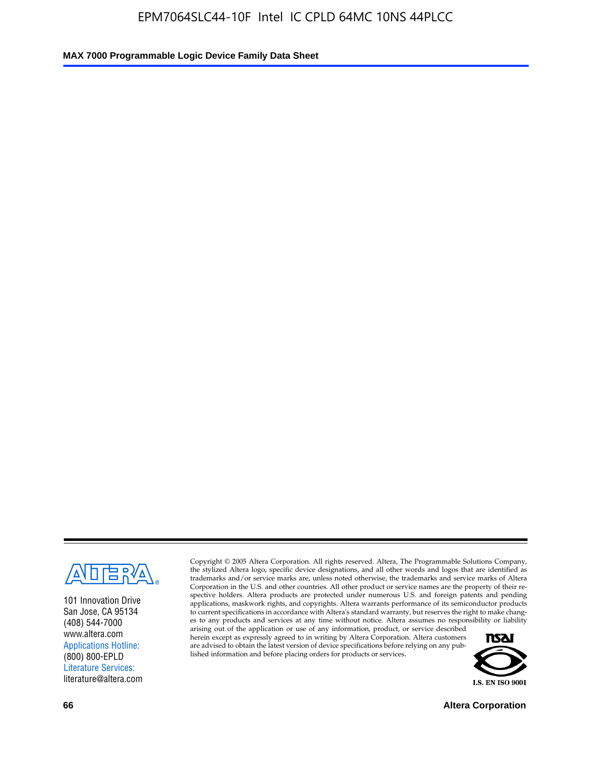

101 Innovation Drive San Jose, CA 95134 (408) 544-7000 www.altera.com Applications Hotline: (800) 800-EPLD Literature Services: literature@altera.com

Copyright © 2005 Altera Corporation. All rights reserved. Altera, The Programmable Solutions Company, the stylized Altera logo, specific device designations, and all other words and logos that are identified as trademarks and/or service marks are, unless noted otherwise, the trademarks and service marks of Altera Corporation in the U.S. and other countries. All other product or service names are the property of their respective holders. Altera products are protected under numerous U.S. and foreign patents and pending applications, maskwork rights, and copyrights. Altera warrants performance of its semiconductor products to current specifications in accordance with Altera's standard warranty, but reserves the right to make changes to any products and services at any time without notice. Altera assumes no responsibility or liability

arising out of the application or use of any information, product, or service described herein except as expressly agreed to in writing by Altera Corporation. Altera customers are advised to obtain the latest version of device specifications before relying on any published information and before placing orders for products or services.



**66 Altera Corporation**